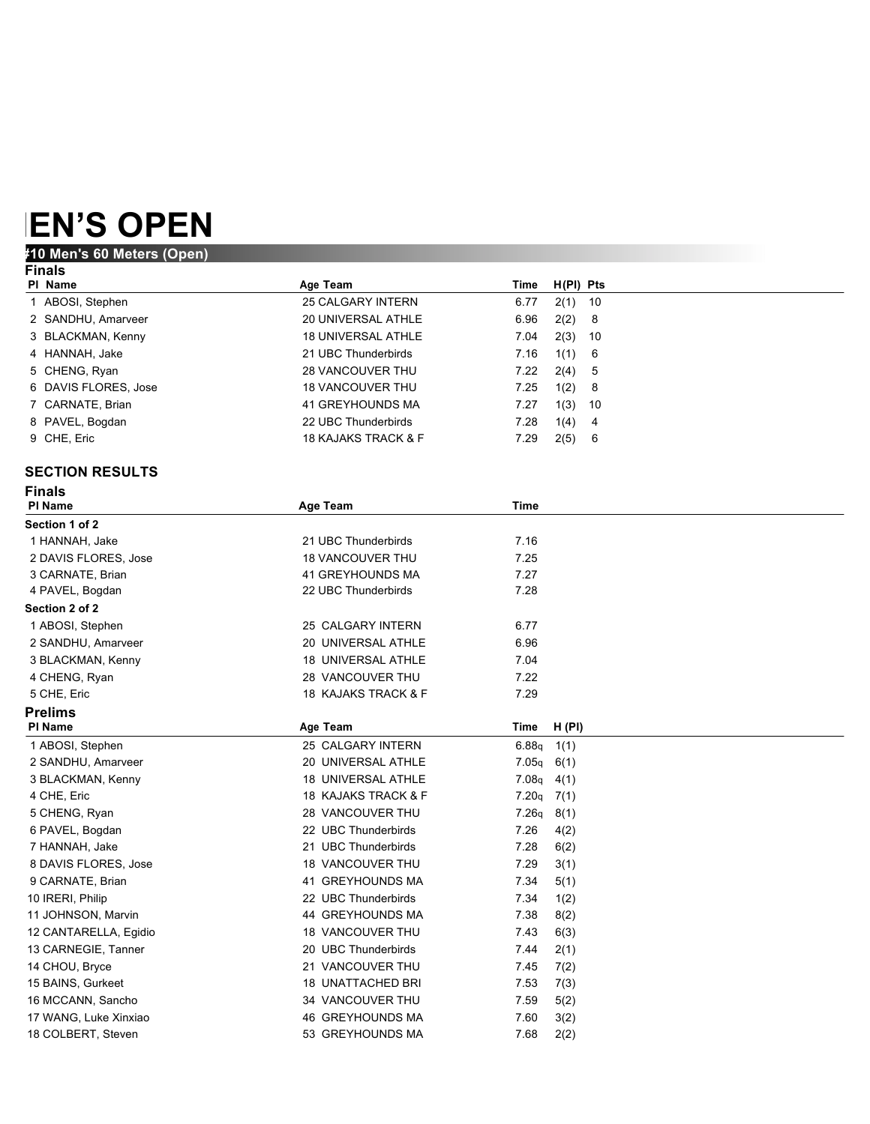## **IEN'S OPEN #10 Men's 60 Meters (Open)**

| $r$ iv men $s$ ov meters (Open)<br><b>Finals</b> |                           |                           |  |
|--------------------------------------------------|---------------------------|---------------------------|--|
| PI Name                                          | Age Team                  | H(PI) Pts<br>Time         |  |
| 1 ABOSI, Stephen                                 | <b>25 CALGARY INTERN</b>  | 6.77<br>2(1)<br>10        |  |
| 2 SANDHU, Amarveer                               | 20 UNIVERSAL ATHLE        | 6.96<br>2(2)<br>8         |  |
| 3 BLACKMAN, Kenny                                | <b>18 UNIVERSAL ATHLE</b> | 7.04<br>2(3)<br>10        |  |
| 4 HANNAH, Jake                                   | 21 UBC Thunderbirds       | 7.16<br>1(1)<br>6         |  |
| 5 CHENG, Ryan                                    | <b>28 VANCOUVER THU</b>   | 7.22<br>2(4)<br>5         |  |
| 6 DAVIS FLORES, Jose                             | <b>18 VANCOUVER THU</b>   | 7.25<br>1(2)<br>8         |  |
| 7 CARNATE, Brian                                 | 41 GREYHOUNDS MA          | 7.27<br>1(3)<br>10        |  |
| 8 PAVEL, Bogdan                                  | 22 UBC Thunderbirds       | 7.28<br>1(4)<br>4         |  |
| 9 CHE, Eric                                      | 18 KAJAKS TRACK & F       | 7.29<br>2(5)<br>6         |  |
|                                                  |                           |                           |  |
| <b>SECTION RESULTS</b>                           |                           |                           |  |
| <b>Finals</b>                                    |                           |                           |  |
| <b>PI Name</b>                                   | Age Team                  | Time                      |  |
| Section 1 of 2                                   |                           |                           |  |
| 1 HANNAH, Jake                                   | 21 UBC Thunderbirds       | 7.16                      |  |
| 2 DAVIS FLORES, Jose                             | <b>18 VANCOUVER THU</b>   | 7.25                      |  |
| 3 CARNATE, Brian                                 | 41 GREYHOUNDS MA          | 7.27                      |  |
| 4 PAVEL, Bogdan                                  | 22 UBC Thunderbirds       | 7.28                      |  |
| Section 2 of 2                                   |                           |                           |  |
| 1 ABOSI, Stephen                                 | 25 CALGARY INTERN         | 6.77                      |  |
| 2 SANDHU, Amarveer                               | 20 UNIVERSAL ATHLE        | 6.96                      |  |
| 3 BLACKMAN, Kenny                                | <b>18 UNIVERSAL ATHLE</b> | 7.04                      |  |
| 4 CHENG, Ryan                                    | 28 VANCOUVER THU          | 7.22                      |  |
| 5 CHE, Eric                                      | 18 KAJAKS TRACK & F       | 7.29                      |  |
| <b>Prelims</b><br><b>PI Name</b>                 | Age Team                  | H(PI)<br>Time             |  |
| 1 ABOSI, Stephen                                 | 25 CALGARY INTERN         | 6.88q<br>1(1)             |  |
| 2 SANDHU, Amarveer                               | 20 UNIVERSAL ATHLE        | 7.05q<br>6(1)             |  |
| 3 BLACKMAN, Kenny                                | 18 UNIVERSAL ATHLE        | 7.08 <sub>q</sub><br>4(1) |  |
| 4 CHE, Eric                                      | 18 KAJAKS TRACK & F       | 7.20q<br>7(1)             |  |
| 5 CHENG, Ryan                                    | 28 VANCOUVER THU          | 7.26q<br>8(1)             |  |
| 6 PAVEL, Bogdan                                  | 22 UBC Thunderbirds       | 7.26<br>4(2)              |  |
| 7 HANNAH, Jake                                   | 21 UBC Thunderbirds       | 7.28<br>6(2)              |  |
| 8 DAVIS FLORES, Jose                             | 18 VANCOUVER THU          | 7.29<br>3(1)              |  |
| 9 CARNATE, Brian                                 | 41 GREYHOUNDS MA          | 7.34<br>5(1)              |  |
| 10 IRERI, Philip                                 | 22 UBC Thunderbirds       | 7.34<br>1(2)              |  |
| 11 JOHNSON, Marvin                               | 44 GREYHOUNDS MA          | 7.38<br>8(2)              |  |
| 12 CANTARELLA, Egidio                            | 18 VANCOUVER THU          | 7.43<br>6(3)              |  |
| 13 CARNEGIE, Tanner                              | 20 UBC Thunderbirds       | 7.44<br>2(1)              |  |
| 14 CHOU, Bryce                                   | 21 VANCOUVER THU          | 7.45<br>7(2)              |  |
| 15 BAINS, Gurkeet                                | 18 UNATTACHED BRI         | 7.53<br>7(3)              |  |
| 16 MCCANN, Sancho                                | 34 VANCOUVER THU          | 7.59<br>5(2)              |  |
| 17 WANG, Luke Xinxiao                            | 46 GREYHOUNDS MA          | 7.60<br>3(2)              |  |
| 18 COLBERT, Steven                               | 53 GREYHOUNDS MA          | 7.68<br>2(2)              |  |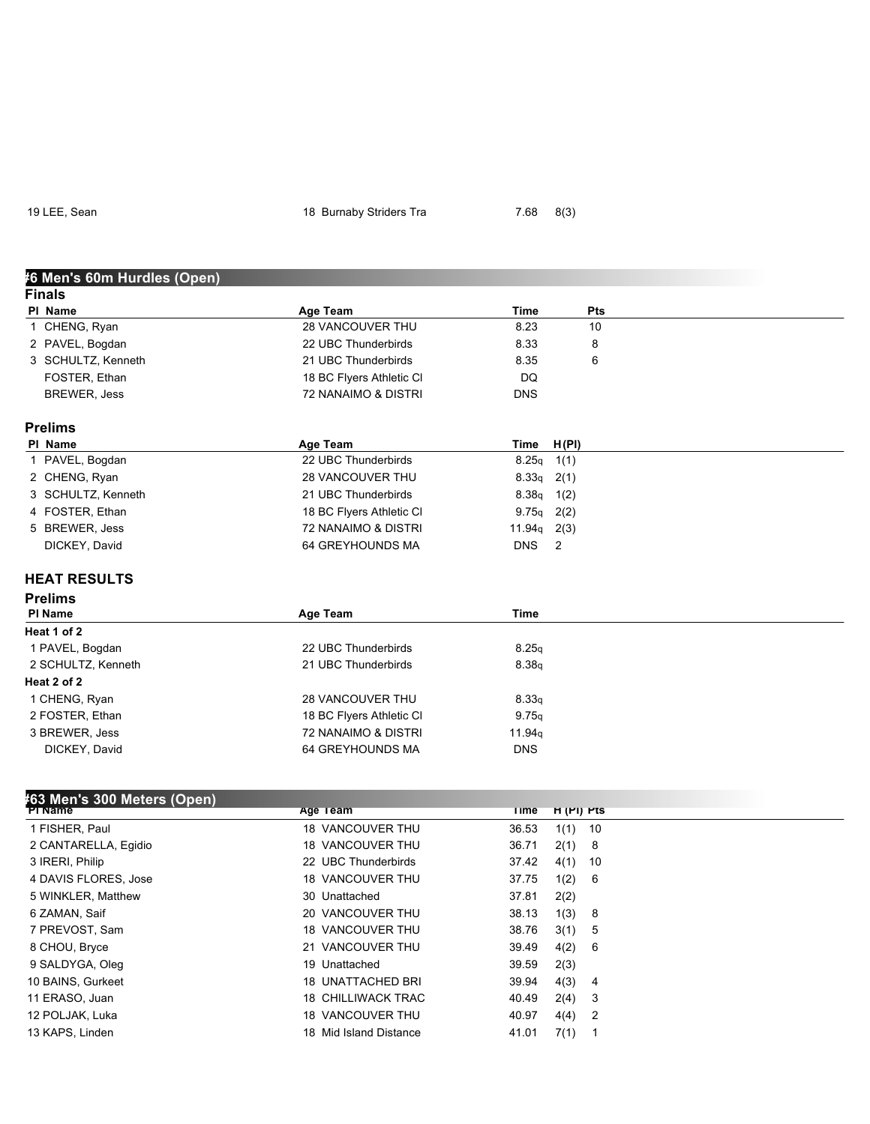| 19 LEE, Sean |  |
|--------------|--|
|--------------|--|

| #6 Men's 60m Hurdles (Open)            |                          |               |                |  |
|----------------------------------------|--------------------------|---------------|----------------|--|
| <b>Finals</b>                          |                          |               |                |  |
| PI Name                                | <b>Age Team</b>          | Time          | Pts            |  |
| 1 CHENG, Ryan                          | 28 VANCOUVER THU         | 8.23          | 10             |  |
| 2 PAVEL, Bogdan                        | 22 UBC Thunderbirds      | 8.33          | 8              |  |
| 3 SCHULTZ, Kenneth                     | 21 UBC Thunderbirds      | 8.35          | 6              |  |
| FOSTER, Ethan                          | 18 BC Flyers Athletic Cl | <b>DQ</b>     |                |  |
| BREWER, Jess                           | 72 NANAIMO & DISTRI      | <b>DNS</b>    |                |  |
| <b>Prelims</b>                         |                          |               |                |  |
| PI Name                                | Age Team                 | Time          | H(PI)          |  |
| 1 PAVEL, Bogdan                        | 22 UBC Thunderbirds      | 8.25q         | 1(1)           |  |
| 2 CHENG, Ryan                          | 28 VANCOUVER THU         | 8.33q         | 2(1)           |  |
| 3 SCHULTZ, Kenneth                     | 21 UBC Thunderbirds      | 8.38q         | 1(2)           |  |
| 4 FOSTER, Ethan                        | 18 BC Flyers Athletic Cl | 9.75q         | 2(2)           |  |
| 5 BREWER, Jess                         | 72 NANAIMO & DISTRI      | $11.94q$ 2(3) |                |  |
| DICKEY, David                          | 64 GREYHOUNDS MA         | <b>DNS</b>    | $\overline{2}$ |  |
| <b>HEAT RESULTS</b>                    |                          |               |                |  |
| <b>Prelims</b>                         |                          |               |                |  |
| <b>PI Name</b>                         | Age Team                 | <b>Time</b>   |                |  |
| Heat 1 of 2                            |                          |               |                |  |
| 1 PAVEL, Bogdan                        | 22 UBC Thunderbirds      | 8.25q         |                |  |
| 2 SCHULTZ, Kenneth                     | 21 UBC Thunderbirds      | 8.38q         |                |  |
| Heat 2 of 2                            |                          |               |                |  |
| 1 CHENG, Ryan                          | 28 VANCOUVER THU         | 8.33q         |                |  |
| 2 FOSTER, Ethan                        | 18 BC Flyers Athletic CI | 9.75q         |                |  |
| 3 BREWER, Jess                         | 72 NANAIMO & DISTRI      | 11.94q        |                |  |
| DICKEY, David                          | 64 GREYHOUNDS MA         | <b>DNS</b>    |                |  |
|                                        |                          |               |                |  |
| 463 Men's 300 Meters (Open)<br>TI Name | Age Team                 | <b>Time</b>   | H (PI) Pts     |  |
| 1 FISHER, Paul                         | 18 VANCOUVER THU         | 36.53         | 10<br>1(1)     |  |
| 2 CANTARELLA, Egidio                   | 18 VANCOUVER THU         | 36.71         | 2(1)<br>8      |  |
| 3 IRERI, Philip                        | 22 UBC Thunderbirds      | 37.42         | 4(1)<br>10     |  |
| 4 DAVIS FLORES, Jose                   | 18 VANCOUVER THU         | 37.75         | 1(2)<br>6      |  |
| 5 WINKLER, Matthew                     | 30 Unattached            | 37.81         | 2(2)           |  |
| 6 ZAMAN, Saif                          | 20 VANCOUVER THU         | 38.13         | 1(3)<br>8      |  |
| 7 PREVOST, Sam                         | 18 VANCOUVER THU         | 38.76         | 3(1)<br>5      |  |

8 CHOU, Bryce 21 VANCOUVER THU 39.49 4(2) 6 9 SALDYGA, Oleg 19 Unattached 39.59 2(3) 10 BAINS, Gurkeet 18 UNATTACHED BRI 39.94 4(3) 4 11 ERASO, Juan 18 CHILLIWACK TRAC 40.49 2(4) 3 12 POLJAK, Luka 18 VANCOUVER THU 40.97 4(4) 2 13 KAPS, Linden 18 Mid Island Distance 41.01 7(1) 1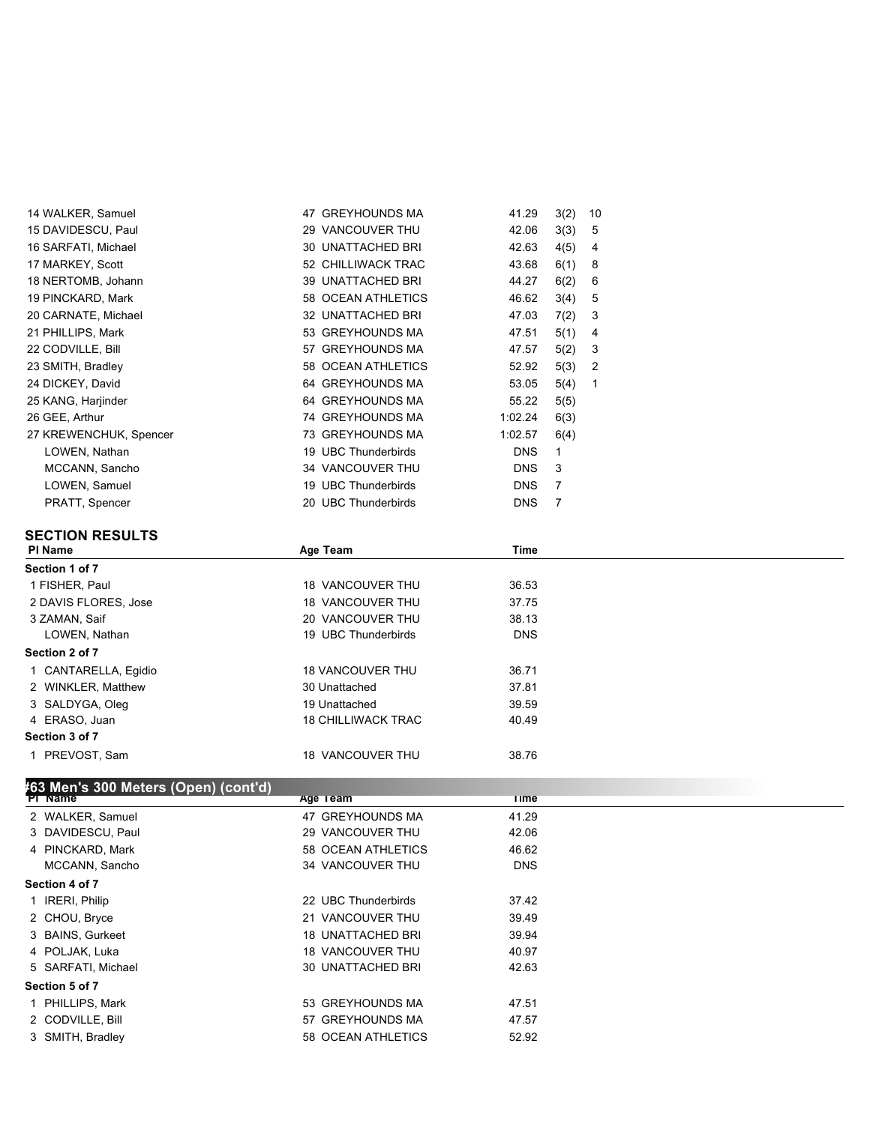| 14 WALKER, Samuel      | 47 GREYHOUNDS MA    | 41.29      | 3(2) | 10             |
|------------------------|---------------------|------------|------|----------------|
| 15 DAVIDESCU, Paul     | 29 VANCOUVER THU    | 42.06      | 3(3) | 5              |
| 16 SARFATI, Michael    | 30 UNATTACHED BRI   | 42.63      | 4(5) | 4              |
| 17 MARKEY, Scott       | 52 CHILLIWACK TRAC  | 43.68      | 6(1) | 8              |
| 18 NERTOMB, Johann     | 39 UNATTACHED BRI   | 44.27      | 6(2) | 6              |
| 19 PINCKARD, Mark      | 58 OCEAN ATHLETICS  | 46.62      | 3(4) | 5              |
| 20 CARNATE, Michael    | 32 UNATTACHED BRI   | 47.03      | 7(2) | 3              |
| 21 PHILLIPS, Mark      | 53 GREYHOUNDS MA    | 47.51      | 5(1) | 4              |
| 22 CODVILLE, Bill      | 57 GREYHOUNDS MA    | 47.57      | 5(2) | 3              |
| 23 SMITH, Bradley      | 58 OCEAN ATHLETICS  | 52.92      | 5(3) | $\overline{2}$ |
| 24 DICKEY, David       | 64 GREYHOUNDS MA    | 53.05      | 5(4) | $\mathbf{1}$   |
| 25 KANG, Harjinder     | 64 GREYHOUNDS MA    | 55.22      | 5(5) |                |
| 26 GEE, Arthur         | 74 GREYHOUNDS MA    | 1:02.24    | 6(3) |                |
| 27 KREWENCHUK, Spencer | 73 GREYHOUNDS MA    | 1:02.57    | 6(4) |                |
| LOWEN, Nathan          | 19 UBC Thunderbirds | <b>DNS</b> | 1    |                |
| MCCANN, Sancho         | 34 VANCOUVER THU    | <b>DNS</b> | 3    |                |
| LOWEN, Samuel          | 19 UBC Thunderbirds | <b>DNS</b> | 7    |                |
| PRATT, Spencer         | 20 UBC Thunderbirds | <b>DNS</b> | 7    |                |
|                        |                     |            |      |                |

| PI Name              | Age Team                  | Time       |  |
|----------------------|---------------------------|------------|--|
| Section 1 of 7       |                           |            |  |
| 1 FISHER, Paul       | <b>18 VANCOUVER THU</b>   | 36.53      |  |
| 2 DAVIS FLORES, Jose | <b>18 VANCOUVER THU</b>   | 37.75      |  |
| 3 ZAMAN, Saif        | 20 VANCOUVER THU          | 38.13      |  |
| LOWEN, Nathan        | 19 UBC Thunderbirds       | <b>DNS</b> |  |
| Section 2 of 7       |                           |            |  |
| 1 CANTARELLA, Egidio | <b>18 VANCOUVER THU</b>   | 36.71      |  |
| 2 WINKLER, Matthew   | 30 Unattached             | 37.81      |  |
| 3 SALDYGA, Oleg      | 19 Unattached             | 39.59      |  |
| 4 ERASO, Juan        | <b>18 CHILLIWACK TRAC</b> | 40.49      |  |
| Section 3 of 7       |                           |            |  |
| 1 PREVOST, Sam       | <b>18 VANCOUVER THU</b>   | 38.76      |  |

### **Pl Name Age Team Time #63 Men's 300 Meters (Open) (cont'd)**

| .                  | <b>MYV LVWIII</b>       |            |  |
|--------------------|-------------------------|------------|--|
| 2 WALKER, Samuel   | 47 GREYHOUNDS MA        | 41.29      |  |
| 3 DAVIDESCU, Paul  | 29 VANCOUVER THU        | 42.06      |  |
| 4 PINCKARD, Mark   | 58 OCEAN ATHLETICS      | 46.62      |  |
| MCCANN, Sancho     | 34 VANCOUVER THU        | <b>DNS</b> |  |
| Section 4 of 7     |                         |            |  |
| 1 IRERI, Philip    | 22 UBC Thunderbirds     | 37.42      |  |
| 2 CHOU, Bryce      | 21 VANCOUVER THU        | 39.49      |  |
| 3 BAINS, Gurkeet   | 18 UNATTACHED BRI       | 39.94      |  |
| 4 POLJAK, Luka     | <b>18 VANCOUVER THU</b> | 40.97      |  |
| 5 SARFATI, Michael | 30 UNATTACHED BRI       | 42.63      |  |
| Section 5 of 7     |                         |            |  |
| 1 PHILLIPS, Mark   | 53 GREYHOUNDS MA        | 47.51      |  |
| 2 CODVILLE, Bill   | 57 GREYHOUNDS MA        | 47.57      |  |
| 3 SMITH, Bradley   | 58 OCEAN ATHLETICS      | 52.92      |  |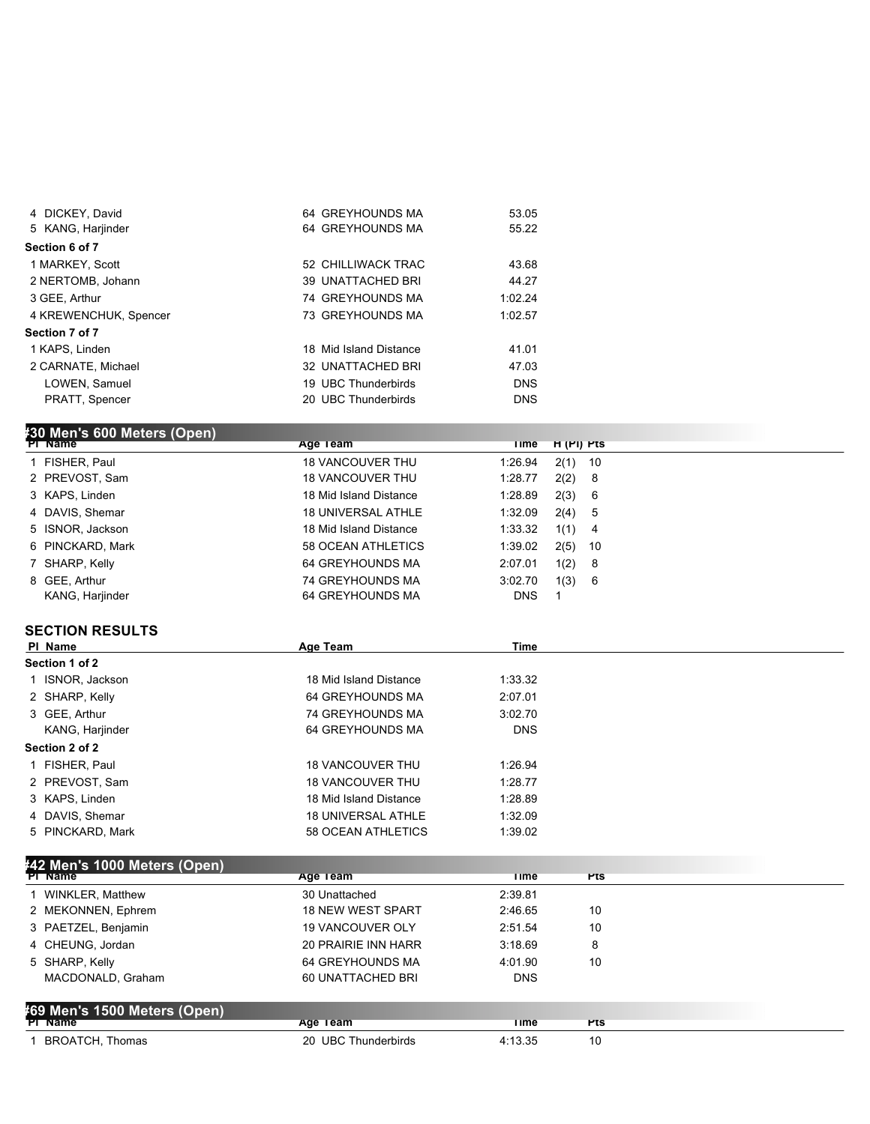| 4 DICKEY, David       | 64 GREYHOUNDS MA         | 53.05      |
|-----------------------|--------------------------|------------|
| 5 KANG, Harjinder     | 64 GREYHOUNDS MA         | 55.22      |
| Section 6 of 7        |                          |            |
| 1 MARKEY, Scott       | 52 CHILLIWACK TRAC       | 43.68      |
| 2 NERTOMB, Johann     | <b>39 UNATTACHED BRI</b> | 44.27      |
| 3 GEE, Arthur         | 74 GREYHOUNDS MA         | 1:02.24    |
| 4 KREWENCHUK, Spencer | 73 GREYHOUNDS MA         | 1:02.57    |
| Section 7 of 7        |                          |            |
| 1 KAPS, Linden        | 18 Mid Island Distance   | 41.01      |
| 2 CARNATE, Michael    | 32 UNATTACHED BRI        | 47.03      |
| LOWEN, Samuel         | 19 UBC Thunderbirds      | <b>DNS</b> |
| PRATT, Spencer        | 20 UBC Thunderbirds      | <b>DNS</b> |
|                       |                          |            |

| #30 Men's 600 Meters (Open) |                           |            |            |     |
|-----------------------------|---------------------------|------------|------------|-----|
| <b>PI Name</b>              | Age Team                  | Time       | $H(H)$ Pts |     |
| 1 FISHER, Paul              | <b>18 VANCOUVER THU</b>   | 1:26.94    | $2(1)$ 10  |     |
| 2 PREVOST, Sam              | <b>18 VANCOUVER THU</b>   | 1:28.77    | $2(2)$ 8   |     |
| 3 KAPS, Linden              | 18 Mid Island Distance    | 1:28.89    | 2(3) 6     |     |
| 4 DAVIS, Shemar             | <b>18 UNIVERSAL ATHLE</b> | 1:32.09    | 2(4) 5     |     |
| 5 ISNOR, Jackson            | 18 Mid Island Distance    | 1:33.32    | $1(1)$ 4   |     |
| 6 PINCKARD, Mark            | 58 OCEAN ATHLETICS        | 1:39.02    | $2(5)$ 10  |     |
| 7 SHARP, Kelly              | 64 GREYHOUNDS MA          | 2:07.01    | 1(2)       | - 8 |
| 8 GEE, Arthur               | 74 GREYHOUNDS MA          | 3:02.70    | 1(3) 6     |     |
| KANG, Harjinder             | 64 GREYHOUNDS MA          | <b>DNS</b> |            |     |

| PI Name          | Age Team                  | Time       |  |
|------------------|---------------------------|------------|--|
| Section 1 of 2   |                           |            |  |
| 1 ISNOR, Jackson | 18 Mid Island Distance    | 1:33.32    |  |
| 2 SHARP, Kelly   | 64 GREYHOUNDS MA          | 2:07.01    |  |
| 3 GEE, Arthur    | 74 GREYHOUNDS MA          | 3:02.70    |  |
| KANG, Harjinder  | 64 GREYHOUNDS MA          | <b>DNS</b> |  |
| Section 2 of 2   |                           |            |  |
| 1 FISHER, Paul   | <b>18 VANCOUVER THU</b>   | 1:26.94    |  |
| 2 PREVOST, Sam   | <b>18 VANCOUVER THU</b>   | 1:28.77    |  |
| 3 KAPS, Linden   | 18 Mid Island Distance    | 1:28.89    |  |
| 4 DAVIS, Shemar  | <b>18 UNIVERSAL ATHLE</b> | 1:32.09    |  |
| 5 PINCKARD, Mark | 58 OCEAN ATHLETICS        | 1:39.02    |  |

| #42 Men's 1000 Meters (Open)<br><b>PI Name</b> | Age Team                 | Time       | Pts |  |
|------------------------------------------------|--------------------------|------------|-----|--|
| 1 WINKLER, Matthew                             | 30 Unattached            | 2:39.81    |     |  |
| 2 MEKONNEN, Ephrem                             | <b>18 NEW WEST SPART</b> | 2:46.65    | 10  |  |
| 3 PAETZEL, Benjamin                            | <b>19 VANCOUVER OLY</b>  | 2:51.54    | 10  |  |
| 4 CHEUNG, Jordan                               | 20 PRAIRIE INN HARR      | 3:18.69    | 8   |  |
| 5 SHARP, Kelly                                 | 64 GREYHOUNDS MA         | 4:01.90    | 10  |  |
| MACDONALD, Graham                              | 60 UNATTACHED BRI        | <b>DNS</b> |     |  |

| #69 Men's 1500 Meters (Open)<br><b>PI</b> Name | Age<br>Team         | Time    | <b>Pts</b> |  |
|------------------------------------------------|---------------------|---------|------------|--|
|                                                |                     |         |            |  |
| <b>BROATCH, Thomas</b>                         | 20 UBC Thunderbirds | 4:13.35 | 10         |  |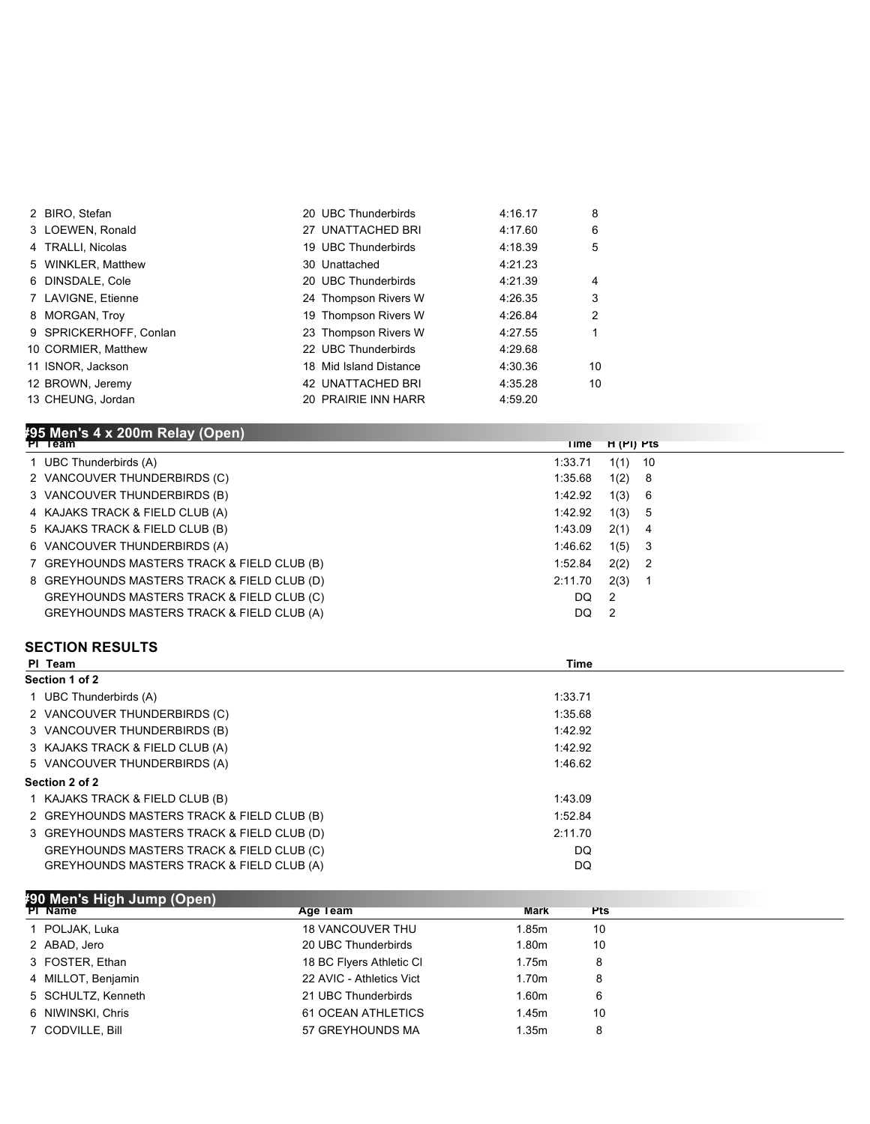| 2 BIRO, Stefan         | 20 UBC Thunderbirds    | 4:16.17 | 8              |
|------------------------|------------------------|---------|----------------|
| 3 LOEWEN, Ronald       | 27 UNATTACHED BRI      | 4:17.60 | 6              |
| 4 TRALLI, Nicolas      | 19 UBC Thunderbirds    | 4:18.39 | 5              |
| 5 WINKLER, Matthew     | 30 Unattached          | 4:21.23 |                |
| 6 DINSDALE, Cole       | 20 UBC Thunderbirds    | 4:21.39 | 4              |
| 7 LAVIGNE, Etienne     | 24 Thompson Rivers W   | 4:26.35 | 3              |
| 8 MORGAN, Troy         | 19 Thompson Rivers W   | 4:26.84 | $\overline{2}$ |
| 9 SPRICKERHOFF, Conlan | 23 Thompson Rivers W   | 4:27.55 | $\mathbf{1}$   |
| 10 CORMIER, Matthew    | 22 UBC Thunderbirds    | 4:29.68 |                |
| 11 ISNOR, Jackson      | 18 Mid Island Distance | 4:30.36 | 10             |
| 12 BROWN, Jeremy       | 42 UNATTACHED BRI      | 4:35.28 | 10             |
| 13 CHEUNG, Jordan      | 20 PRAIRIE INN HARR    | 4:59.20 |                |

## **Pl Team Time H (Pl) Pts #95 Men's 4 x 200m Relay (Open)**

| 1 UBC Thunderbirds (A)                      | 1:33.71 | $1(1)$ 10      |  |
|---------------------------------------------|---------|----------------|--|
| 2 VANCOUVER THUNDERBIRDS (C)                | 1:35.68 | 1(2) 8         |  |
| 3 VANCOUVER THUNDERBIRDS (B)                | 1:42.92 | 1(3) 6         |  |
| 4 KAJAKS TRACK & FIELD CLUB (A)             | 1:42.92 | $1(3)$ 5       |  |
| 5 KAJAKS TRACK & FIELD CLUB (B)             | 1:43.09 | $2(1)$ 4       |  |
| 6 VANCOUVER THUNDERBIRDS (A)                | 1:46.62 | $1(5)$ 3       |  |
| 7 GREYHOUNDS MASTERS TRACK & FIELD CLUB (B) | 1:52.84 | $2(2)$ 2       |  |
| 8 GREYHOUNDS MASTERS TRACK & FIELD CLUB (D) | 2:11.70 | 2(3)           |  |
| GREYHOUNDS MASTERS TRACK & FIELD CLUB (C)   | DQ      | $\overline{2}$ |  |
| GREYHOUNDS MASTERS TRACK & FIELD CLUB (A)   | DQ.     | 2              |  |

### **SECTION RESULTS**

| PI Team                                              | Time    |  |
|------------------------------------------------------|---------|--|
| Section 1 of 2                                       |         |  |
| 1 UBC Thunderbirds (A)                               | 1:33.71 |  |
| 2 VANCOUVER THUNDERBIRDS (C)                         | 1:35.68 |  |
| 3 VANCOUVER THUNDERBIRDS (B)                         | 1:42.92 |  |
| 3 KAJAKS TRACK & FIELD CLUB (A)                      | 1:42.92 |  |
| 5 VANCOUVER THUNDERBIRDS (A)                         | 1:46.62 |  |
| Section 2 of 2                                       |         |  |
| 1 KAJAKS TRACK & FIELD CLUB (B)                      | 1:43.09 |  |
| 2 GREYHOUNDS MASTERS TRACK & FIELD CLUB (B)          | 1:52.84 |  |
| 3 GREYHOUNDS MASTERS TRACK & FIELD CLUB (D)          | 2:11.70 |  |
| <b>GREYHOUNDS MASTERS TRACK &amp; FIELD CLUB (C)</b> | DQ      |  |
| GREYHOUNDS MASTERS TRACK & FIELD CLUB (A)            | DQ      |  |

| #90 Men's High Jump (Open) |                          |       |     |  |
|----------------------------|--------------------------|-------|-----|--|
| <b>PI Name</b>             | Age Team                 | Mark  | Pts |  |
| 1 POLJAK, Luka             | <b>18 VANCOUVER THU</b>  | 1.85m | 10  |  |
| 2 ABAD, Jero               | 20 UBC Thunderbirds      | 1.80m | 10  |  |
| 3 FOSTER, Ethan            | 18 BC Flyers Athletic CI | 1.75m | 8   |  |
| 4 MILLOT, Benjamin         | 22 AVIC - Athletics Vict | 1.70m | 8   |  |
| 5 SCHULTZ, Kenneth         | 21 UBC Thunderbirds      | 1.60m | 6   |  |
| 6 NIWINSKI, Chris          | 61 OCEAN ATHLETICS       | 1.45m | 10  |  |
| 7 CODVILLE, Bill           | 57 GREYHOUNDS MA         | 1.35m | 8   |  |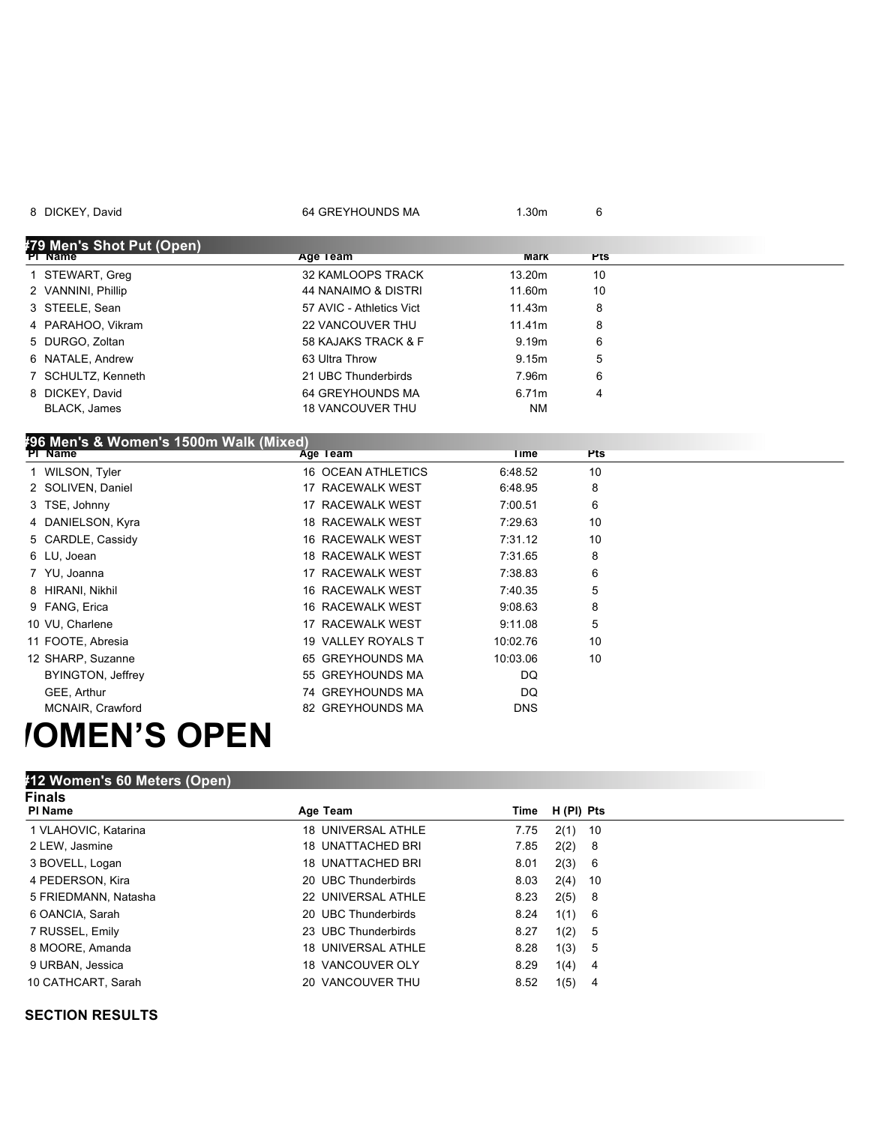| 8 DICKEY, David                                          | 64 GREYHOUNDS MA          | 1.30m       | 6          |  |
|----------------------------------------------------------|---------------------------|-------------|------------|--|
|                                                          |                           |             |            |  |
| #79 Men's Shot Put (Open)<br><b>PI Name</b>              | Age Team                  | <b>Mark</b> | <b>Pts</b> |  |
| 1 STEWART, Greg                                          | 32 KAMLOOPS TRACK         | 13.20m      | 10         |  |
| 2 VANNINI, Phillip                                       | 44 NANAIMO & DISTRI       | 11.60m      | 10         |  |
| 3 STEELE, Sean                                           | 57 AVIC - Athletics Vict  | 11.43m      | 8          |  |
| 4 PARAHOO, Vikram                                        | <b>22 VANCOUVER THU</b>   | 11.41m      | 8          |  |
| 5 DURGO, Zoltan                                          | 58 KAJAKS TRACK & F       | 9.19m       | 6          |  |
| 6 NATALE, Andrew                                         | 63 Ultra Throw            | 9.15m       | 5          |  |
| 7 SCHULTZ, Kenneth                                       | 21 UBC Thunderbirds       | 7.96m       | 6          |  |
| 8 DICKEY, David                                          | 64 GREYHOUNDS MA          | 6.71m       | 4          |  |
| BLACK, James                                             | <b>18 VANCOUVER THU</b>   | <b>NM</b>   |            |  |
|                                                          |                           |             |            |  |
| #96 Men's & Women's 1500m Walk (Mixed)<br><b>PI Name</b> | Age leam                  | Time        | <b>Pts</b> |  |
|                                                          |                           |             |            |  |
| 1 WILSON, Tyler                                          | <b>16 OCEAN ATHLETICS</b> | 6:48.52     | 10         |  |
| 2 SOLIVEN, Daniel                                        | 17 RACEWALK WEST          | 6:48.95     | 8          |  |
| 3 TSE, Johnny                                            | 17 RACEWALK WEST          | 7:00.51     | 6          |  |
| 4 DANIELSON, Kyra                                        | 18 RACEWALK WEST          | 7:29.63     | 10         |  |
| 5 CARDLE, Cassidy                                        | 16 RACEWALK WEST          | 7:31.12     | 10         |  |
| 6 LU, Joean                                              | 18 RACEWALK WEST          | 7:31.65     | 8          |  |
| 7 YU, Joanna                                             | 17 RACEWALK WEST          | 7:38.83     | 6          |  |
| 8 HIRANI, Nikhil                                         | 16 RACEWALK WEST          | 7:40.35     | 5          |  |
| 9 FANG, Erica                                            | 16 RACEWALK WEST          | 9:08.63     | 8          |  |
| 10 VU, Charlene                                          | 17 RACEWALK WEST          | 9:11.08     | 5          |  |
| 11 FOOTE, Abresia                                        | 19 VALLEY ROYALS T        | 10:02.76    | 10         |  |
| 12 SHARP, Suzanne                                        | 65 GREYHOUNDS MA          | 10:03.06    | 10         |  |
| <b>BYINGTON, Jeffrey</b>                                 | 55 GREYHOUNDS MA          | DQ          |            |  |
| GEE, Arthur                                              | 74 GREYHOUNDS MA          | DQ          |            |  |
| MCNAIR, Crawford                                         | 82 GREYHOUNDS MA          | <b>DNS</b>  |            |  |
|                                                          |                           |             |            |  |

# *IOMEN'S OPEN*

### **#12 Women's 60 Meters (Open)**

| <b>Finals</b>        |                     |      |              |
|----------------------|---------------------|------|--------------|
| <b>PI Name</b>       | Age Team            | Time | H (PI) Pts   |
| 1 VLAHOVIC, Katarina | 18 UNIVERSAL ATHLE  | 7.75 | 2(1)<br>- 10 |
| 2 LEW, Jasmine       | 18 UNATTACHED BRI   | 7.85 | 2(2) 8       |
| 3 BOVELL, Logan      | 18 UNATTACHED BRI   | 8.01 | 2(3) 6       |
| 4 PEDERSON, Kira     | 20 UBC Thunderbirds | 8.03 | 2(4)<br>- 10 |
| 5 FRIEDMANN, Natasha | 22 UNIVERSAL ATHLE  | 8.23 | $2(5)$ 8     |
| 6 OANCIA, Sarah      | 20 UBC Thunderbirds | 8.24 | 1(1) 6       |
| 7 RUSSEL, Emily      | 23 UBC Thunderbirds | 8.27 | 1(2) 5       |
| 8 MOORE, Amanda      | 18 UNIVERSAL ATHLE  | 8.28 | 1(3) 5       |
| 9 URBAN, Jessica     | 18 VANCOUVER OLY    | 8.29 | 1(4)<br>- 4  |
| 10 CATHCART, Sarah   | 20 VANCOUVER THU    | 8.52 | 1(5)<br>-4   |

### **SECTION RESULTS**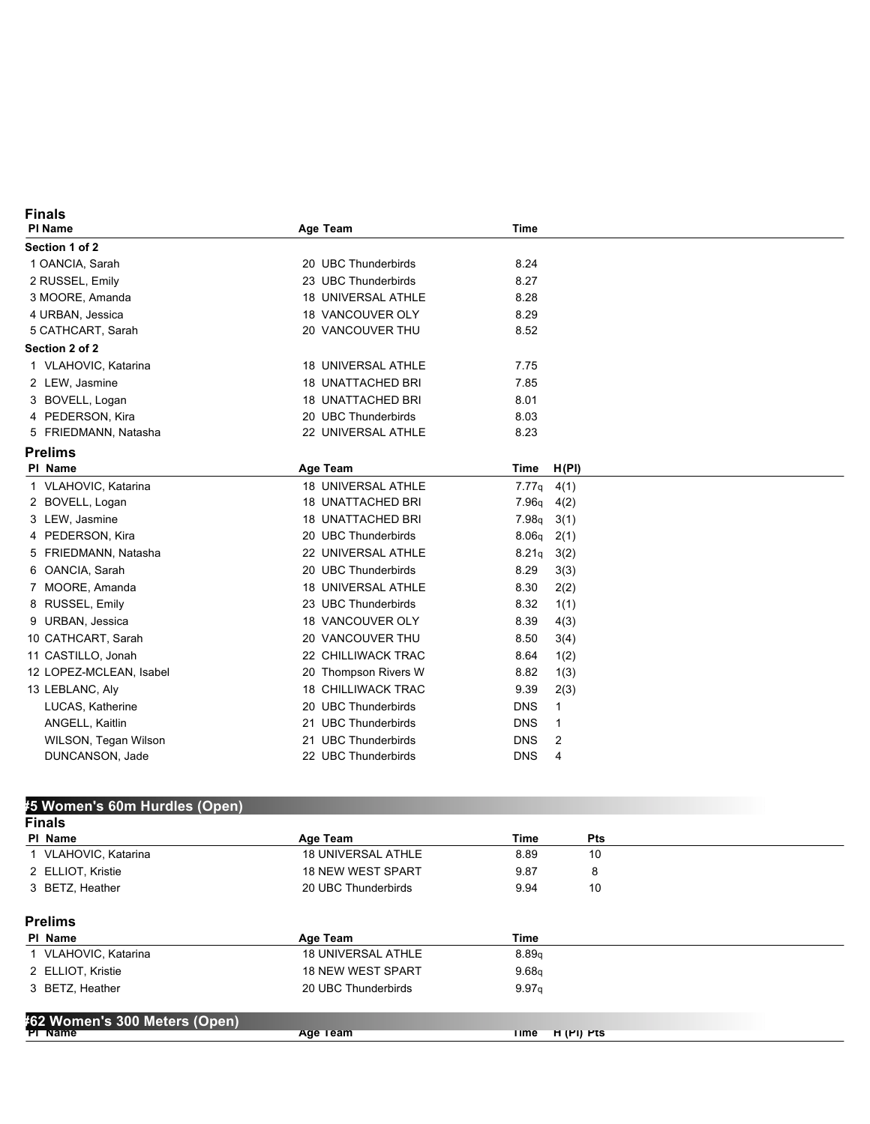### **Finals Pl Name Age Team Time Section 1 of 2** 1 OANCIA, Sarah 20 UBC Thunderbirds 8.24 2 RUSSEL, Emily 23 UBC Thunderbirds 8.27 3 MOORE, Amanda 18 UNIVERSAL ATHLE 2.28 4 URBAN, Jessica 18 VANCOUVER OLY 8.29 5 CATHCART, Sarah 20 VANCOUVER THU 8.52 **Section 2 of 2** 1 VLAHOVIC, Katarina 18 UNIVERSAL ATHLE 7.75 2 LEW, Jasmine 2 2 Lew, Jasmine 2.85 3 BOVELL, Logan 18 UNATTACHED BRI 8.01 4 PEDERSON, Kira 20 UBC Thunderbirds 8.03 5 FRIEDMANN, Natasha 22 UNIVERSAL ATHLE 8.23 **Prelims Pl Name Age Team Time H(Pl)** 1 VLAHOVIC, Katarina **18 UNIVERSAL ATHLE** 7.77<sub>q</sub> 4(1) 2 BOVELL, Logan 18 UNATTACHED BRI 7.96q 4(2) 3 LEW, Jasmine 18 UNATTACHED BRI 18 UNATTACHED BRI 18 UNATTACHED BRI 1989 1989 4 PEDERSON, Kira 20 UBC Thunderbirds 8.06q 2(1) 5 FRIEDMANN, Natasha 22 UNIVERSAL ATHLE 8.21q 3(2) 6 OANCIA, Sarah 20 UBC Thunderbirds 8.29 3(3) 7 MOORE, Amanda 18 UNIVERSAL ATHLE 2.30 2(2) 8 RUSSEL, Emily 23 UBC Thunderbirds 8.32 1(1) 9 URBAN, Jessica 18 VANCOUVER OLY 8.39 4(3) 10 CATHCART, Sarah 20 VANCOUVER THU 8.50 3(4) 11 CASTILLO, Jonah 22 CHILLIWACK TRAC 8.64 1(2) 12 LOPEZ-MCLEAN, Isabel 20 Thompson Rivers W 8.82 1(3) 13 LEBLANC, Aly 18 CHILLIWACK TRAC 9.39 2(3) LUCAS, Katherine 20 UBC Thunderbirds DNS 1 ANGELL, Kaitlin 21 UBC Thunderbirds DNS 1 WILSON, Tegan Wilson **21 UBC Thunderbirds** DNS 2 DUNCANSON, Jade 22 UBC Thunderbirds DNS 4

| #5 Women's 60m Hurdles (Open) |                           |                   |            |  |
|-------------------------------|---------------------------|-------------------|------------|--|
| <b>Finals</b>                 |                           |                   |            |  |
| PI Name                       | Age Team                  | Time              | <b>Pts</b> |  |
| 1 VLAHOVIC, Katarina          | <b>18 UNIVERSAL ATHLE</b> | 8.89              | 10         |  |
| 2 ELLIOT, Kristie             | <b>18 NEW WEST SPART</b>  | 9.87              | 8          |  |
| 3 BETZ, Heather               | 20 UBC Thunderbirds       | 9.94              | 10         |  |
| <b>Prelims</b>                |                           |                   |            |  |
| PI Name                       | Age Team                  | <b>Time</b>       |            |  |
| 1 VLAHOVIC, Katarina          | <b>18 UNIVERSAL ATHLE</b> | 8.89q             |            |  |
| 2 ELLIOT, Kristie             | <b>18 NEW WEST SPART</b>  | 9.68 <sub>q</sub> |            |  |
| 3 BETZ, Heather               | 20 UBC Thunderbirds       | 9.97q             |            |  |
| #62 Women's 300 Meters (Open) |                           |                   |            |  |
| <b>PI Name</b>                | Age Team                  | Time              | H (PI) Pts |  |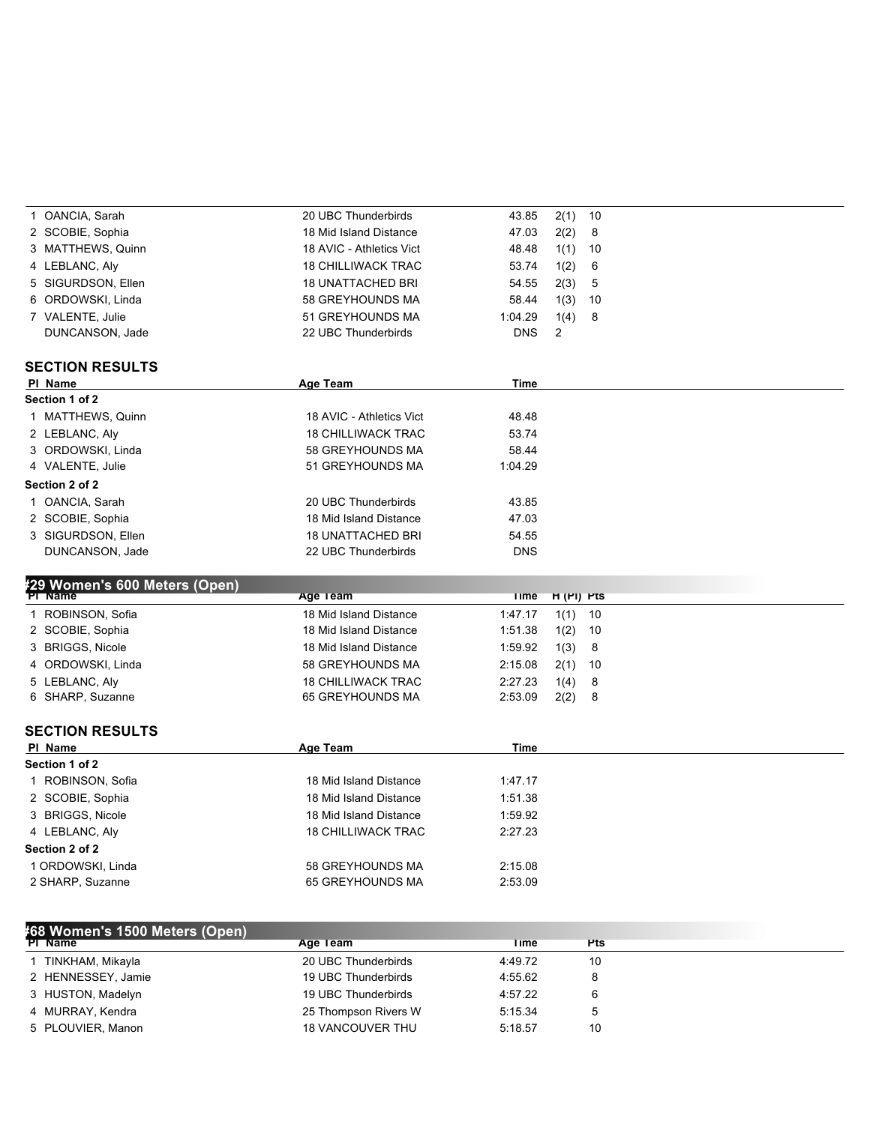| 1 OANCIA, Sarah                           | 20 UBC Thunderbirds       | 43.85       | 2(1)<br>10     |
|-------------------------------------------|---------------------------|-------------|----------------|
| 2 SCOBIE, Sophia                          | 18 Mid Island Distance    | 47.03       | 2(2)<br>8      |
| 3 MATTHEWS, Quinn                         | 18 AVIC - Athletics Vict  | 48.48       | 10<br>1(1)     |
| 4 LEBLANC, Aly                            | <b>18 CHILLIWACK TRAC</b> | 53.74       | 1(2)<br>6      |
| 5 SIGURDSON, Ellen                        | <b>18 UNATTACHED BRI</b>  | 54.55       | 5<br>2(3)      |
| 6 ORDOWSKI, Linda                         | 58 GREYHOUNDS MA          | 58.44       | 10<br>1(3)     |
| 7 VALENTE, Julie                          | 51 GREYHOUNDS MA          | 1:04.29     | 1(4)<br>8      |
| DUNCANSON, Jade                           | 22 UBC Thunderbirds       | <b>DNS</b>  | $\overline{2}$ |
| <b>SECTION RESULTS</b>                    |                           |             |                |
| PI Name                                   | Age Team                  | Time        |                |
| Section 1 of 2                            |                           |             |                |
| 1 MATTHEWS, Quinn                         | 18 AVIC - Athletics Vict  | 48.48       |                |
| 2 LEBLANC, Aly                            | <b>18 CHILLIWACK TRAC</b> | 53.74       |                |
| 3 ORDOWSKI, Linda                         | 58 GREYHOUNDS MA          | 58.44       |                |
| 4 VALENTE, Julie                          | 51 GREYHOUNDS MA          | 1:04.29     |                |
| Section 2 of 2                            |                           |             |                |
| 1 OANCIA, Sarah                           | 20 UBC Thunderbirds       | 43.85       |                |
| 2 SCOBIE, Sophia                          | 18 Mid Island Distance    | 47.03       |                |
| 3 SIGURDSON, Ellen                        | <b>18 UNATTACHED BRI</b>  | 54.55       |                |
| DUNCANSON, Jade                           | 22 UBC Thunderbirds       | <b>DNS</b>  |                |
| ่ 29 Women's 600 Meters (Open)<br>ยาวงลme | Age Team                  | Time        | $H(H)$ Pts     |
| 1 ROBINSON, Sofia                         | 18 Mid Island Distance    | 1:47.17     | 1(1)<br>10     |
| 2 SCOBIE, Sophia                          | 18 Mid Island Distance    | 1:51.38     | 10<br>1(2)     |
| 3 BRIGGS, Nicole                          | 18 Mid Island Distance    | 1:59.92     | 1(3)<br>8      |
| 4 ORDOWSKI, Linda                         | 58 GREYHOUNDS MA          | 2:15.08     | 2(1)<br>10     |
| 5 LEBLANC, Aly                            | <b>18 CHILLIWACK TRAC</b> | 2:27.23     | 8<br>1(4)      |
| 6 SHARP, Suzanne                          | 65 GREYHOUNDS MA          | 2:53.09     | 2(2)<br>8      |
|                                           |                           |             |                |
| <b>SECTION RESULTS</b>                    |                           |             |                |
| PI Name                                   | Age Team                  | <b>Time</b> |                |
| Section 1 of 2                            |                           |             |                |
| 1 ROBINSON, Sofia                         | 18 Mid Island Distance    | 1:47.17     |                |
| 2 SCOBIE, Sophia                          | 18 Mid Island Distance    | 1:51.38     |                |
| 3 BRIGGS, Nicole                          | 18 Mid Island Distance    | 1:59.92     |                |
| 4 LEBLANC, Aly                            | <b>18 CHILLIWACK TRAC</b> | 2:27.23     |                |
| Section 2 of 2                            |                           |             |                |
| 1 ORDOWSKI, Linda                         | 58 GREYHOUNDS MA          | 2:15.08     |                |
| 2 SHARP, Suzanne                          | 65 GREYHOUNDS MA          | 2:53.09     |                |
|                                           |                           |             |                |
|                                           |                           |             |                |

| #68 Women's 1500 Meters (Open) |                                                                                                                          |                                  |                                                     |
|--------------------------------|--------------------------------------------------------------------------------------------------------------------------|----------------------------------|-----------------------------------------------------|
|                                |                                                                                                                          | Time                             | Pts                                                 |
|                                | 20 UBC Thunderbirds                                                                                                      |                                  | 10                                                  |
|                                | 19 UBC Thunderbirds                                                                                                      |                                  | 8                                                   |
|                                | 19 UBC Thunderbirds                                                                                                      |                                  | 6                                                   |
|                                |                                                                                                                          |                                  | 5                                                   |
|                                | <b>18 VANCOUVER THU</b>                                                                                                  |                                  | 10                                                  |
|                                | <b>PI Name</b><br>1 TINKHAM, Mikayla<br>2 HENNESSEY, Jamie<br>3 HUSTON, Madelyn<br>4 MURRAY, Kendra<br>5 PLOUVIER, Manon | Age Team<br>25 Thompson Rivers W | 4:49.72<br>4:55.62<br>4:57.22<br>5:15.34<br>5:18.57 |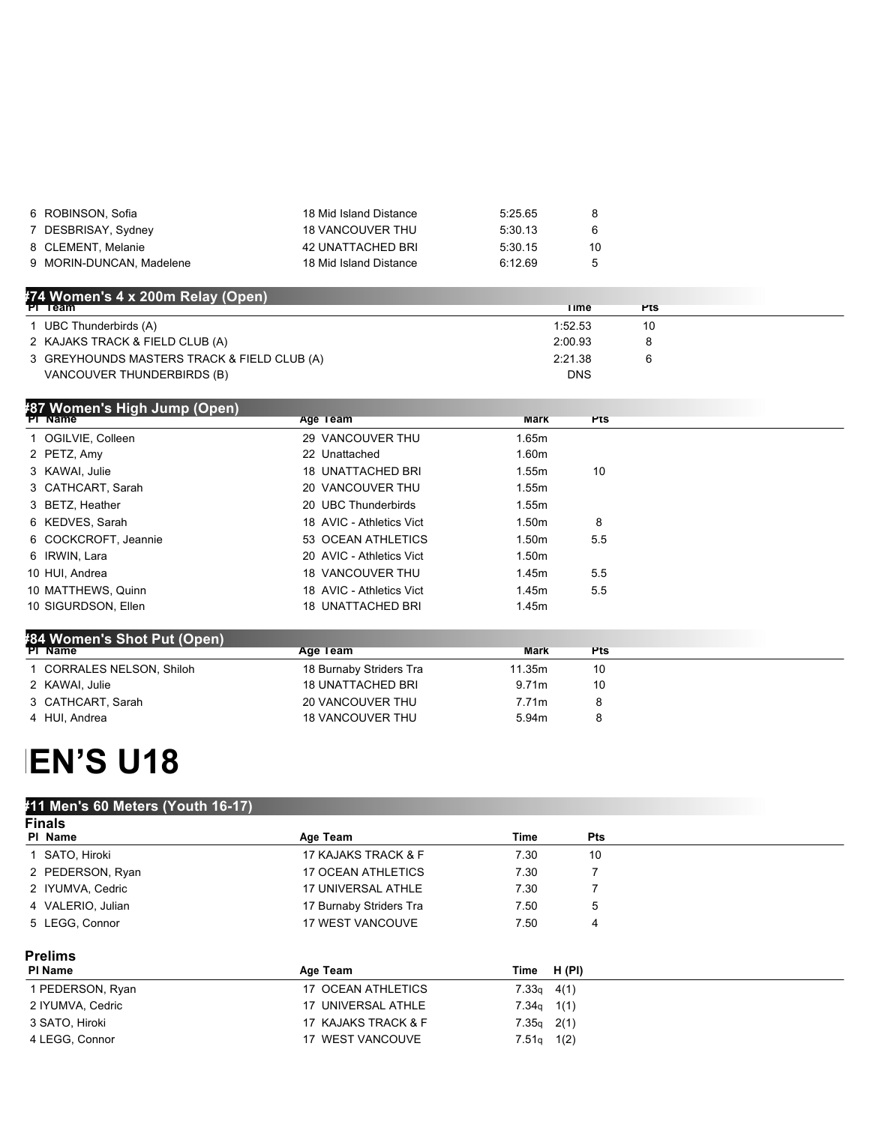| 6 ROBINSON, Sofia        | 18 Mid Island Distance  | 5:25.65 | 8  |
|--------------------------|-------------------------|---------|----|
| 7 DESBRISAY, Sydney      | <b>18 VANCOUVER THU</b> | 5:30.13 | -6 |
| 8 CLEMENT, Melanie       | 42 UNATTACHED BRI       | 5:30.15 | 10 |
| 9 MORIN-DUNCAN, Madelene | 18 Mid Island Distance  | 6:12.69 | -5 |
|                          |                         |         |    |

### **#74 Women's 4 x 200m Relay (Open)**

| $PT$ eam                                    | i ime      | ۲is |
|---------------------------------------------|------------|-----|
| 1 UBC Thunderbirds (A)                      | 1:52.53    | 10  |
| 2 KAJAKS TRACK & FIELD CLUB (A)             | 2:00.93    |     |
| 3 GREYHOUNDS MASTERS TRACK & FIELD CLUB (A) | 2:21.38    |     |
| VANCOUVER THUNDERBIRDS (B)                  | <b>DNS</b> |     |

|                | #87 Women's High Jump (Open) |          |                          |                   |            |
|----------------|------------------------------|----------|--------------------------|-------------------|------------|
| <b>PI Name</b> |                              | Age Team |                          | <b>Mark</b>       | <b>Pts</b> |
|                | 1 OGILVIE, Colleen           |          | 29 VANCOUVER THU         | 1.65m             |            |
|                | 2 PETZ, Amy                  |          | 22 Unattached            | 1.60m             |            |
|                | 3 KAWAI, Julie               |          | 18 UNATTACHED BRI        | 1.55m             | 10         |
|                | 3 CATHCART, Sarah            |          | <b>20 VANCOUVER THU</b>  | 1.55m             |            |
|                | 3 BETZ, Heather              |          | 20 UBC Thunderbirds      | 1.55m             |            |
|                | 6 KEDVES, Sarah              |          | 18 AVIC - Athletics Vict | 1.50m             | 8          |
|                | 6 COCKCROFT. Jeannie         |          | 53 OCEAN ATHLETICS       | 1.50 <sub>m</sub> | 5.5        |
|                | 6 IRWIN, Lara                |          | 20 AVIC - Athletics Vict | 1.50m             |            |
|                | 10 HUI, Andrea               |          | <b>18 VANCOUVER THU</b>  | 1.45m             | 5.5        |
|                | 10 MATTHEWS, Quinn           |          | 18 AVIC - Athletics Vict | 1.45m             | 5.5        |
|                | 10 SIGURDSON, Ellen          |          | 18 UNATTACHED BRI        | 1.45m             |            |

| #84 Women's Shot Put (Open) |                         |             |     |
|-----------------------------|-------------------------|-------------|-----|
| <b>PI Name</b>              | Age Team                | <b>Mark</b> | ۲is |
| 1 CORRALES NELSON, Shiloh   | 18 Burnaby Striders Tra | 11.35m      | 10  |
| 2 KAWAI, Julie              | 18 UNATTACHED BRI       | 9.71m       | 10  |
| 3 CATHCART, Sarah           | <b>20 VANCOUVER THU</b> | 7.71m       | 8   |
| 4 HUI, Andrea               | <b>18 VANCOUVER THU</b> | 5.94m       | 8   |

# **IEN'S U18**

#### **#11 Men's 60 Meters (Youth 16-17)**

| Age Team                | Time         | <b>Pts</b>   |
|-------------------------|--------------|--------------|
| 17 KAJAKS TRACK & F     | 7.30         | 10           |
| 17 OCEAN ATHLETICS      | 7.30         |              |
| 17 UNIVERSAL ATHLE      | 7.30         |              |
| 17 Burnaby Striders Tra | 7.50         | 5            |
| <b>17 WEST VANCOUVE</b> | 7.50         | 4            |
|                         |              |              |
| Age Team                |              | Time H(PI)   |
| 17 OCEAN ATHLETICS      |              | $7.33q$ 4(1) |
| 17 UNIVERSAL ATHLE      | $7.34q$ 1(1) |              |
| 17 KAJAKS TRACK & F     |              | $7.35q$ 2(1) |
| 17 WEST VANCOUVE        | $7.51q$ 1(2) |              |
|                         |              |              |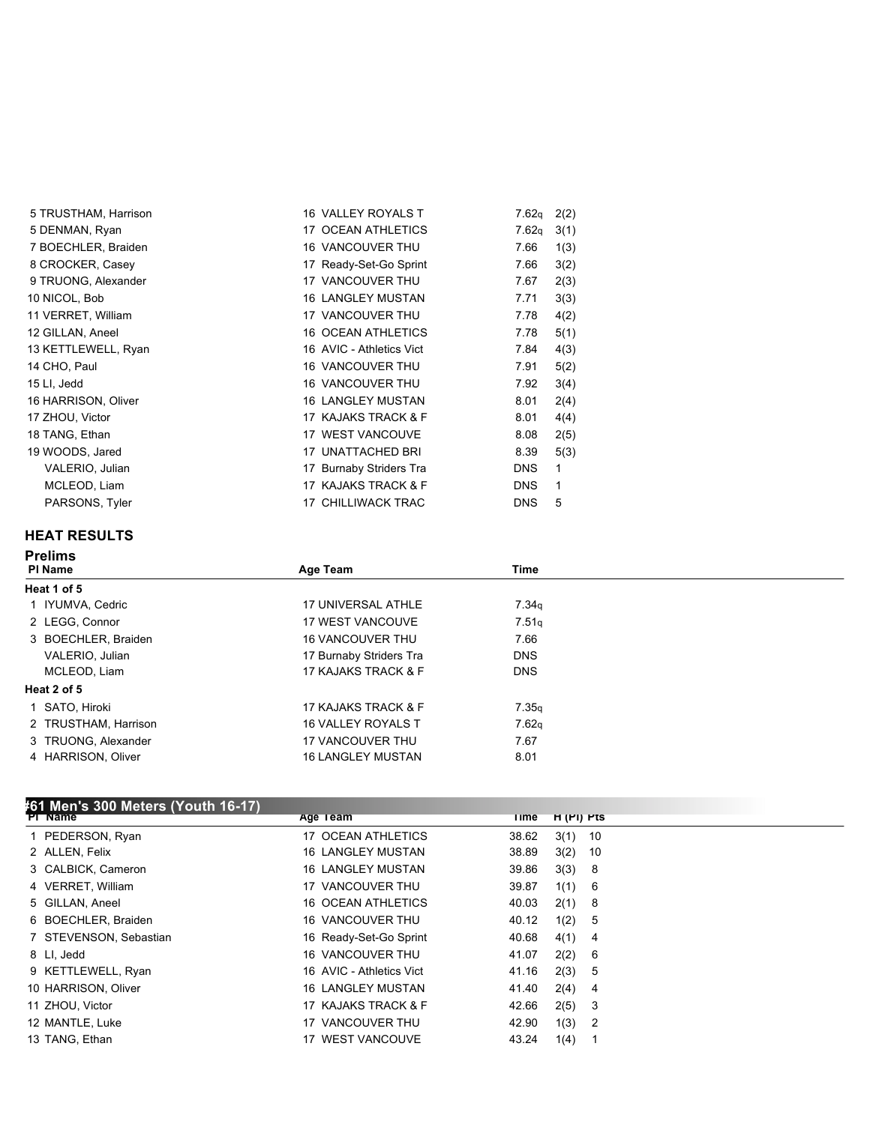| 5 TRUSTHAM, Harrison | 16 VALLEY ROYALS T        | 7.62q             | 2(2) |
|----------------------|---------------------------|-------------------|------|
| 5 DENMAN, Ryan       | 17 OCEAN ATHLETICS        | 7.62 <sub>q</sub> | 3(1) |
| 7 BOECHLER, Braiden  | <b>16 VANCOUVER THU</b>   | 7.66              | 1(3) |
| 8 CROCKER, Casey     | 17 Ready-Set-Go Sprint    | 7.66              | 3(2) |
| 9 TRUONG, Alexander  | 17 VANCOUVER THU          | 7.67              | 2(3) |
| 10 NICOL, Bob        | <b>16 LANGLEY MUSTAN</b>  | 7.71              | 3(3) |
| 11 VERRET, William   | 17 VANCOUVER THU          | 7.78              | 4(2) |
| 12 GILLAN, Aneel     | <b>16 OCEAN ATHLETICS</b> | 7.78              | 5(1) |
| 13 KETTLEWELL, Ryan  | 16 AVIC - Athletics Vict  | 7.84              | 4(3) |
| 14 CHO, Paul         | <b>16 VANCOUVER THU</b>   | 7.91              | 5(2) |
| 15 LI, Jedd          | <b>16 VANCOUVER THU</b>   | 7.92              | 3(4) |
| 16 HARRISON, Oliver  | <b>16 LANGLEY MUSTAN</b>  | 8.01              | 2(4) |
| 17 ZHOU, Victor      | 17 KAJAKS TRACK & F       | 8.01              | 4(4) |
| 18 TANG, Ethan       | <b>17 WEST VANCOUVE</b>   | 8.08              | 2(5) |
| 19 WOODS, Jared      | 17 UNATTACHED BRI         | 8.39              | 5(3) |
| VALERIO, Julian      | 17 Burnaby Striders Tra   | <b>DNS</b>        | 1    |
| MCLEOD, Liam         | 17 KAJAKS TRACK & F       | <b>DNS</b>        | 1    |
| PARSONS, Tyler       | <b>17 CHILLIWACK TRAC</b> | <b>DNS</b>        | 5    |

### **HEAT RESULTS**

| <b>Prelims</b>       |                           |                   |  |
|----------------------|---------------------------|-------------------|--|
| PI Name              | Age Team                  | Time              |  |
| Heat 1 of 5          |                           |                   |  |
| 1 IYUMVA, Cedric     | <b>17 UNIVERSAL ATHLE</b> | 7.34 <sub>q</sub> |  |
| 2 LEGG, Connor       | <b>17 WEST VANCOUVE</b>   | 7.51q             |  |
| 3 BOECHLER, Braiden  | <b>16 VANCOUVER THU</b>   | 7.66              |  |
| VALERIO, Julian      | 17 Burnaby Striders Tra   | <b>DNS</b>        |  |
| MCLEOD, Liam         | 17 KAJAKS TRACK & F       | <b>DNS</b>        |  |
| Heat 2 of 5          |                           |                   |  |
| 1 SATO, Hiroki       | 17 KAJAKS TRACK & F       | 7.35q             |  |
| 2 TRUSTHAM, Harrison | 16 VALLEY ROYALS T        | 7.62q             |  |
| 3 TRUONG, Alexander  | <b>17 VANCOUVER THU</b>   | 7.67              |  |
| 4 HARRISON, Oliver   | <b>16 LANGLEY MUSTAN</b>  | 8.01              |  |
|                      |                           |                   |  |

### **#61 Men's 300 Meters (Youth 16-17)**

| <b>PI Name</b>         | Age Team                 | <b>lime</b> | $H(H)$ Pts  |
|------------------------|--------------------------|-------------|-------------|
| 1 PEDERSON, Ryan       | 17 OCEAN ATHLETICS       | 38.62       | 3(1)<br>10  |
| 2 ALLEN, Felix         | <b>16 LANGLEY MUSTAN</b> | 38.89       | 3(2)<br>10  |
| 3 CALBICK, Cameron     | <b>16 LANGLEY MUSTAN</b> | 39.86       | 3(3) 8      |
| 4 VERRET, William      | 17 VANCOUVER THU         | 39.87       | 1(1)<br>- 6 |
| 5 GILLAN, Aneel        | 16 OCEAN ATHLETICS       | 40.03       | $2(1)$ 8    |
| 6 BOECHLER, Braiden    | 16 VANCOUVER THU         | 40.12       | 1(2)<br>-5  |
| 7 STEVENSON, Sebastian | 16 Ready-Set-Go Sprint   | 40.68       | 4(1)<br>-4  |
| 8 LI, Jedd             | <b>16 VANCOUVER THU</b>  | 41.07       | 2(2)<br>6   |
| 9 KETTLEWELL, Ryan     | 16 AVIC - Athletics Vict | 41.16       | 2(3) 5      |
| 10 HARRISON, Oliver    | 16 LANGLEY MUSTAN        | 41.40       | 2(4)<br>-4  |
| 11 ZHOU, Victor        | 17 KAJAKS TRACK & F      | 42.66       | 2(5)<br>-3  |
| 12 MANTLE, Luke        | 17 VANCOUVER THU         | 42.90       | $1(3)$ 2    |
| 13 TANG, Ethan         | 17 WEST VANCOUVE         | 43.24       | 1(4)        |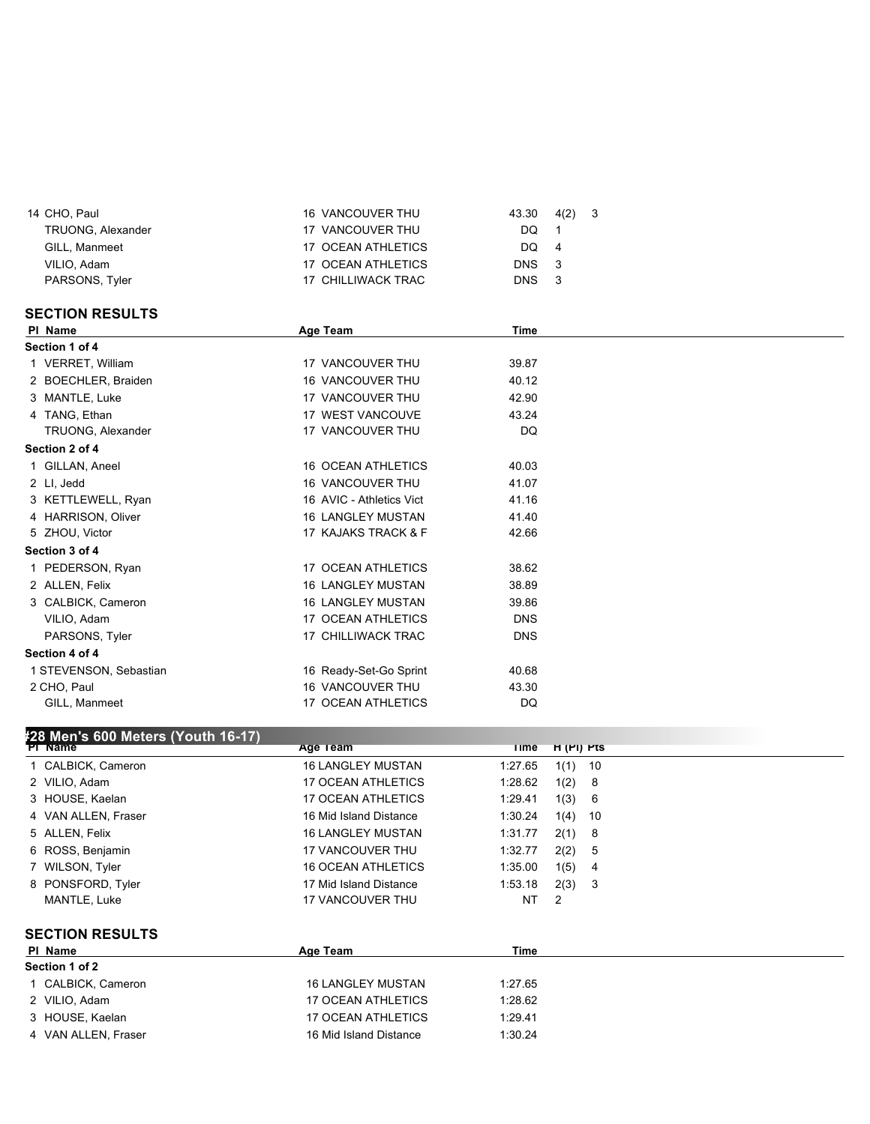| 14 CHO, Paul      | <b>16 VANCOUVER THU</b> | 43.30 4(2) 3     |  |
|-------------------|-------------------------|------------------|--|
| TRUONG, Alexander | 17 VANCOUVER THU        | DO 1             |  |
| GILL, Manmeet     | 17 OCEAN ATHLETICS      | DO 4             |  |
| VILIO, Adam       | 17 OCEAN ATHLETICS      | DNS <sub>3</sub> |  |
| PARSONS, Tyler    | 17 CHILLIWACK TRAC      | DNS 3            |  |
|                   |                         |                  |  |

| PI Name                | Age Team                  | Time       |  |
|------------------------|---------------------------|------------|--|
| Section 1 of 4         |                           |            |  |
| 1 VERRET, William      | 17 VANCOUVER THU          | 39.87      |  |
| 2 BOECHLER, Braiden    | 16 VANCOUVER THU          | 40.12      |  |
| 3 MANTLE, Luke         | 17 VANCOUVER THU          | 42.90      |  |
| 4 TANG, Ethan          | 17 WEST VANCOUVE          | 43.24      |  |
| TRUONG, Alexander      | 17 VANCOUVER THU          | DQ         |  |
| Section 2 of 4         |                           |            |  |
| 1 GILLAN, Aneel        | <b>16 OCEAN ATHLETICS</b> | 40.03      |  |
| 2 LI, Jedd             | 16 VANCOUVER THU          | 41.07      |  |
| 3 KETTLEWELL, Ryan     | 16 AVIC - Athletics Vict  | 41.16      |  |
| 4 HARRISON, Oliver     | <b>16 LANGLEY MUSTAN</b>  | 41.40      |  |
| 5 ZHOU, Victor         | 17 KAJAKS TRACK & F       | 42.66      |  |
| Section 3 of 4         |                           |            |  |
| 1 PEDERSON, Ryan       | <b>17 OCEAN ATHLETICS</b> | 38.62      |  |
| 2 ALLEN, Felix         | <b>16 LANGLEY MUSTAN</b>  | 38.89      |  |
| 3 CALBICK, Cameron     | <b>16 LANGLEY MUSTAN</b>  | 39.86      |  |
| VILIO, Adam            | 17 OCEAN ATHLETICS        | <b>DNS</b> |  |
| PARSONS, Tyler         | 17 CHILLIWACK TRAC        | <b>DNS</b> |  |
| Section 4 of 4         |                           |            |  |
| 1 STEVENSON, Sebastian | 16 Ready-Set-Go Sprint    | 40.68      |  |
| 2 CHO, Paul            | <b>16 VANCOUVER THU</b>   | 43.30      |  |
| GILL, Manmeet          | 17 OCEAN ATHLETICS        | DQ         |  |
|                        |                           |            |  |

### **#28 Men's 600 Meters (Youth 16-17)**

| <b>PI</b> Name         | Age Team                  | Time    | H (PI) Pts |      |  |
|------------------------|---------------------------|---------|------------|------|--|
| 1 CALBICK, Cameron     | <b>16 LANGLEY MUSTAN</b>  | 1:27.65 | 1(1)       | -10  |  |
| 2 VILIO, Adam          | <b>17 OCEAN ATHLETICS</b> | 1:28.62 | 1(2)       | - 8  |  |
| 3 HOUSE, Kaelan        | 17 OCEAN ATHLETICS        | 1:29.41 | 1(3)       | - 6  |  |
| 4 VAN ALLEN, Fraser    | 16 Mid Island Distance    | 1:30.24 | 1(4)       | - 10 |  |
| 5 ALLEN, Felix         | <b>16 LANGLEY MUSTAN</b>  | 1:31.77 | 2(1)       | 8    |  |
| 6 ROSS, Benjamin       | <b>17 VANCOUVER THU</b>   | 1:32.77 | 2(2)       | 5    |  |
| 7 WILSON, Tyler        | <b>16 OCEAN ATHLETICS</b> | 1:35.00 | 1(5)       | 4    |  |
| 8 PONSFORD, Tyler      | 17 Mid Island Distance    | 1:53.18 | 2(3)       | -3   |  |
| MANTLE, Luke           | <b>17 VANCOUVER THU</b>   | NT      | 2          |      |  |
| <b>SECTION RESULTS</b> |                           |         |            |      |  |
| PI Name                | Age Team                  | Time    |            |      |  |

| гі іманіс           | Ayt Italii               | .       |  |
|---------------------|--------------------------|---------|--|
| Section 1 of 2      |                          |         |  |
| 1 CALBICK, Cameron  | <b>16 LANGLEY MUSTAN</b> | 1:27.65 |  |
| 2 VILIO, Adam       | 17 OCEAN ATHLETICS       | 1:28.62 |  |
| 3 HOUSE, Kaelan     | 17 OCEAN ATHLETICS       | 1:29.41 |  |
| 4 VAN ALLEN, Fraser | 16 Mid Island Distance   | 1:30.24 |  |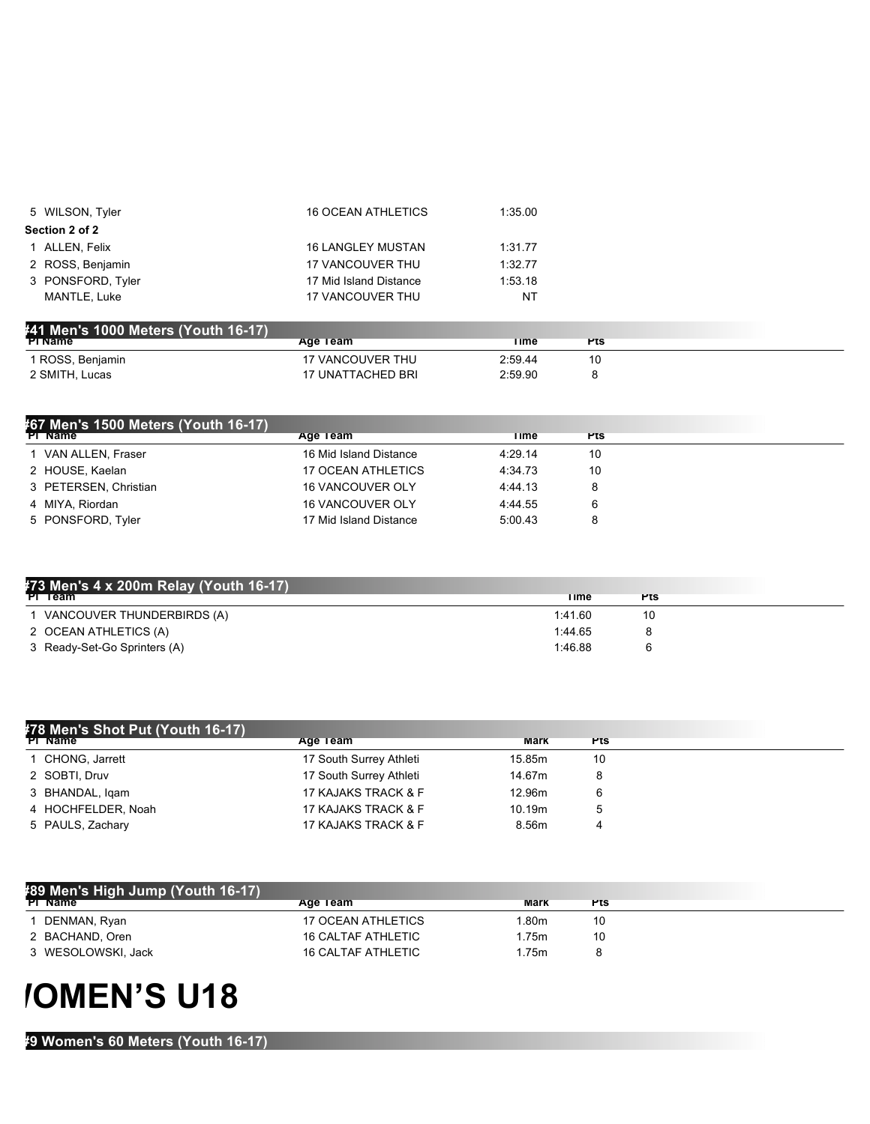| 5 WILSON, Tyler   | <b>16 OCEAN ATHLETICS</b> | 1:35.00 |
|-------------------|---------------------------|---------|
| Section 2 of 2    |                           |         |
| 1 ALLEN Felix     | <b>16 LANGLEY MUSTAN</b>  | 1:31.77 |
| 2 ROSS, Benjamin  | <b>17 VANCOUVER THU</b>   | 1:32.77 |
| 3 PONSFORD, Tyler | 17 Mid Island Distance    | 1:53.18 |
| MANTLE, Luke      | <b>17 VANCOUVER THU</b>   | ΝT      |

| #41 Men's 1000 Meters (Youth 16-17) |                         |         |     |  |  |
|-------------------------------------|-------------------------|---------|-----|--|--|
| <b>PI Name</b>                      | Age Team                | ∣ ıme   | ۲IS |  |  |
| 1 ROSS, Benjamin                    | <b>17 VANCOUVER THU</b> | 2:59.44 | 10  |  |  |
| 2 SMITH, Lucas                      | 17 UNATTACHED BRI       | 2:59.90 |     |  |  |

| #67 Men's 1500 Meters (Youth 16-17) |                         |         |     |  |
|-------------------------------------|-------------------------|---------|-----|--|
| <b>PI</b> Name                      | Age Team                | Time    | Pts |  |
| 1 VAN ALLEN, Fraser                 | 16 Mid Island Distance  | 4:29.14 | 10  |  |
| 2 HOUSE, Kaelan                     | 17 OCEAN ATHLETICS      | 4:34.73 | 10  |  |
| 3 PETERSEN, Christian               | <b>16 VANCOUVER OLY</b> | 4:44.13 | 8   |  |
| 4 MIYA, Riordan                     | <b>16 VANCOUVER OLY</b> | 4:44.55 | 6   |  |
| 5 PONSFORD, Tyler                   | 17 Mid Island Distance  | 5:00.43 | 8   |  |

| #73 Men's 4 x 200m Relay (Youth 16-17) |             |     |  |
|----------------------------------------|-------------|-----|--|
| $PT$ eam                               | <b>Time</b> | ۲is |  |
| I VANCOUVER THUNDERBIRDS (A)           | 1:41.60     | 10  |  |
| 2 OCEAN ATHLETICS (A)                  | 1:44.65     |     |  |
| 3 Ready-Set-Go Sprinters (A)           | 1:46.88     |     |  |

|                | #78 Men's Shot Put (Youth 16-17) |                         |             |            |  |
|----------------|----------------------------------|-------------------------|-------------|------------|--|
| <b>PI Name</b> |                                  | Age Team                | <b>Mark</b> | <b>Pts</b> |  |
|                | 1 CHONG, Jarrett                 | 17 South Surrey Athleti | 15.85m      | 10         |  |
|                | 2 SOBTI, Druv                    | 17 South Surrey Athleti | 14.67m      | 8          |  |
|                | 3 BHANDAL, Igam                  | 17 KAJAKS TRACK & F     | 12.96m      | 6          |  |
|                | 4 HOCHFELDER, Noah               | 17 KAJAKS TRACK & F     | 10.19m      | ა          |  |
|                | 5 PAULS, Zachary                 | 17 KAJAKS TRACK & F     | 8.56m       | 4          |  |

| #89 Men's High Jump (Youth 16-17) |                           |       |     |
|-----------------------------------|---------------------------|-------|-----|
| <b>PI Name</b>                    | Age Team                  | Mark  | ۲IS |
| DENMAN, Ryan                      | 17 OCEAN ATHLETICS        | ∣.80m | 10  |
| 2 BACHAND, Oren                   | 16 CALTAF ATHLETIC        | .75m  | 10  |
| 3 WESOLOWSKI, Jack                | <b>16 CALTAF ATHLETIC</b> | .75m  | 8   |

# *IOMEN'S U18*

**#9 Women's 60 Meters (Youth 16-17)**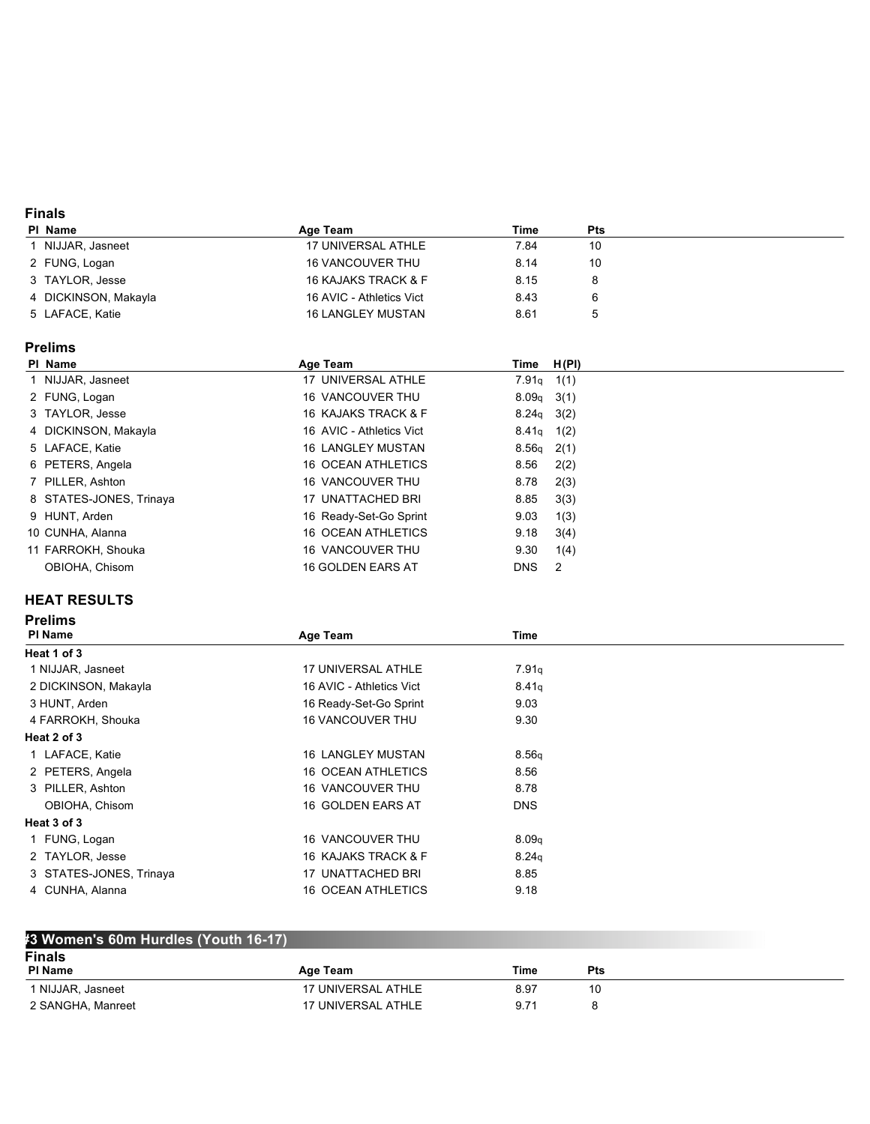### **Finals**

| PI Name              | Age Team                 | Time | <b>Pts</b> |  |
|----------------------|--------------------------|------|------------|--|
| 1 NIJJAR, Jasneet    | 17 UNIVERSAL ATHLE       | 7.84 | 10         |  |
| 2 FUNG, Logan        | <b>16 VANCOUVER THU</b>  | 8.14 | 10         |  |
| 3 TAYLOR, Jesse      | 16 KAJAKS TRACK & F      | 8.15 | 8          |  |
| 4 DICKINSON, Makayla | 16 AVIC - Athletics Vict | 8.43 |            |  |
| 5 LAFACE, Katie      | <b>16 LANGLEY MUSTAN</b> | 8.61 | 5          |  |

### **Prelims**

| PI Name                 | Age Team                 | Time         | H(PI) |
|-------------------------|--------------------------|--------------|-------|
| 1 NIJJAR, Jasneet       | 17 UNIVERSAL ATHLE       | $7.91q$ 1(1) |       |
| 2 FUNG, Logan           | <b>16 VANCOUVER THU</b>  | $8.09q$ 3(1) |       |
| 3 TAYLOR, Jesse         | 16 KAJAKS TRACK & F      | $8.24q$ 3(2) |       |
| 4 DICKINSON, Makayla    | 16 AVIC - Athletics Vict | $8.41q$ 1(2) |       |
| 5 LAFACE, Katie         | <b>16 LANGLEY MUSTAN</b> | $8.56q$ 2(1) |       |
| 6 PETERS, Angela        | 16 OCEAN ATHLETICS       | 8.56         | 2(2)  |
| 7 PILLER, Ashton        | <b>16 VANCOUVER THU</b>  | 8.78         | 2(3)  |
| 8 STATES-JONES, Trinaya | 17 UNATTACHED BRI        | 8.85         | 3(3)  |
| 9 HUNT, Arden           | 16 Ready-Set-Go Sprint   | 9.03         | 1(3)  |
| 10 CUNHA, Alanna        | 16 OCEAN ATHLETICS       | 9.18         | 3(4)  |
| 11 FARROKH, Shouka      | <b>16 VANCOUVER THU</b>  | 9.30         | 1(4)  |
| OBIOHA, Chisom          | <b>16 GOLDEN EARS AT</b> | <b>DNS</b>   | 2     |

### **HEAT RESULTS**

### **Prelims**

| <b>PI Name</b>          | Age Team                  | Time              |  |
|-------------------------|---------------------------|-------------------|--|
| Heat 1 of 3             |                           |                   |  |
| 1 NIJJAR, Jasneet       | <b>17 UNIVERSAL ATHLE</b> | 7.91q             |  |
| 2 DICKINSON, Makayla    | 16 AVIC - Athletics Vict  | 8.41q             |  |
| 3 HUNT, Arden           | 16 Ready-Set-Go Sprint    | 9.03              |  |
| 4 FARROKH, Shouka       | <b>16 VANCOUVER THU</b>   | 9.30              |  |
| Heat 2 of 3             |                           |                   |  |
| 1 LAFACE, Katie         | <b>16 LANGLEY MUSTAN</b>  | 8.56q             |  |
| 2 PETERS, Angela        | 16 OCEAN ATHLETICS        | 8.56              |  |
| 3 PILLER, Ashton        | <b>16 VANCOUVER THU</b>   | 8.78              |  |
| OBIOHA, Chisom          | 16 GOLDEN EARS AT         | <b>DNS</b>        |  |
| Heat 3 of 3             |                           |                   |  |
| 1 FUNG, Logan           | <b>16 VANCOUVER THU</b>   | 8.09 <sub>q</sub> |  |
| 2 TAYLOR, Jesse         | 16 KAJAKS TRACK & F       | 8.24 <sub>q</sub> |  |
| 3 STATES-JONES, Trinaya | 17 UNATTACHED BRI         | 8.85              |  |
| 4 CUNHA, Alanna         | <b>16 OCEAN ATHLETICS</b> | 9.18              |  |

### **Finals Pl Name Age Team Time Pts** 1 NIJJAR, Jasneet 17 UNIVERSAL ATHLE 2.97 10 2 SANGHA, Manreet 17 UNIVERSAL ATHLE 9.71 8 **#3 Women's 60m Hurdles (Youth 16-17)**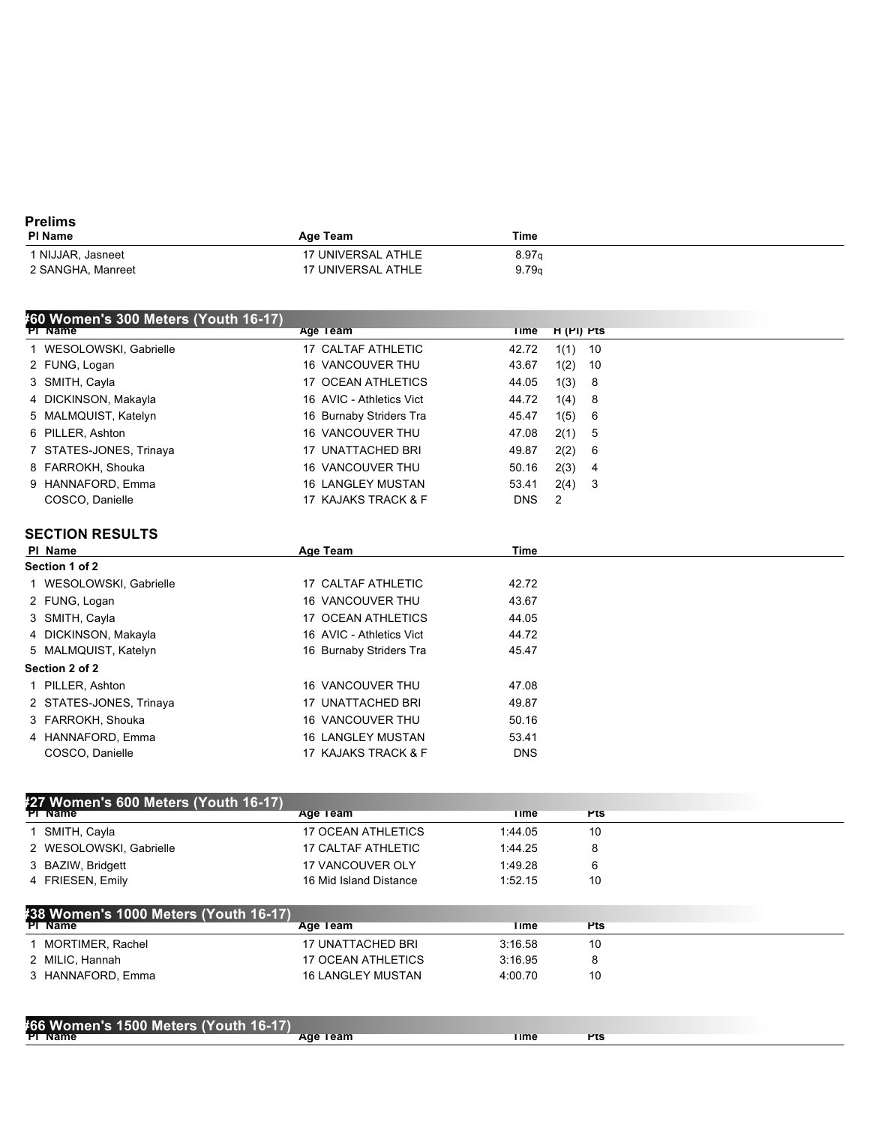| <b>Prelims</b><br><b>PI Name</b> | Age Team           | Time  |  |
|----------------------------------|--------------------|-------|--|
| 1 NIJJAR, Jasneet                | 17 UNIVERSAL ATHLE | 8.97q |  |
| 2 SANGHA, Manreet                | 17 UNIVERSAL ATHLE | 9.79a |  |

| #60 Women's 300 Meters (Youth 16-17) |                          |             |             |  |
|--------------------------------------|--------------------------|-------------|-------------|--|
| <b>PI Name</b>                       | Age Team                 | Time        | H (PI) Pts  |  |
| 1 WESOLOWSKI, Gabrielle              | 17 CALTAF ATHLETIC       | 42.72       | 1(1)<br>10  |  |
| 2 FUNG, Logan                        | <b>16 VANCOUVER THU</b>  | 43.67       | 1(2)<br>-10 |  |
| 3 SMITH, Cayla                       | 17 OCEAN ATHLETICS       | 44.05       | 1(3)<br>8   |  |
| 4 DICKINSON, Makayla                 | 16 AVIC - Athletics Vict | 44.72       | 1(4)<br>8   |  |
| 5 MALMQUIST, Katelyn                 | 16 Burnaby Striders Tra  | 45.47       | 1(5)<br>6   |  |
| 6 PILLER, Ashton                     | <b>16 VANCOUVER THU</b>  | 47.08       | 2(1)<br>5   |  |
| 7 STATES-JONES, Trinaya              | 17 UNATTACHED BRI        | 49.87       | 2(2)<br>6   |  |
| 8 FARROKH, Shouka                    | <b>16 VANCOUVER THU</b>  | 50.16       | 2(3)<br>4   |  |
| 9 HANNAFORD, Emma                    | <b>16 LANGLEY MUSTAN</b> | 53.41       | 2(4)<br>3   |  |
| COSCO, Danielle                      | 17 KAJAKS TRACK & F      | <b>DNS</b>  | 2           |  |
| <b>SECTION RESULTS</b>               |                          |             |             |  |
| PI Name                              | Age Team                 | <b>Time</b> |             |  |
| Section 1 of 2                       |                          |             |             |  |
| 1 WESOLOWSKI, Gabrielle              | 17 CALTAF ATHLETIC       | 42.72       |             |  |
|                                      |                          |             |             |  |
| 2 FUNG, Logan                        | 16 VANCOUVER THU         | 43.67       |             |  |
| 3 SMITH, Cayla                       | 17 OCEAN ATHLETICS       | 44.05       |             |  |
| 4 DICKINSON, Makayla                 | 16 AVIC - Athletics Vict | 44.72       |             |  |
| 5 MALMQUIST, Katelyn                 | 16 Burnaby Striders Tra  | 45.47       |             |  |
| Section 2 of 2                       |                          |             |             |  |
| 1 PILLER, Ashton                     | <b>16 VANCOUVER THU</b>  | 47.08       |             |  |
| 2 STATES-JONES, Trinaya              | 17 UNATTACHED BRI        | 49.87       |             |  |
| 3 FARROKH, Shouka                    | <b>16 VANCOUVER THU</b>  | 50.16       |             |  |
| 4 HANNAFORD, Emma                    | <b>16 LANGLEY MUSTAN</b> | 53.41       |             |  |

| #27 Women's 600 Meters (Youth 16-17)  |                           |         |            |  |
|---------------------------------------|---------------------------|---------|------------|--|
| <b>PI Name</b>                        | Age Team                  | l ime   | <b>Pts</b> |  |
| 1 SMITH, Cayla                        | <b>17 OCEAN ATHLETICS</b> | 1:44.05 | 10         |  |
| 2 WESOLOWSKI, Gabrielle               | <b>17 CALTAF ATHLETIC</b> | 1:44.25 | 8          |  |
| 3 BAZIW, Bridgett                     | 17 VANCOUVER OLY          | 1:49.28 | 6          |  |
| 4 FRIESEN, Emily                      | 16 Mid Island Distance    | 1:52.15 | 10         |  |
|                                       |                           |         |            |  |
| #38 Women's 1000 Meters (Youth 16-17) |                           |         |            |  |
| <b>PI Name</b>                        | Age Team                  | l ime   | <b>Pts</b> |  |
| 1 MORTIMER, Rachel                    | <b>17 UNATTACHED BRI</b>  | 3:16.58 | 10         |  |
| 2 MILIC, Hannah                       | 17 OCEAN ATHLETICS        | 3:16.95 | 8          |  |
| 3 HANNAFORD, Emma                     | <b>16 LANGLEY MUSTAN</b>  | 4:00.70 | 10         |  |
|                                       |                           |         |            |  |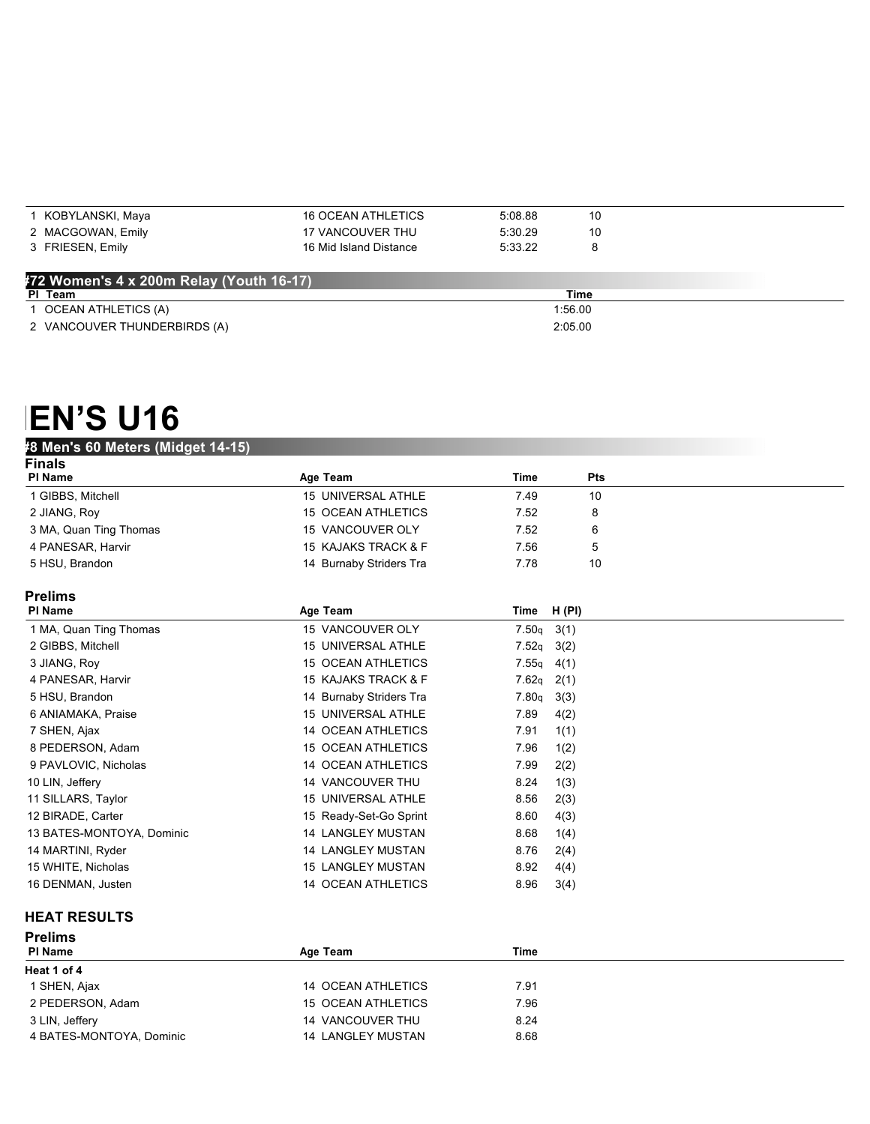| 1 OCEAN ATHLETICS (A)                    |                           |         | 1:56.00 |  |  |  |
|------------------------------------------|---------------------------|---------|---------|--|--|--|
| PI Team                                  |                           |         | Time    |  |  |  |
| #72 Women's 4 x 200m Relay (Youth 16-17) |                           |         |         |  |  |  |
| 3 FRIESEN, Emily                         | 16 Mid Island Distance    | 5:33.22 |         |  |  |  |
|                                          |                           |         |         |  |  |  |
| 2 MACGOWAN, Emily                        | 17 VANCOUVER THU          | 5:30.29 | 10      |  |  |  |
| KOBYLANSKI, Maya                         | <b>16 OCEAN ATHLETICS</b> | 5:08.88 | 10      |  |  |  |

2 VANCOUVER THUNDERBIRDS (A) 2:05.00

# **IEN'S U16**

| <b>Finals</b><br>PI Name<br>Age Team<br><b>Time</b><br>Pts<br>15 UNIVERSAL ATHLE<br>1 GIBBS, Mitchell<br>7.49<br>10<br><b>15 OCEAN ATHLETICS</b><br>7.52<br>8<br>2 JIANG, Roy<br>15 VANCOUVER OLY<br>3 MA, Quan Ting Thomas<br>7.52<br>6<br>15 KAJAKS TRACK & F<br>4 PANESAR, Harvir<br>7.56<br>5<br>14 Burnaby Striders Tra<br>5 HSU, Brandon<br>7.78<br>10<br><b>Prelims</b><br><b>PI Name</b><br>Age Team<br>H(PI)<br>Time<br>1 MA, Quan Ting Thomas<br>15 VANCOUVER OLY<br>7.50q<br>3(1)<br>15 UNIVERSAL ATHLE<br>7.52q<br>2 GIBBS, Mitchell<br>3(2)<br>15 OCEAN ATHLETICS<br>3 JIANG, Roy<br>7.55q<br>4(1)<br>15 KAJAKS TRACK & F<br>4 PANESAR, Harvir<br>7.62 <sub>q</sub><br>2(1)<br>5 HSU, Brandon<br>14 Burnaby Striders Tra<br>7.80q<br>3(3)<br><b>15 UNIVERSAL ATHLE</b><br>6 ANIAMAKA, Praise<br>7.89<br>4(2)<br>14 OCEAN ATHLETICS<br>7 SHEN, Ajax<br>7.91<br>1(1)<br><b>15 OCEAN ATHLETICS</b><br>8 PEDERSON, Adam<br>7.96<br>1(2)<br>9 PAVLOVIC, Nicholas<br><b>14 OCEAN ATHLETICS</b><br>7.99<br>2(2)<br>14 VANCOUVER THU<br>10 LIN, Jeffery<br>8.24<br>1(3)<br><b>15 UNIVERSAL ATHLE</b><br>8.56<br>11 SILLARS, Taylor<br>2(3)<br>12 BIRADE, Carter<br>15 Ready-Set-Go Sprint<br>8.60<br>4(3)<br><b>14 LANGLEY MUSTAN</b><br>13 BATES-MONTOYA, Dominic<br>8.68<br>1(4)<br>14 LANGLEY MUSTAN<br>8.76<br>14 MARTINI, Ryder<br>2(4)<br><b>15 LANGLEY MUSTAN</b><br>8.92<br>15 WHITE, Nicholas<br>4(4)<br>14 OCEAN ATHLETICS<br>16 DENMAN, Justen<br>8.96<br>3(4)<br><b>HEAT RESULTS</b><br><b>Prelims</b><br><b>PI Name</b><br><b>Time</b><br>Age Team<br>Heat 1 of 4 |  |
|-------------------------------------------------------------------------------------------------------------------------------------------------------------------------------------------------------------------------------------------------------------------------------------------------------------------------------------------------------------------------------------------------------------------------------------------------------------------------------------------------------------------------------------------------------------------------------------------------------------------------------------------------------------------------------------------------------------------------------------------------------------------------------------------------------------------------------------------------------------------------------------------------------------------------------------------------------------------------------------------------------------------------------------------------------------------------------------------------------------------------------------------------------------------------------------------------------------------------------------------------------------------------------------------------------------------------------------------------------------------------------------------------------------------------------------------------------------------------------------------------------------------------------------------------------------------------------------|--|
|                                                                                                                                                                                                                                                                                                                                                                                                                                                                                                                                                                                                                                                                                                                                                                                                                                                                                                                                                                                                                                                                                                                                                                                                                                                                                                                                                                                                                                                                                                                                                                                     |  |
|                                                                                                                                                                                                                                                                                                                                                                                                                                                                                                                                                                                                                                                                                                                                                                                                                                                                                                                                                                                                                                                                                                                                                                                                                                                                                                                                                                                                                                                                                                                                                                                     |  |
|                                                                                                                                                                                                                                                                                                                                                                                                                                                                                                                                                                                                                                                                                                                                                                                                                                                                                                                                                                                                                                                                                                                                                                                                                                                                                                                                                                                                                                                                                                                                                                                     |  |
|                                                                                                                                                                                                                                                                                                                                                                                                                                                                                                                                                                                                                                                                                                                                                                                                                                                                                                                                                                                                                                                                                                                                                                                                                                                                                                                                                                                                                                                                                                                                                                                     |  |
|                                                                                                                                                                                                                                                                                                                                                                                                                                                                                                                                                                                                                                                                                                                                                                                                                                                                                                                                                                                                                                                                                                                                                                                                                                                                                                                                                                                                                                                                                                                                                                                     |  |
|                                                                                                                                                                                                                                                                                                                                                                                                                                                                                                                                                                                                                                                                                                                                                                                                                                                                                                                                                                                                                                                                                                                                                                                                                                                                                                                                                                                                                                                                                                                                                                                     |  |
|                                                                                                                                                                                                                                                                                                                                                                                                                                                                                                                                                                                                                                                                                                                                                                                                                                                                                                                                                                                                                                                                                                                                                                                                                                                                                                                                                                                                                                                                                                                                                                                     |  |
|                                                                                                                                                                                                                                                                                                                                                                                                                                                                                                                                                                                                                                                                                                                                                                                                                                                                                                                                                                                                                                                                                                                                                                                                                                                                                                                                                                                                                                                                                                                                                                                     |  |
|                                                                                                                                                                                                                                                                                                                                                                                                                                                                                                                                                                                                                                                                                                                                                                                                                                                                                                                                                                                                                                                                                                                                                                                                                                                                                                                                                                                                                                                                                                                                                                                     |  |
|                                                                                                                                                                                                                                                                                                                                                                                                                                                                                                                                                                                                                                                                                                                                                                                                                                                                                                                                                                                                                                                                                                                                                                                                                                                                                                                                                                                                                                                                                                                                                                                     |  |
|                                                                                                                                                                                                                                                                                                                                                                                                                                                                                                                                                                                                                                                                                                                                                                                                                                                                                                                                                                                                                                                                                                                                                                                                                                                                                                                                                                                                                                                                                                                                                                                     |  |
|                                                                                                                                                                                                                                                                                                                                                                                                                                                                                                                                                                                                                                                                                                                                                                                                                                                                                                                                                                                                                                                                                                                                                                                                                                                                                                                                                                                                                                                                                                                                                                                     |  |
|                                                                                                                                                                                                                                                                                                                                                                                                                                                                                                                                                                                                                                                                                                                                                                                                                                                                                                                                                                                                                                                                                                                                                                                                                                                                                                                                                                                                                                                                                                                                                                                     |  |
|                                                                                                                                                                                                                                                                                                                                                                                                                                                                                                                                                                                                                                                                                                                                                                                                                                                                                                                                                                                                                                                                                                                                                                                                                                                                                                                                                                                                                                                                                                                                                                                     |  |
|                                                                                                                                                                                                                                                                                                                                                                                                                                                                                                                                                                                                                                                                                                                                                                                                                                                                                                                                                                                                                                                                                                                                                                                                                                                                                                                                                                                                                                                                                                                                                                                     |  |
|                                                                                                                                                                                                                                                                                                                                                                                                                                                                                                                                                                                                                                                                                                                                                                                                                                                                                                                                                                                                                                                                                                                                                                                                                                                                                                                                                                                                                                                                                                                                                                                     |  |
|                                                                                                                                                                                                                                                                                                                                                                                                                                                                                                                                                                                                                                                                                                                                                                                                                                                                                                                                                                                                                                                                                                                                                                                                                                                                                                                                                                                                                                                                                                                                                                                     |  |
|                                                                                                                                                                                                                                                                                                                                                                                                                                                                                                                                                                                                                                                                                                                                                                                                                                                                                                                                                                                                                                                                                                                                                                                                                                                                                                                                                                                                                                                                                                                                                                                     |  |
|                                                                                                                                                                                                                                                                                                                                                                                                                                                                                                                                                                                                                                                                                                                                                                                                                                                                                                                                                                                                                                                                                                                                                                                                                                                                                                                                                                                                                                                                                                                                                                                     |  |
|                                                                                                                                                                                                                                                                                                                                                                                                                                                                                                                                                                                                                                                                                                                                                                                                                                                                                                                                                                                                                                                                                                                                                                                                                                                                                                                                                                                                                                                                                                                                                                                     |  |
|                                                                                                                                                                                                                                                                                                                                                                                                                                                                                                                                                                                                                                                                                                                                                                                                                                                                                                                                                                                                                                                                                                                                                                                                                                                                                                                                                                                                                                                                                                                                                                                     |  |
|                                                                                                                                                                                                                                                                                                                                                                                                                                                                                                                                                                                                                                                                                                                                                                                                                                                                                                                                                                                                                                                                                                                                                                                                                                                                                                                                                                                                                                                                                                                                                                                     |  |
|                                                                                                                                                                                                                                                                                                                                                                                                                                                                                                                                                                                                                                                                                                                                                                                                                                                                                                                                                                                                                                                                                                                                                                                                                                                                                                                                                                                                                                                                                                                                                                                     |  |
|                                                                                                                                                                                                                                                                                                                                                                                                                                                                                                                                                                                                                                                                                                                                                                                                                                                                                                                                                                                                                                                                                                                                                                                                                                                                                                                                                                                                                                                                                                                                                                                     |  |
|                                                                                                                                                                                                                                                                                                                                                                                                                                                                                                                                                                                                                                                                                                                                                                                                                                                                                                                                                                                                                                                                                                                                                                                                                                                                                                                                                                                                                                                                                                                                                                                     |  |
|                                                                                                                                                                                                                                                                                                                                                                                                                                                                                                                                                                                                                                                                                                                                                                                                                                                                                                                                                                                                                                                                                                                                                                                                                                                                                                                                                                                                                                                                                                                                                                                     |  |
|                                                                                                                                                                                                                                                                                                                                                                                                                                                                                                                                                                                                                                                                                                                                                                                                                                                                                                                                                                                                                                                                                                                                                                                                                                                                                                                                                                                                                                                                                                                                                                                     |  |
|                                                                                                                                                                                                                                                                                                                                                                                                                                                                                                                                                                                                                                                                                                                                                                                                                                                                                                                                                                                                                                                                                                                                                                                                                                                                                                                                                                                                                                                                                                                                                                                     |  |
| <b>14 OCEAN ATHLETICS</b><br>7.91<br>1 SHEN, Ajax                                                                                                                                                                                                                                                                                                                                                                                                                                                                                                                                                                                                                                                                                                                                                                                                                                                                                                                                                                                                                                                                                                                                                                                                                                                                                                                                                                                                                                                                                                                                   |  |
| 15 OCEAN ATHLETICS<br>2 PEDERSON, Adam<br>7.96                                                                                                                                                                                                                                                                                                                                                                                                                                                                                                                                                                                                                                                                                                                                                                                                                                                                                                                                                                                                                                                                                                                                                                                                                                                                                                                                                                                                                                                                                                                                      |  |
| 14 VANCOUVER THU<br>8.24<br>3 LIN, Jeffery                                                                                                                                                                                                                                                                                                                                                                                                                                                                                                                                                                                                                                                                                                                                                                                                                                                                                                                                                                                                                                                                                                                                                                                                                                                                                                                                                                                                                                                                                                                                          |  |

4 BATES-MONTOYA, Dominic 14 LANGLEY MUSTAN 8.68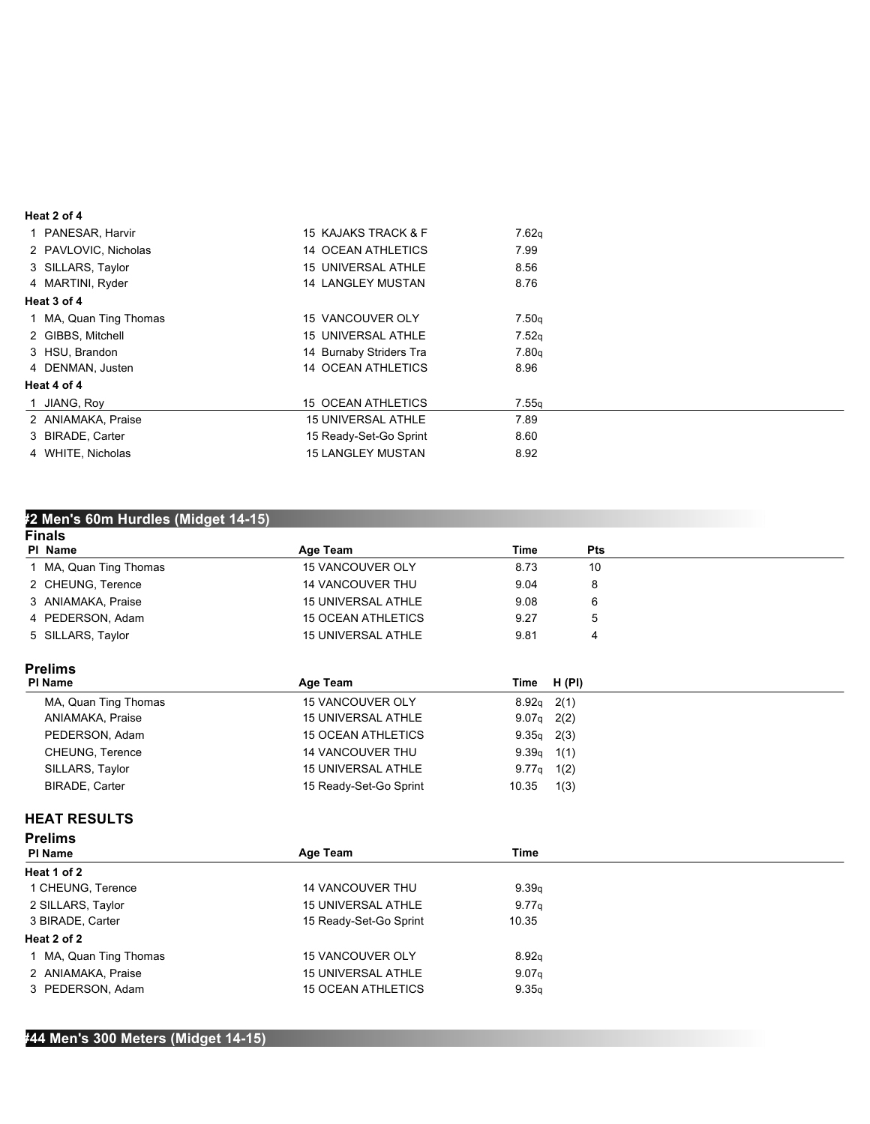| Heat 2 of 4            |                           |       |  |  |  |  |
|------------------------|---------------------------|-------|--|--|--|--|
| 1 PANESAR, Harvir      | 15 KAJAKS TRACK & F       | 7.62q |  |  |  |  |
| 2 PAVLOVIC, Nicholas   | 14 OCEAN ATHLETICS        | 7.99  |  |  |  |  |
| 3 SILLARS, Taylor      | <b>15 UNIVERSAL ATHLE</b> | 8.56  |  |  |  |  |
| 4 MARTINI, Ryder       | <b>14 LANGLEY MUSTAN</b>  | 8.76  |  |  |  |  |
| Heat 3 of 4            |                           |       |  |  |  |  |
| 1 MA, Quan Ting Thomas | 15 VANCOUVER OLY          | 7.50q |  |  |  |  |
| 2 GIBBS, Mitchell      | <b>15 UNIVERSAL ATHLE</b> | 7.52q |  |  |  |  |
| 3 HSU, Brandon         | 14 Burnaby Striders Tra   | 7.80q |  |  |  |  |
| 4 DENMAN, Justen       | 14 OCEAN ATHLETICS        | 8.96  |  |  |  |  |
| Heat 4 of 4            |                           |       |  |  |  |  |
| 1 JIANG, Roy           | <b>15 OCEAN ATHLETICS</b> | 7.55q |  |  |  |  |
| 2 ANIAMAKA, Praise     | <b>15 UNIVERSAL ATHLE</b> | 7.89  |  |  |  |  |
| 3 BIRADE, Carter       | 15 Ready-Set-Go Sprint    | 8.60  |  |  |  |  |
| 4 WHITE, Nicholas      | <b>15 LANGLEY MUSTAN</b>  | 8.92  |  |  |  |  |

### **#2 Men's 60m Hurdles (Midget 14-15)**

| <b>Finals</b>          |                           |      |     |  |  |  |
|------------------------|---------------------------|------|-----|--|--|--|
| PI Name                | Age Team                  | Time | Pts |  |  |  |
| 1 MA, Quan Ting Thomas | <b>15 VANCOUVER OLY</b>   | 8.73 | 10  |  |  |  |
| 2 CHEUNG, Terence      | <b>14 VANCOUVER THU</b>   | 9.04 | 8   |  |  |  |
| 3 ANIAMAKA, Praise     | <b>15 UNIVERSAL ATHLE</b> | 9.08 | 6   |  |  |  |
| 4 PEDERSON, Adam       | <b>15 OCEAN ATHLETICS</b> | 9.27 | 5   |  |  |  |
| 5 SILLARS, Taylor      | <b>15 UNIVERSAL ATHLE</b> | 9.81 | 4   |  |  |  |
|                        |                           |      |     |  |  |  |

### **Prelims**

| <b>PI Name</b>       | Age Team                  | Time         | H (PI) |  |
|----------------------|---------------------------|--------------|--------|--|
| MA, Quan Ting Thomas | <b>15 VANCOUVER OLY</b>   | $8.92q$ 2(1) |        |  |
| ANIAMAKA, Praise     | <b>15 UNIVERSAL ATHLE</b> | $9.07q$ 2(2) |        |  |
| PEDERSON, Adam       | <b>15 OCEAN ATHLETICS</b> | $9.35q$ 2(3) |        |  |
| CHEUNG, Terence      | <b>14 VANCOUVER THU</b>   | $9.39q$ 1(1) |        |  |
| SILLARS, Taylor      | 15 UNIVERSAL ATHLE        | $9.77q$ 1(2) |        |  |
| BIRADE, Carter       | 15 Ready-Set-Go Sprint    | 10.35        | 1(3)   |  |

#### **HEAT RESULTS**

| <b>Prelims</b>         |                           |                   |
|------------------------|---------------------------|-------------------|
| <b>PI Name</b>         | Age Team                  | Time              |
| Heat 1 of 2            |                           |                   |
| 1 CHEUNG, Terence      | <b>14 VANCOUVER THU</b>   | 9.39q             |
| 2 SILLARS, Taylor      | <b>15 UNIVERSAL ATHLE</b> | 9.77q             |
| 3 BIRADE, Carter       | 15 Ready-Set-Go Sprint    | 10.35             |
| Heat 2 of 2            |                           |                   |
| 1 MA, Quan Ting Thomas | <b>15 VANCOUVER OLY</b>   | 8.92q             |
| 2 ANIAMAKA, Praise     | <b>15 UNIVERSAL ATHLE</b> | 9.07 <sub>q</sub> |
| 3 PEDERSON, Adam       | <b>15 OCEAN ATHLETICS</b> | 9.35q             |

### **#44 Men's 300 Meters (Midget 14-15)**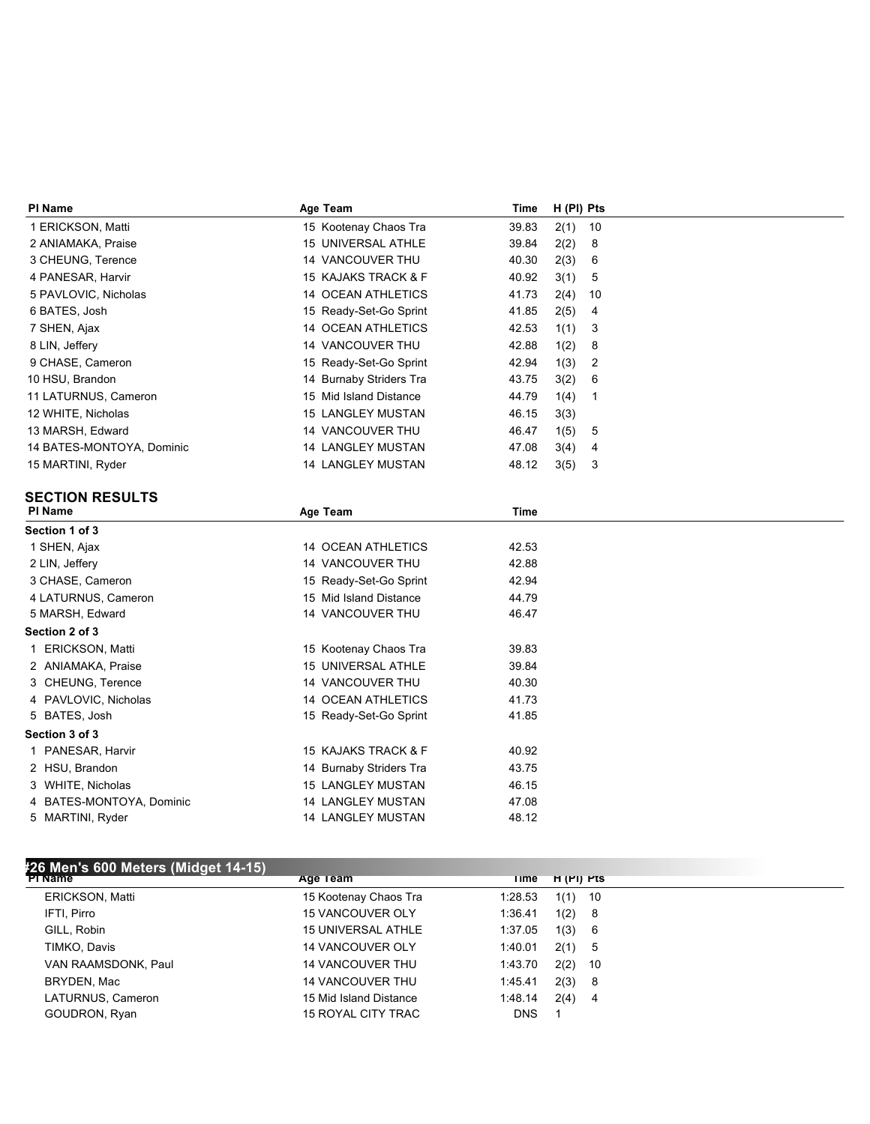| PI Name                   | Age Team                 | Time  | H (PI) Pts |
|---------------------------|--------------------------|-------|------------|
| 1 ERICKSON, Matti         | 15 Kootenay Chaos Tra    | 39.83 | 2(1)<br>10 |
| 2 ANIAMAKA, Praise        | 15 UNIVERSAL ATHLE       | 39.84 | 2(2)<br>8  |
| 3 CHEUNG, Terence         | 14 VANCOUVER THU         | 40.30 | 2(3)<br>6  |
| 4 PANESAR, Harvir         | 15 KAJAKS TRACK & F      | 40.92 | 3(1)<br>5  |
| 5 PAVLOVIC, Nicholas      | 14 OCEAN ATHLETICS       | 41.73 | 2(4)<br>10 |
| 6 BATES, Josh             | 15 Ready-Set-Go Sprint   | 41.85 | 2(5)<br>4  |
| 7 SHEN, Ajax              | 14 OCEAN ATHLETICS       | 42.53 | 1(1)<br>3  |
| 8 LIN, Jeffery            | 14 VANCOUVER THU         | 42.88 | 1(2)<br>8  |
| 9 CHASE, Cameron          | 15 Ready-Set-Go Sprint   | 42.94 | 1(3)<br>2  |
| 10 HSU, Brandon           | 14 Burnaby Striders Tra  | 43.75 | 3(2)<br>6  |
| 11 LATURNUS, Cameron      | 15 Mid Island Distance   | 44.79 | 1(4)<br>1  |
| 12 WHITE, Nicholas        | <b>15 LANGLEY MUSTAN</b> | 46.15 | 3(3)       |
| 13 MARSH, Edward          | 14 VANCOUVER THU         | 46.47 | 1(5)<br>5  |
| 14 BATES-MONTOYA, Dominic | 14 LANGLEY MUSTAN        | 47.08 | 3(4)<br>4  |
| 15 MARTINI, Ryder         | <b>14 LANGLEY MUSTAN</b> | 48.12 | 3(5)<br>3  |
| <b>SECTION RESULTS</b>    |                          |       |            |
| <b>PI Name</b>            | Age Team                 | Time  |            |
| Section 1 of 3            |                          |       |            |
| 1 SHEN, Ajax              | 14 OCEAN ATHLETICS       | 42.53 |            |
| 2 LIN, Jeffery            | 14 VANCOUVER THU         | 42.88 |            |
| 3 CHASE, Cameron          | 15 Ready-Set-Go Sprint   | 42.94 |            |
| 4 LATURNUS, Cameron       | 15 Mid Island Distance   | 44.79 |            |
| 5 MARSH, Edward           | 14 VANCOUVER THU         | 46.47 |            |
| Section 2 of 3            |                          |       |            |
| 1 ERICKSON, Matti         | 15 Kootenay Chaos Tra    | 39.83 |            |
| 2 ANIAMAKA, Praise        | 15 UNIVERSAL ATHLE       | 39.84 |            |
| 3 CHEUNG, Terence         | <b>14 VANCOUVER THU</b>  | 40.30 |            |
| 4 PAVLOVIC, Nicholas      | 14 OCEAN ATHLETICS       | 41.73 |            |
| 5 BATES, Josh             | 15 Ready-Set-Go Sprint   | 41.85 |            |
| Section 3 of 3            |                          |       |            |
| 1 PANESAR, Harvir         | 15 KAJAKS TRACK & F      | 40.92 |            |
| 2 HSU, Brandon            | 14 Burnaby Striders Tra  | 43.75 |            |
| 3 WHITE, Nicholas         | <b>15 LANGLEY MUSTAN</b> | 46.15 |            |
| 4 BATES-MONTOYA, Dominic  | <b>14 LANGLEY MUSTAN</b> | 47.08 |            |
| 5 MARTINI, Ryder          | 14 LANGLEY MUSTAN        | 48.12 |            |

| Age Team                  | l ime      | $H(H)$ Pts  |  |
|---------------------------|------------|-------------|--|
| 15 Kootenay Chaos Tra     | 1:28.53    | $1(1)$ 10   |  |
| <b>15 VANCOUVER OLY</b>   | 1:36.41    | 1(2) 8      |  |
| 15 UNIVERSAL ATHLE        | 1:37.05    | 1(3)<br>- 6 |  |
| <b>14 VANCOUVER OLY</b>   | 1:40.01    | $2(1)$ 5    |  |
| <b>14 VANCOUVER THU</b>   | 1:43.70    | $2(2)$ 10   |  |
| <b>14 VANCOUVER THU</b>   | 1:45.41    | 2(3) 8      |  |
| 15 Mid Island Distance    | 1:48.14    | $2(4)$ 4    |  |
| <b>15 ROYAL CITY TRAC</b> | <b>DNS</b> |             |  |
|                           |            |             |  |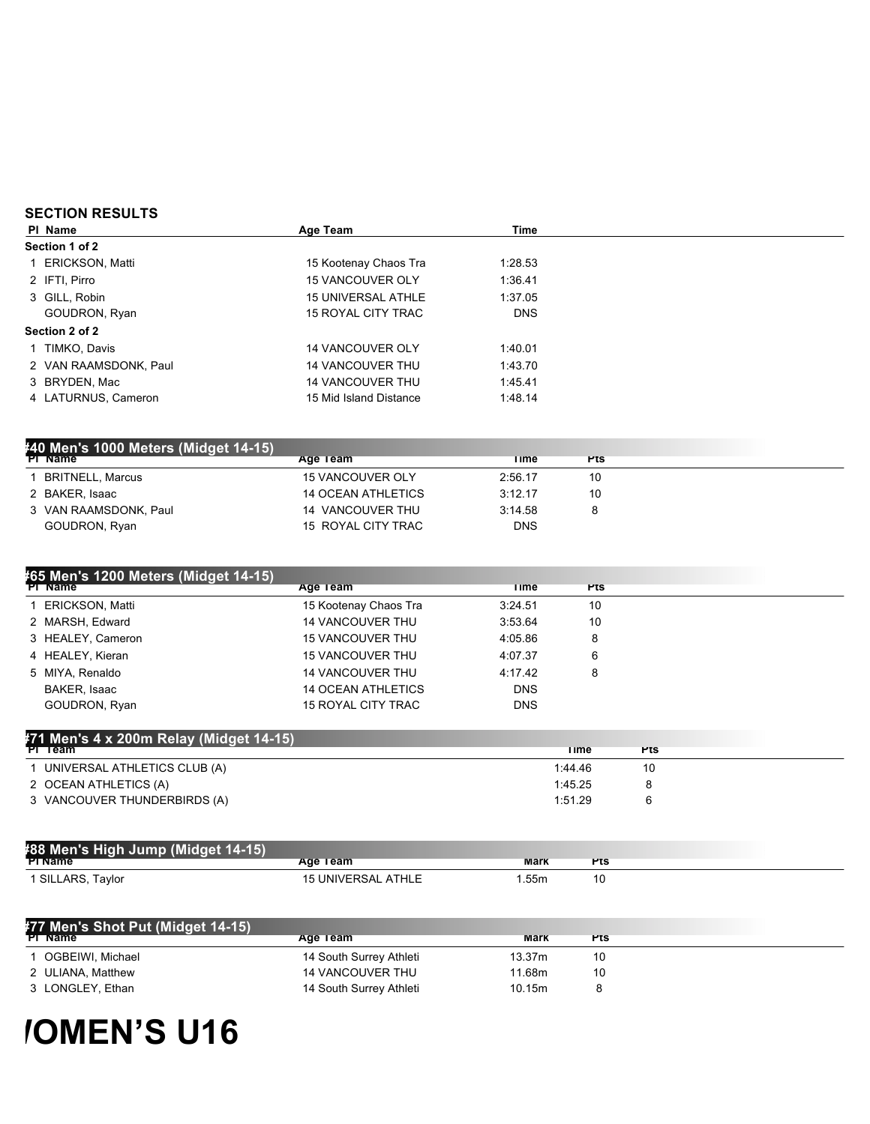| PI Name               | Age Team                  | <b>Time</b> |  |
|-----------------------|---------------------------|-------------|--|
| Section 1 of 2        |                           |             |  |
| ERICKSON, Matti       | 15 Kootenay Chaos Tra     | 1:28.53     |  |
| 2 IFTI, Pirro         | <b>15 VANCOUVER OLY</b>   | 1:36.41     |  |
| 3 GILL, Robin         | <b>15 UNIVERSAL ATHLE</b> | 1:37.05     |  |
| GOUDRON, Ryan         | 15 ROYAL CITY TRAC        | <b>DNS</b>  |  |
| Section 2 of 2        |                           |             |  |
| 1 TIMKO, Davis        | <b>14 VANCOUVER OLY</b>   | 1:40.01     |  |
| 2 VAN RAAMSDONK, Paul | <b>14 VANCOUVER THU</b>   | 1:43.70     |  |
| 3 BRYDEN, Mac         | <b>14 VANCOUVER THU</b>   | 1:45.41     |  |
| 4 LATURNUS, Cameron   | 15 Mid Island Distance    | 1:48.14     |  |
|                       |                           |             |  |

| #40 Men's 1000 Meters (Midget 14-15) |                         |         |     |  |
|--------------------------------------|-------------------------|---------|-----|--|
| <b>PI Name</b>                       | Age Team                | Time    | Pts |  |
| <b>BRITNELL, Marcus</b>              | <b>15 VANCOUVER OLY</b> | 2:56.17 | 10  |  |
| 2 BAKER, Isaac                       | 14 OCEAN ATHLETICS      | 3:12.17 | 10  |  |
| 3 VAN RAAMSDONK, Paul                | 14 VANCOUVER THU        | 3:14.58 | 8   |  |
| GOUDRON, Ryan                        | 15 ROYAL CITY TRAC      | DNS.    |     |  |

| #65 Men's 1200 Meters (Midget 14-15) |                           |             |            |  |  |
|--------------------------------------|---------------------------|-------------|------------|--|--|
| <b>PI Name</b>                       | Age Team                  | <b>Time</b> | <b>Pts</b> |  |  |
| ERICKSON, Matti                      | 15 Kootenay Chaos Tra     | 3:24.51     | 10         |  |  |
| 2 MARSH, Edward                      | <b>14 VANCOUVER THU</b>   | 3:53.64     | 10         |  |  |
| 3 HEALEY, Cameron                    | <b>15 VANCOUVER THU</b>   | 4:05.86     | 8          |  |  |
| 4 HEALEY, Kieran                     | <b>15 VANCOUVER THU</b>   | 4:07.37     | 6          |  |  |
| 5 MIYA, Renaldo                      | <b>14 VANCOUVER THU</b>   | 4:17.42     | 8          |  |  |
| BAKER, Isaac                         | <b>14 OCEAN ATHLETICS</b> | <b>DNS</b>  |            |  |  |
| GOUDRON, Ryan                        | 15 ROYAL CITY TRAC        | <b>DNS</b>  |            |  |  |
|                                      |                           |             |            |  |  |

| #71 Men's 4 x 200m Relay (Midget 14-15) |             |     |  |  |  |  |  |
|-----------------------------------------|-------------|-----|--|--|--|--|--|
| $PT$ eam                                | <b>Time</b> | ۲IS |  |  |  |  |  |
| UNIVERSAL ATHLETICS CLUB (A)            | 1:44.46     | 10  |  |  |  |  |  |
| 2 OCEAN ATHLETICS (A)                   | 1:45.25     |     |  |  |  |  |  |
| 3 VANCOUVER THUNDERBIRDS (A)            | 1:51.29     |     |  |  |  |  |  |
|                                         |             |     |  |  |  |  |  |

| #88 Men's High Jump (Midget 14-15) |                           |      |            |
|------------------------------------|---------------------------|------|------------|
| <b>PI</b> Name                     | Age Team                  | Mark | <b>Pts</b> |
| 1 SILLARS, Taylor                  | <b>15 UNIVERSAL ATHLE</b> | .55m | 10         |

| #77 Men's Shot Put (Midget 14-15) |                         |        |     |
|-----------------------------------|-------------------------|--------|-----|
| <b>PI</b> Name                    | Age Team                | Mark   | Pts |
| OGBEIWI, Michael                  | 14 South Surrey Athleti | 13.37m | 10  |
| 2 ULIANA, Matthew                 | <b>14 VANCOUVER THU</b> | 11.68m | 10  |
| 3 LONGLEY, Ethan                  | 14 South Surrey Athleti | 10.15m | я   |

# **/OMEN'S U16**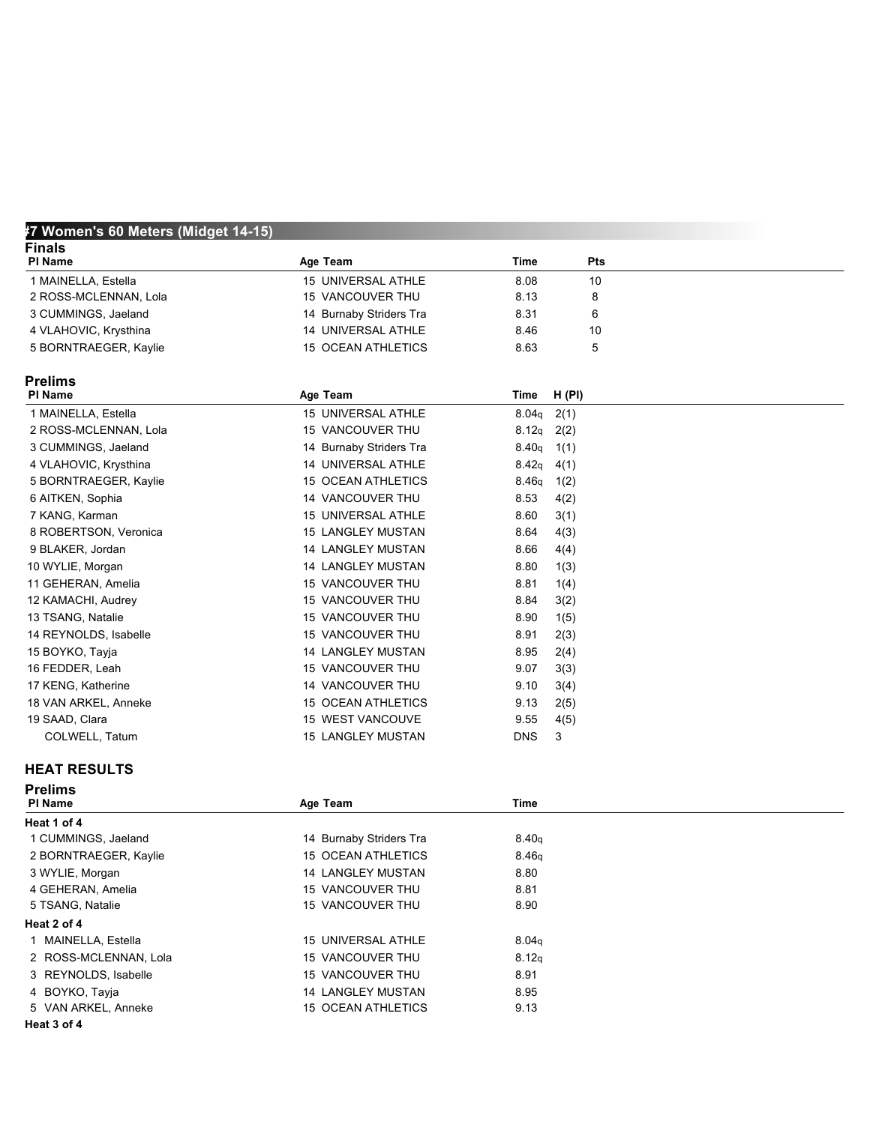#### **#7 Women's 60 Meters (Midget 14-15)**

| <b>Finals</b>         |                           |      |            |  |
|-----------------------|---------------------------|------|------------|--|
| PI Name               | Age Team                  | Time | <b>Pts</b> |  |
| 1 MAINELLA, Estella   | 15 UNIVERSAL ATHLE        | 8.08 | 10         |  |
| 2 ROSS-MCLENNAN, Lola | <b>15 VANCOUVER THU</b>   | 8.13 | 8          |  |
| 3 CUMMINGS, Jaeland   | 14 Burnaby Striders Tra   | 8.31 | 6          |  |
| 4 VLAHOVIC, Krysthina | 14 UNIVERSAL ATHLE        | 8.46 | 10         |  |
| 5 BORNTRAEGER, Kaylie | <b>15 OCEAN ATHLETICS</b> | 8.63 | 5          |  |
| <b>Prelims</b>        |                           |      |            |  |

| PI Name               | Age Team                     | Time       | H (PI) |
|-----------------------|------------------------------|------------|--------|
| 1 MAINELLA, Estella   | 15 UNIVERSAL ATHLE           | 8.04q      | 2(1)   |
| 2 ROSS-MCLENNAN, Lola | 15 VANCOUVER THU             | 8.12q      | 2(2)   |
| 3 CUMMINGS, Jaeland   | 14 Burnaby Striders Tra      | 8.40q      | 1(1)   |
| 4 VLAHOVIC, Krysthina | <b>14 UNIVERSAL ATHLE</b>    | 8.42q      | 4(1)   |
| 5 BORNTRAEGER, Kaylie | 15 OCEAN ATHLETICS           | 8.46q      | 1(2)   |
| 6 AITKEN, Sophia      | 14 VANCOUVER THU             | 8.53       | 4(2)   |
| 7 KANG, Karman        | <b>15 UNIVERSAL ATHLE</b>    | 8.60       | 3(1)   |
| 8 ROBERTSON, Veronica | <b>15 LANGLEY MUSTAN</b>     | 8.64       | 4(3)   |
| 9 BLAKER, Jordan      | <b>14 LANGLEY MUSTAN</b>     | 8.66       | 4(4)   |
| 10 WYLIE, Morgan      | <b>14 LANGLEY MUSTAN</b>     | 8.80       | 1(3)   |
| 11 GEHERAN, Amelia    | 15 VANCOUVER THU             | 8.81       | 1(4)   |
| 12 KAMACHI, Audrey    | 15 VANCOUVER THU             | 8.84       | 3(2)   |
| 13 TSANG, Natalie     | <b>VANCOUVER THU</b><br>15   | 8.90       | 1(5)   |
| 14 REYNOLDS, Isabelle | 15 VANCOUVER THU             | 8.91       | 2(3)   |
| 15 BOYKO, Tayja       | <b>14 LANGLEY MUSTAN</b>     | 8.95       | 2(4)   |
| 16 FEDDER, Leah       | 15 VANCOUVER THU             | 9.07       | 3(3)   |
| 17 KENG, Katherine    | <b>14 VANCOUVER THU</b>      | 9.10       | 3(4)   |
| 18 VAN ARKEL, Anneke  | <b>OCEAN ATHLETICS</b><br>15 | 9.13       | 2(5)   |
| 19 SAAD, Clara        | 15 WEST VANCOUVE             | 9.55       | 4(5)   |
| COLWELL, Tatum        | <b>15 LANGLEY MUSTAN</b>     | <b>DNS</b> | 3      |

### **HEAT RESULTS**

| <b>Prelims</b>        |                           |             |  |
|-----------------------|---------------------------|-------------|--|
| <b>PI Name</b>        | Age Team                  | <b>Time</b> |  |
| Heat 1 of 4           |                           |             |  |
| 1 CUMMINGS, Jaeland   | 14 Burnaby Striders Tra   | 8.40q       |  |
| 2 BORNTRAEGER, Kaylie | <b>15 OCEAN ATHLETICS</b> | 8.46q       |  |
| 3 WYLIE, Morgan       | <b>14 LANGLEY MUSTAN</b>  | 8.80        |  |
| 4 GEHERAN, Amelia     | <b>15 VANCOUVER THU</b>   | 8.81        |  |
| 5 TSANG, Natalie      | <b>15 VANCOUVER THU</b>   | 8.90        |  |
| Heat 2 of 4           |                           |             |  |
| 1 MAINELLA, Estella   | <b>15 UNIVERSAL ATHLE</b> | 8.04q       |  |
| 2 ROSS-MCLENNAN, Lola | <b>15 VANCOUVER THU</b>   | 8.12q       |  |
| 3 REYNOLDS, Isabelle  | <b>15 VANCOUVER THU</b>   | 8.91        |  |
| 4 BOYKO, Tayja        | <b>14 LANGLEY MUSTAN</b>  | 8.95        |  |
| 5 VAN ARKEL, Anneke   | <b>15 OCEAN ATHLETICS</b> | 9.13        |  |
| Heat 3 of 4           |                           |             |  |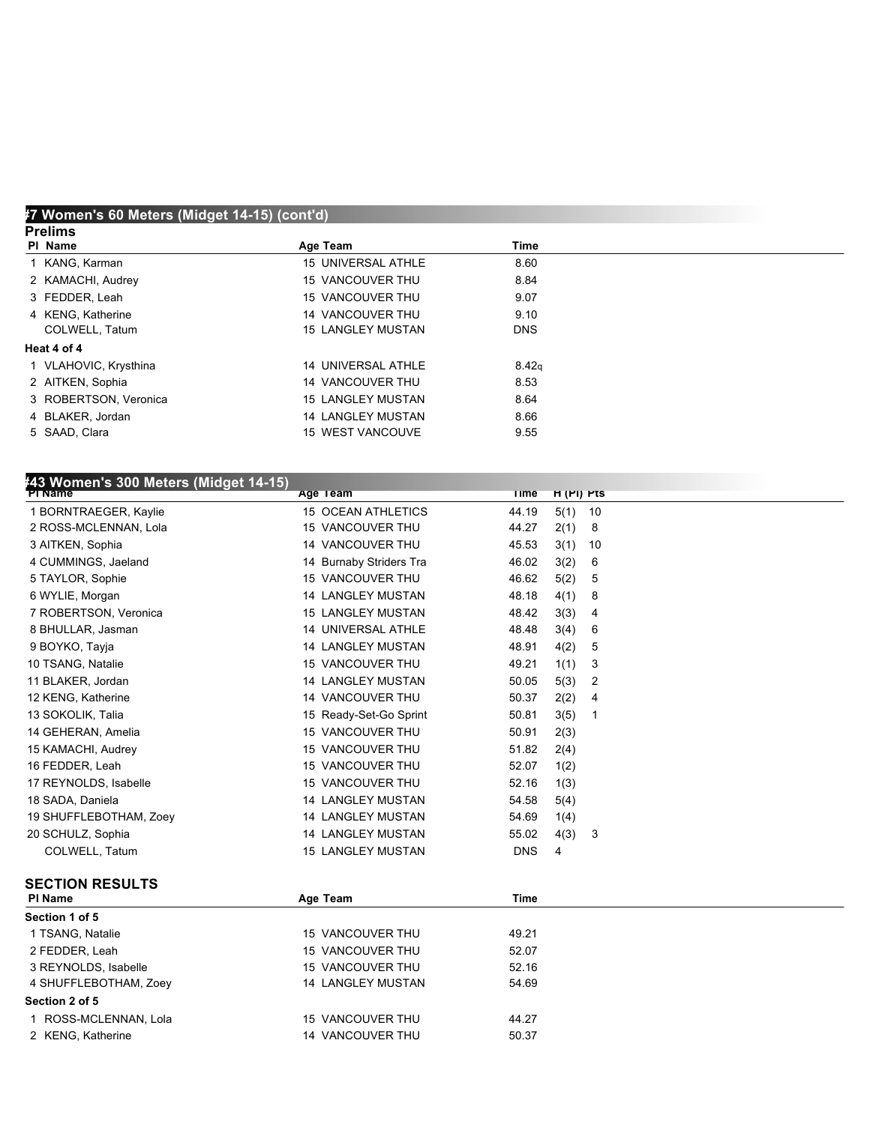#### **#7 Women's 60 Meters (Midget 14-15) (cont'd)**

| <b>Prelims</b>        |                           |            |  |
|-----------------------|---------------------------|------------|--|
| PI Name               | Age Team                  | Time       |  |
| 1 KANG, Karman        | 15 UNIVERSAL ATHLE        | 8.60       |  |
| 2 KAMACHI, Audrey     | <b>15 VANCOUVER THU</b>   | 8.84       |  |
| 3 FEDDER, Leah        | <b>15 VANCOUVER THU</b>   | 9.07       |  |
| 4 KENG, Katherine     | <b>14 VANCOUVER THU</b>   | 9.10       |  |
| COLWELL, Tatum        | <b>15 LANGLEY MUSTAN</b>  | <b>DNS</b> |  |
| Heat 4 of 4           |                           |            |  |
| 1 VLAHOVIC, Krysthina | <b>14 UNIVERSAL ATHLE</b> | 8.42q      |  |
| 2 AITKEN, Sophia      | <b>14 VANCOUVER THU</b>   | 8.53       |  |
| 3 ROBERTSON, Veronica | <b>15 LANGLEY MUSTAN</b>  | 8.64       |  |
| 4 BLAKER, Jordan      | <b>14 LANGLEY MUSTAN</b>  | 8.66       |  |
| 5 SAAD, Clara         | 15 WEST VANCOUVE          | 9.55       |  |

### **#43 Women's 300 Meters (Midget 14-15)**

| <b>PI Name</b>         | Age Team                   | Time       | $H$ (PI) Pts |    |  |
|------------------------|----------------------------|------------|--------------|----|--|
| 1 BORNTRAEGER, Kaylie  | <b>15 OCEAN ATHLETICS</b>  | 44.19      | 5(1)         | 10 |  |
| 2 ROSS-MCLENNAN, Lola  | 15 VANCOUVER THU           | 44.27      | 2(1)         | 8  |  |
| 3 AITKEN, Sophia       | 14 VANCOUVER THU           | 45.53      | 3(1)         | 10 |  |
| 4 CUMMINGS, Jaeland    | 14 Burnaby Striders Tra    | 46.02      | 3(2)         | 6  |  |
| 5 TAYLOR, Sophie       | <b>15 VANCOUVER THU</b>    | 46.62      | 5(2)         | 5  |  |
| 6 WYLIE, Morgan        | <b>14 LANGLEY MUSTAN</b>   | 48.18      | 4(1)         | 8  |  |
| 7 ROBERTSON, Veronica  | <b>15 LANGLEY MUSTAN</b>   | 48.42      | 3(3)         | 4  |  |
| 8 BHULLAR, Jasman      | <b>14 UNIVERSAL ATHLE</b>  | 48.48      | 3(4)         | 6  |  |
| 9 BOYKO, Tayja         | <b>14 LANGLEY MUSTAN</b>   | 48.91      | 4(2)         | 5  |  |
| 10 TSANG, Natalie      | 15 VANCOUVER THU           | 49.21      | 1(1)         | 3  |  |
| 11 BLAKER, Jordan      | <b>14 LANGLEY MUSTAN</b>   | 50.05      | 5(3)         | 2  |  |
| 12 KENG, Katherine     | 14 VANCOUVER THU           | 50.37      | 2(2)         | 4  |  |
| 13 SOKOLIK, Talia      | 15 Ready-Set-Go Sprint     | 50.81      | 3(5)         | 1  |  |
| 14 GEHERAN, Amelia     | <b>VANCOUVER THU</b><br>15 | 50.91      | 2(3)         |    |  |
| 15 KAMACHI, Audrey     | <b>VANCOUVER THU</b><br>15 | 51.82      | 2(4)         |    |  |
| 16 FEDDER, Leah        | <b>VANCOUVER THU</b><br>15 | 52.07      | 1(2)         |    |  |
| 17 REYNOLDS, Isabelle  | <b>15 VANCOUVER THU</b>    | 52.16      | 1(3)         |    |  |
| 18 SADA, Daniela       | <b>14 LANGLEY MUSTAN</b>   | 54.58      | 5(4)         |    |  |
| 19 SHUFFLEBOTHAM, Zoey | <b>14 LANGLEY MUSTAN</b>   | 54.69      | 1(4)         |    |  |
| 20 SCHULZ, Sophia      | <b>14 LANGLEY MUSTAN</b>   | 55.02      | 4(3)         | 3  |  |
| COLWELL, Tatum         | <b>15 LANGLEY MUSTAN</b>   | <b>DNS</b> | 4            |    |  |
| <b>SECTION RESULTS</b> |                            |            |              |    |  |
| <b>PI Name</b>         | Age Team                   | Time       |              |    |  |
| Section 1 of 5         |                            |            |              |    |  |
| 1 TSANG, Natalie       | <b>VANCOUVER THU</b><br>15 | 49.21      |              |    |  |
| 2 FEDDER, Leah         | <b>15 VANCOUVER THU</b>    | 52.07      |              |    |  |

| 3 REYNOLDS, Isabelle  | <b>15 VANCOUVER THU</b>  | 52.16 |
|-----------------------|--------------------------|-------|
| 4 SHUFFLEBOTHAM, Zoev | <b>14 LANGLEY MUSTAN</b> | 54.69 |
| Section 2 of 5        |                          |       |
| 1 ROSS-MCLENNAN, Lola | <b>15 VANCOUVER THU</b>  | 44.27 |
| 2 KENG Katherine      | <b>14 VANCOUVER THU</b>  | 50.37 |
|                       |                          |       |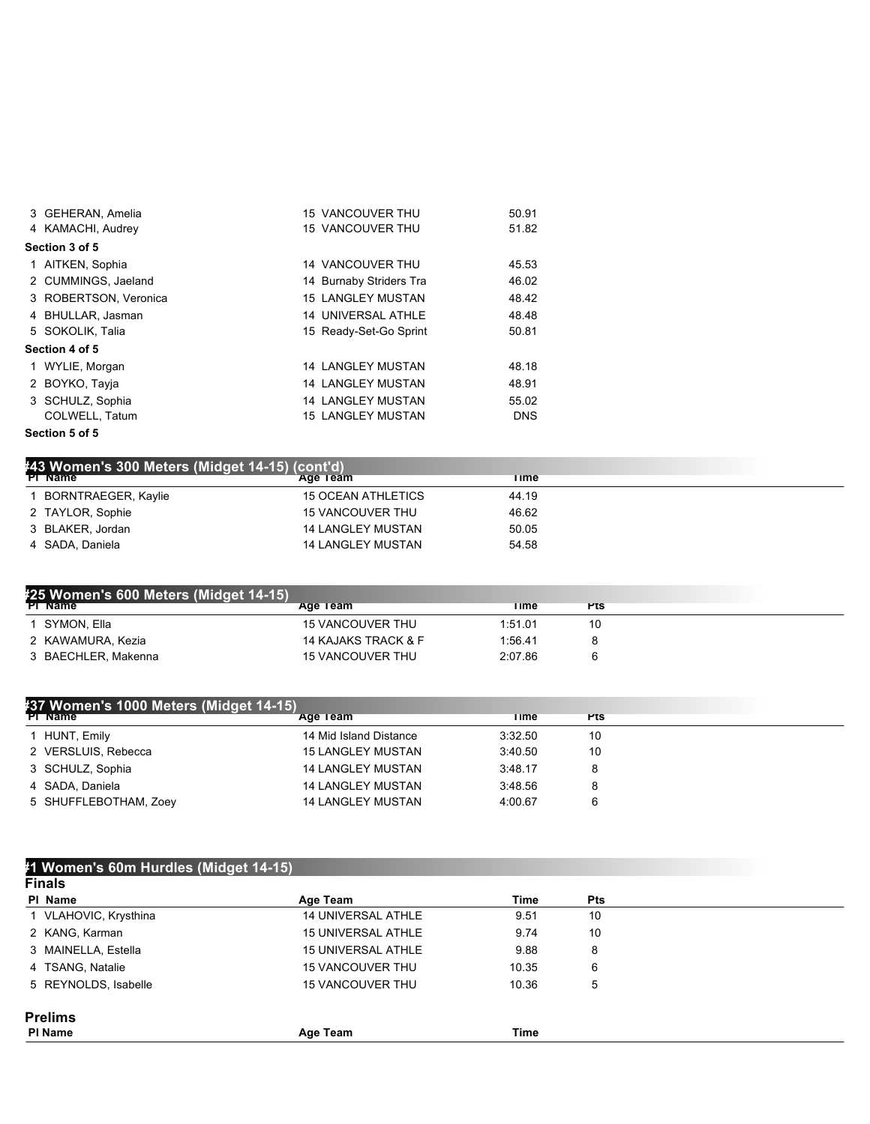| 3 GEHERAN, Amelia     | <b>15 VANCOUVER THU</b>   | 50.91      |
|-----------------------|---------------------------|------------|
| 4 KAMACHI, Audrey     | <b>15 VANCOUVER THU</b>   | 51.82      |
| Section 3 of 5        |                           |            |
| 1 AITKEN, Sophia      | <b>14 VANCOUVER THU</b>   | 45.53      |
| 2 CUMMINGS, Jaeland   | 14 Burnaby Striders Tra   | 46.02      |
| 3 ROBERTSON, Veronica | <b>15 LANGLEY MUSTAN</b>  | 48.42      |
| 4 BHULLAR, Jasman     | <b>14 UNIVERSAL ATHLE</b> | 48.48      |
| 5 SOKOLIK, Talia      | 15 Ready-Set-Go Sprint    | 50.81      |
| Section 4 of 5        |                           |            |
| 1 WYLIE, Morgan       | <b>14 LANGLEY MUSTAN</b>  | 48.18      |
| 2 BOYKO, Tayja        | <b>14 LANGLEY MUSTAN</b>  | 48.91      |
| 3 SCHULZ, Sophia      | <b>14 LANGLEY MUSTAN</b>  | 55.02      |
| COLWELL, Tatum        | <b>15 LANGLEY MUSTAN</b>  | <b>DNS</b> |
|                       |                           |            |

**Section 5 of 5**

|                  | #43 Women's 300 Meters (Midget 14-15) (cont'd), |                           |             |
|------------------|-------------------------------------------------|---------------------------|-------------|
| <b>PI Name</b>   |                                                 | Age Team                  | <b>Time</b> |
|                  | BORNTRAEGER, Kaylie                             | <b>15 OCEAN ATHLETICS</b> | 44.19       |
| 2 TAYLOR, Sophie |                                                 | <b>15 VANCOUVER THU</b>   | 46.62       |
| 3 BLAKER, Jordan |                                                 | 14 LANGLEY MUSTAN         | 50.05       |
| 4 SADA, Daniela  |                                                 | <b>14 LANGLEY MUSTAN</b>  | 54.58       |

| #25 Women's 600 Meters (Midget 14-15), |                         |         |            |  |
|----------------------------------------|-------------------------|---------|------------|--|
| <b>PI</b> Name                         | Age Team                | Γime    | <b>Pts</b> |  |
| SYMON, Ella                            | <b>15 VANCOUVER THU</b> | 1:51.01 | 10         |  |
| 2 KAWAMURA Kezia                       | 14 KAJAKS TRACK & F     | 1:56.41 |            |  |
| 3 BAECHLER, Makenna                    | <b>15 VANCOUVER THU</b> | 2:07.86 |            |  |
|                                        |                         |         |            |  |

|                                                                                                                      | l ime                                              | <b>Pts</b>                                          |
|----------------------------------------------------------------------------------------------------------------------|----------------------------------------------------|-----------------------------------------------------|
| 14 Mid Island Distance                                                                                               |                                                    | 10                                                  |
| <b>15 LANGLEY MUSTAN</b>                                                                                             |                                                    | 10                                                  |
| <b>14 LANGLEY MUSTAN</b>                                                                                             |                                                    | 8                                                   |
| <b>14 LANGLEY MUSTAN</b>                                                                                             |                                                    |                                                     |
| <b>14 LANGLEY MUSTAN</b>                                                                                             |                                                    | 6                                                   |
| <b>PI Name</b><br>HUNT, Emily<br>2 VERSLUIS, Rebecca<br>3 SCHULZ, Sophia<br>4 SADA, Daniela<br>5 SHUFFLEBOTHAM, Zoey | #37 Women's 1000 Meters (Midget 14-15)<br>Age Team | 3:32.50<br>3:40.50<br>3:48.17<br>3:48.56<br>4:00.67 |

| #1 Women's 60m Hurdles (Midget 14-15) |                           |             |            |  |
|---------------------------------------|---------------------------|-------------|------------|--|
| <b>Finals</b>                         |                           |             |            |  |
| PI Name                               | Age Team                  | <b>Time</b> | <b>Pts</b> |  |
| 1 VLAHOVIC, Krysthina                 | <b>14 UNIVERSAL ATHLE</b> | 9.51        | 10         |  |
| 2 KANG, Karman                        | <b>15 UNIVERSAL ATHLE</b> | 9.74        | 10         |  |
| 3 MAINELLA, Estella                   | <b>15 UNIVERSAL ATHLE</b> | 9.88        | 8          |  |
| 4 TSANG, Natalie                      | <b>15 VANCOUVER THU</b>   | 10.35       | 6          |  |
| 5 REYNOLDS, Isabelle                  | <b>15 VANCOUVER THU</b>   | 10.36       | 5          |  |
| <b>Prelims</b>                        |                           |             |            |  |
| <b>PI Name</b>                        | Age Team                  | Time        |            |  |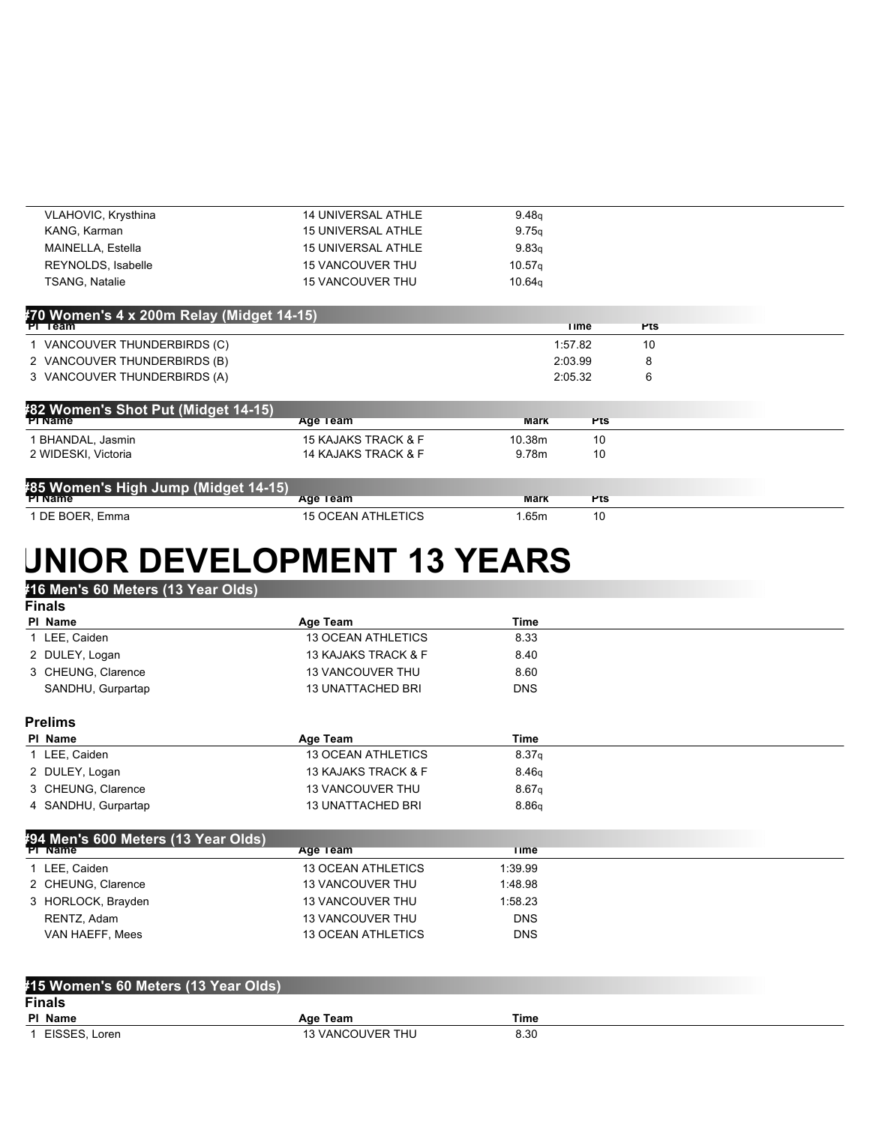| VLAHOVIC, Krysthina   | 14 UNIVERSAL ATHLE        | 9.48q              |
|-----------------------|---------------------------|--------------------|
| KANG, Karman          | <b>15 UNIVERSAL ATHLE</b> | 9.75 <sub>a</sub>  |
| MAINELLA, Estella     | 15 UNIVERSAL ATHLE        | 9.83q              |
| REYNOLDS, Isabelle    | <b>15 VANCOUVER THU</b>   | 10.57 <sub>q</sub> |
| <b>TSANG, Natalie</b> | <b>15 VANCOUVER THU</b>   | 10.64 <sub>q</sub> |

| #70 Women's 4 x 200m Relay (Midget 14-15) |         |     |  |
|-------------------------------------------|---------|-----|--|
| $PT$ eam                                  | l ime   | ۲IS |  |
| I VANCOUVER THUNDERBIRDS (C)              | 1:57.82 | 10  |  |
| 2 VANCOUVER THUNDERBIRDS (B)              | 2:03.99 |     |  |
| 3 VANCOUVER THUNDERBIRDS (A)              | 2:05.32 |     |  |
|                                           |         |     |  |

| #82 Women's Shot Put (Midget 14-15) |                     |             |            |  |
|-------------------------------------|---------------------|-------------|------------|--|
| <b>PI Name</b>                      | Age Team            | <b>Mark</b> | <b>PIS</b> |  |
| 1 BHANDAL, Jasmin                   | 15 KAJAKS TRACK & F | 10.38m      | 10         |  |
| 2 WIDESKI, Victoria                 | 14 KAJAKS TRACK & F | 9.78m       | 10         |  |
|                                     |                     |             |            |  |

| #85 Women's High Jump (Midget 14-15) |                           |      |            |  |
|--------------------------------------|---------------------------|------|------------|--|
| <b>PI Name</b>                       | Age Team                  | Mark | <b>Pts</b> |  |
| 1 DE BOER.<br>Emma                   | <b>15 OCEAN ATHLETICS</b> | .65m | 10         |  |

# **JUNIOR DEVELOPMENT 13 YEARS**

# **#16 Men's 60 Meters (13 Year Olds)**

| <b>Finals</b>                        |                           |                   |  |
|--------------------------------------|---------------------------|-------------------|--|
| PI Name                              | Age Team                  | <b>Time</b>       |  |
| 1 LEE, Caiden                        | <b>13 OCEAN ATHLETICS</b> | 8.33              |  |
| 2 DULEY, Logan                       | 13 KAJAKS TRACK & F       | 8.40              |  |
| 3 CHEUNG, Clarence                   | <b>13 VANCOUVER THU</b>   | 8.60              |  |
| SANDHU, Gurpartap                    | <b>13 UNATTACHED BRI</b>  | <b>DNS</b>        |  |
| <b>Prelims</b>                       |                           |                   |  |
| PI Name                              | Age Team                  | <b>Time</b>       |  |
| 1 LEE, Caiden                        | <b>13 OCEAN ATHLETICS</b> | 8.37 <sub>q</sub> |  |
| 2 DULEY, Logan                       | 13 KAJAKS TRACK & F       | 8.46q             |  |
| 3 CHEUNG, Clarence                   | <b>13 VANCOUVER THU</b>   | 8.67 <sub>q</sub> |  |
| 4 SANDHU, Gurpartap                  | <b>13 UNATTACHED BRI</b>  | 8.86q             |  |
| #94 Men's 600 Meters (13 Year Olds)  |                           |                   |  |
| <b>PI</b> Name                       | Age Team                  | <b>Time</b>       |  |
| 1 LEE, Caiden                        | <b>13 OCEAN ATHLETICS</b> | 1:39.99           |  |
| 2 CHEUNG, Clarence                   | <b>13 VANCOUVER THU</b>   | 1:48.98           |  |
| 3 HORLOCK, Brayden                   | <b>13 VANCOUVER THU</b>   | 1:58.23           |  |
| RENTZ, Adam                          | <b>13 VANCOUVER THU</b>   | <b>DNS</b>        |  |
| VAN HAEFF, Mees                      | <b>13 OCEAN ATHLETICS</b> | <b>DNS</b>        |  |
|                                      |                           |                   |  |
| #15 Women's 60 Meters (13 Year Olds) |                           |                   |  |
| <b>Finals</b>                        |                           |                   |  |

| PI Name                        | Age<br>Team                           | Time |
|--------------------------------|---------------------------------------|------|
| <b>FICOFO</b><br>Loren<br>-15. | <b>OLIVER</b><br><b>THL</b><br>√∆NIC″ | 8.30 |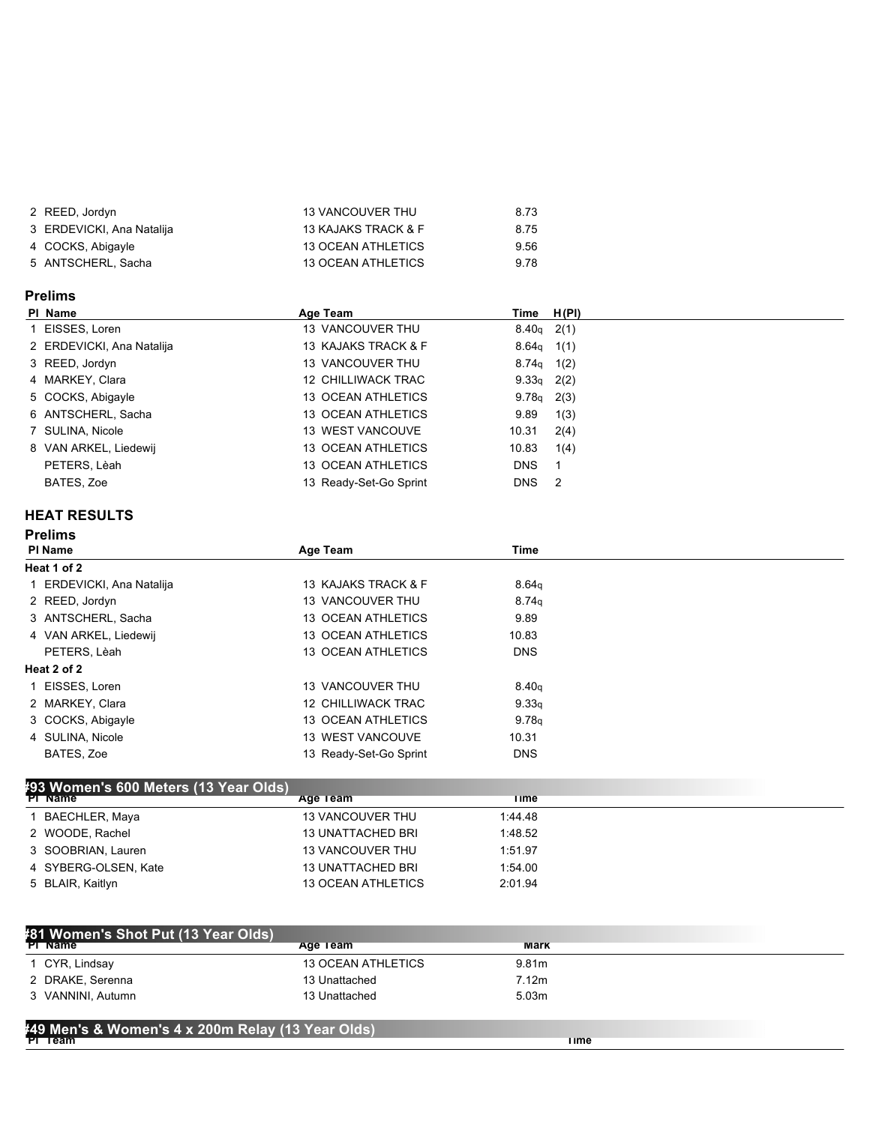| 2 REED, Jordyn            | <b>13 VANCOUVER THU</b>   | 8.73 |
|---------------------------|---------------------------|------|
| 3 ERDEVICKI, Ana Natalija | 13 KAJAKS TRACK & F       | 8.75 |
| 4 COCKS, Abigayle         | <b>13 OCEAN ATHLETICS</b> | 9.56 |
| 5 ANTSCHERL, Sacha        | 13 OCEAN ATHLETICS        | 9.78 |
|                           |                           |      |

### **Prelims**

| PI Name                   | Age Team                  | Time H(PI)       |      |
|---------------------------|---------------------------|------------------|------|
| 1 EISSES, Loren           | <b>13 VANCOUVER THU</b>   | $8.40q$ 2(1)     |      |
| 2 ERDEVICKI, Ana Natalija | 13 KAJAKS TRACK & F       | $8.64q$ 1(1)     |      |
| 3 REED, Jordyn            | <b>13 VANCOUVER THU</b>   | $8.74q$ 1(2)     |      |
| 4 MARKEY, Clara           | <b>12 CHILLIWACK TRAC</b> | $9.33q$ 2(2)     |      |
| 5 COCKS, Abigayle         | 13 OCEAN ATHLETICS        | $9.78q$ 2(3)     |      |
| 6 ANTSCHERL, Sacha        | 13 OCEAN ATHLETICS        | 9.89             | 1(3) |
| 7 SULINA, Nicole          | 13 WEST VANCOUVE          | 10.31            | 2(4) |
| 8 VAN ARKEL, Liedewij     | 13 OCEAN ATHLETICS        | 10.83            | 1(4) |
| PETERS, Lèah              | 13 OCEAN ATHLETICS        | <b>DNS</b>       |      |
| BATES, Zoe                | 13 Ready-Set-Go Sprint    | DNS <sub>2</sub> |      |

### **HEAT RESULTS**

| <b>Prelims</b>            |                           |                   |  |
|---------------------------|---------------------------|-------------------|--|
| PI Name                   | Age Team                  | Time              |  |
| Heat 1 of 2               |                           |                   |  |
| 1 ERDEVICKI, Ana Natalija | 13 KAJAKS TRACK & F       | 8.64 <sub>q</sub> |  |
| 2 REED, Jordyn            | <b>13 VANCOUVER THU</b>   | 8.74q             |  |
| 3 ANTSCHERL, Sacha        | 13 OCEAN ATHLETICS        | 9.89              |  |
| 4 VAN ARKEL, Liedewij     | 13 OCEAN ATHLETICS        | 10.83             |  |
| PETERS, Lèah              | 13 OCEAN ATHLETICS        | <b>DNS</b>        |  |
| Heat 2 of 2               |                           |                   |  |
| 1 EISSES, Loren           | <b>13 VANCOUVER THU</b>   | 8.40q             |  |
| 2 MARKEY, Clara           | <b>12 CHILLIWACK TRAC</b> | 9.33q             |  |
| 3 COCKS, Abigayle         | 13 OCEAN ATHLETICS        | 9.78q             |  |
| 4 SULINA, Nicole          | 13 WEST VANCOUVE          | 10.31             |  |
| BATES, Zoe                | 13 Ready-Set-Go Sprint    | <b>DNS</b>        |  |

| 100 110 1110 11 0 000 1110 101 0 101 0 101 0 101 0 101 0 101 0 101 0 101 0 101 0 101 0 101 0 101 0 1<br><b>PI Name</b> | Age Team                  | l ime   |  |
|------------------------------------------------------------------------------------------------------------------------|---------------------------|---------|--|
| BAECHLER, Maya                                                                                                         | <b>13 VANCOUVER THU</b>   | 1:44.48 |  |
| 2 WOODE, Rachel                                                                                                        | 13 UNATTACHED BRI         | 1:48.52 |  |
| 3 SOOBRIAN, Lauren                                                                                                     | <b>13 VANCOUVER THU</b>   | 1:51.97 |  |
| 4 SYBERG-OLSEN, Kate                                                                                                   | 13 UNATTACHED BRI         | 1:54.00 |  |
| 5 BLAIR, Kaitlyn                                                                                                       | <b>13 OCEAN ATHLETICS</b> | 2:01.94 |  |

| #81 Women's Shot Put (13 Year Olds)               |                           |             |  |
|---------------------------------------------------|---------------------------|-------------|--|
| <b>PI Name</b>                                    | Age Team                  | <b>Mark</b> |  |
| 1 CYR, Lindsay                                    | <b>13 OCEAN ATHLETICS</b> | 9.81m       |  |
| 2 DRAKE, Serenna                                  | 13 Unattached             | 7.12m       |  |
| 3 VANNINI, Autumn                                 | 13 Unattached             | 5.03m       |  |
| #49 Men's & Women's 4 x 200m Relay (13 Year Olds) |                           |             |  |
|                                                   |                           |             |  |
| <b>PI</b> Team                                    |                           | Time        |  |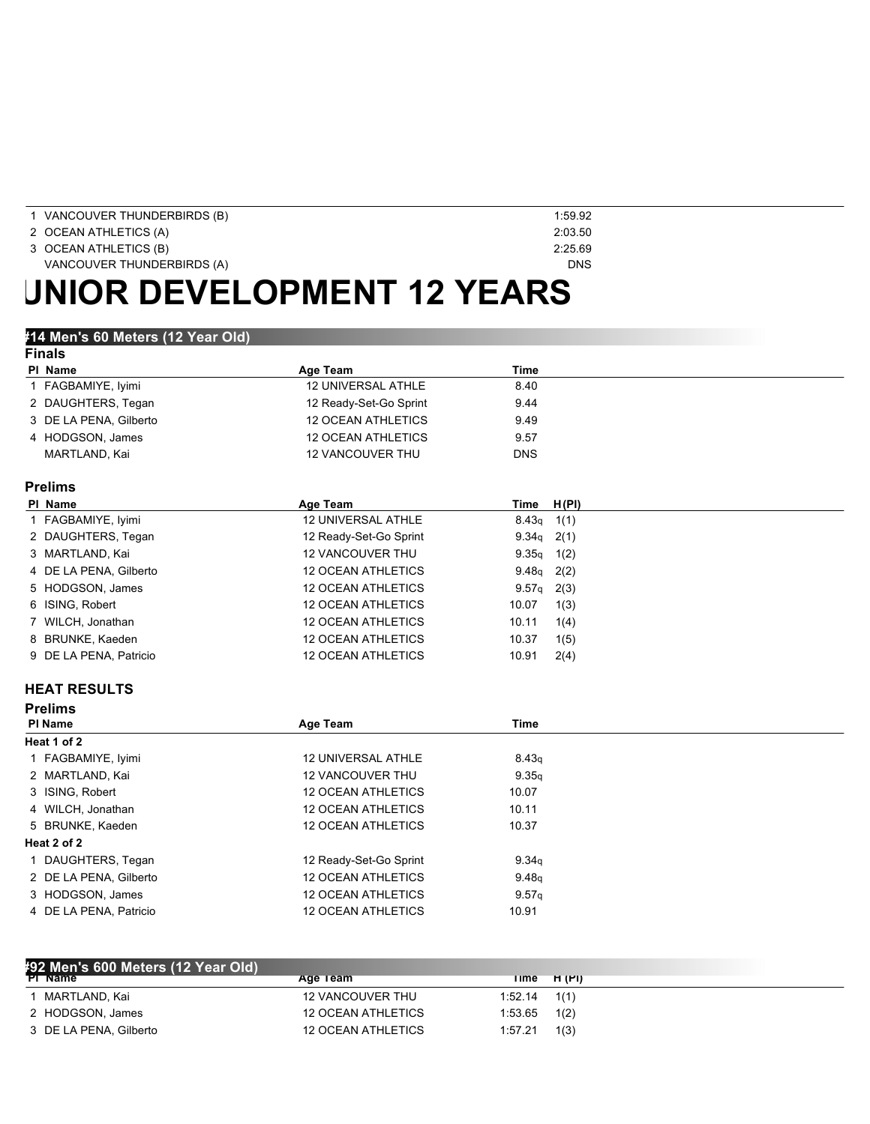| <b>UNIOR DEVELOPMENT 12 YEARS</b> |            |
|-----------------------------------|------------|
| VANCOUVER THUNDERBIRDS (A)        | <b>DNS</b> |
| 3 OCEAN ATHLETICS (B)             | 2:25.69    |
| 2 OCEAN ATHLETICS (A)             | 2:03.50    |
| 1 VANCOUVER THUNDERBIRDS (B)      | 1:59.92    |

#### **#14 Men's 60 Meters (12 Year Old)**

| <b>Finals</b>          |                           |                   |       |  |
|------------------------|---------------------------|-------------------|-------|--|
| PI Name                | Age Team                  | Time              |       |  |
| 1 FAGBAMIYE, Iyimi     | <b>12 UNIVERSAL ATHLE</b> | 8.40              |       |  |
| 2 DAUGHTERS, Tegan     | 12 Ready-Set-Go Sprint    | 9.44              |       |  |
| 3 DE LA PENA, Gilberto | 12 OCEAN ATHLETICS        | 9.49              |       |  |
| 4 HODGSON, James       | 12 OCEAN ATHLETICS        | 9.57              |       |  |
| MARTLAND, Kai          | 12 VANCOUVER THU          | <b>DNS</b>        |       |  |
| <b>Prelims</b>         |                           |                   |       |  |
| PI Name                | <b>Age Team</b>           | Time              | H(PI) |  |
| 1 FAGBAMIYE, Iyimi     | <b>12 UNIVERSAL ATHLE</b> | 8.43q             | 1(1)  |  |
| 2 DAUGHTERS, Tegan     | 12 Ready-Set-Go Sprint    | 9.34 <sub>q</sub> | 2(1)  |  |
| 3 MARTLAND, Kai        | <b>12 VANCOUVER THU</b>   | 9.35q             | 1(2)  |  |
| 4 DE LA PENA, Gilberto | <b>12 OCEAN ATHLETICS</b> | 9.48q             | 2(2)  |  |
| 5 HODGSON, James       | <b>12 OCEAN ATHLETICS</b> | 9.57q             | 2(3)  |  |
| 6 ISING, Robert        | <b>12 OCEAN ATHLETICS</b> | 10.07             | 1(3)  |  |
| 7 WILCH, Jonathan      | <b>12 OCEAN ATHLETICS</b> | 10.11             | 1(4)  |  |
| 8 BRUNKE, Kaeden       | <b>12 OCEAN ATHLETICS</b> | 10.37             | 1(5)  |  |
| 9 DE LA PENA, Patricio | <b>12 OCEAN ATHLETICS</b> | 10.91             | 2(4)  |  |
| <b>HEAT RESULTS</b>    |                           |                   |       |  |
| <b>Prelims</b>         |                           |                   |       |  |
| PI Name                | <b>Age Team</b>           | <b>Time</b>       |       |  |
| Heat 1 of 2            |                           |                   |       |  |
| 1 FAGBAMIYE, Iyimi     | 12 UNIVERSAL ATHLE        | 8.43q             |       |  |
| 2 MARTLAND, Kai        | <b>12 VANCOUVER THU</b>   | 9.35q             |       |  |
| 3 ISING, Robert        | <b>12 OCEAN ATHLETICS</b> | 10.07             |       |  |
| 4 WILCH, Jonathan      | <b>12 OCEAN ATHLETICS</b> | 10.11             |       |  |
| 5 BRUNKE, Kaeden       | <b>12 OCEAN ATHLETICS</b> | 10.37             |       |  |
| Heat 2 of 2            |                           |                   |       |  |
| 1 DAUGHTERS, Tegan     | 12 Ready-Set-Go Sprint    | 9.34q             |       |  |
| 2 DE LA PENA, Gilberto | <b>12 OCEAN ATHLETICS</b> | 9.48q             |       |  |
| 3 HODGSON, James       | <b>12 OCEAN ATHLETICS</b> | 9.57q             |       |  |
| 4 DE LA PENA, Patricio | <b>12 OCEAN ATHLETICS</b> | 10.91             |       |  |

2:25.69 DNS

| #92 Men's 600 Meters (12 Year Old) |                         |         |        |
|------------------------------------|-------------------------|---------|--------|
| <b>PI</b> Name                     | Age Team                | Γime    | H (PI) |
| MARTLAND. Kai                      | <b>12 VANCOUVER THU</b> | 1:52.14 | 1(1)   |
| 2 HODGSON, James                   | 12 OCEAN ATHLETICS      | 1:53.65 | 1(2)   |
| 3 DE LA PENA, Gilberto             | 12 OCEAN ATHLETICS      | 1:57.21 | 1(3)   |
|                                    |                         |         |        |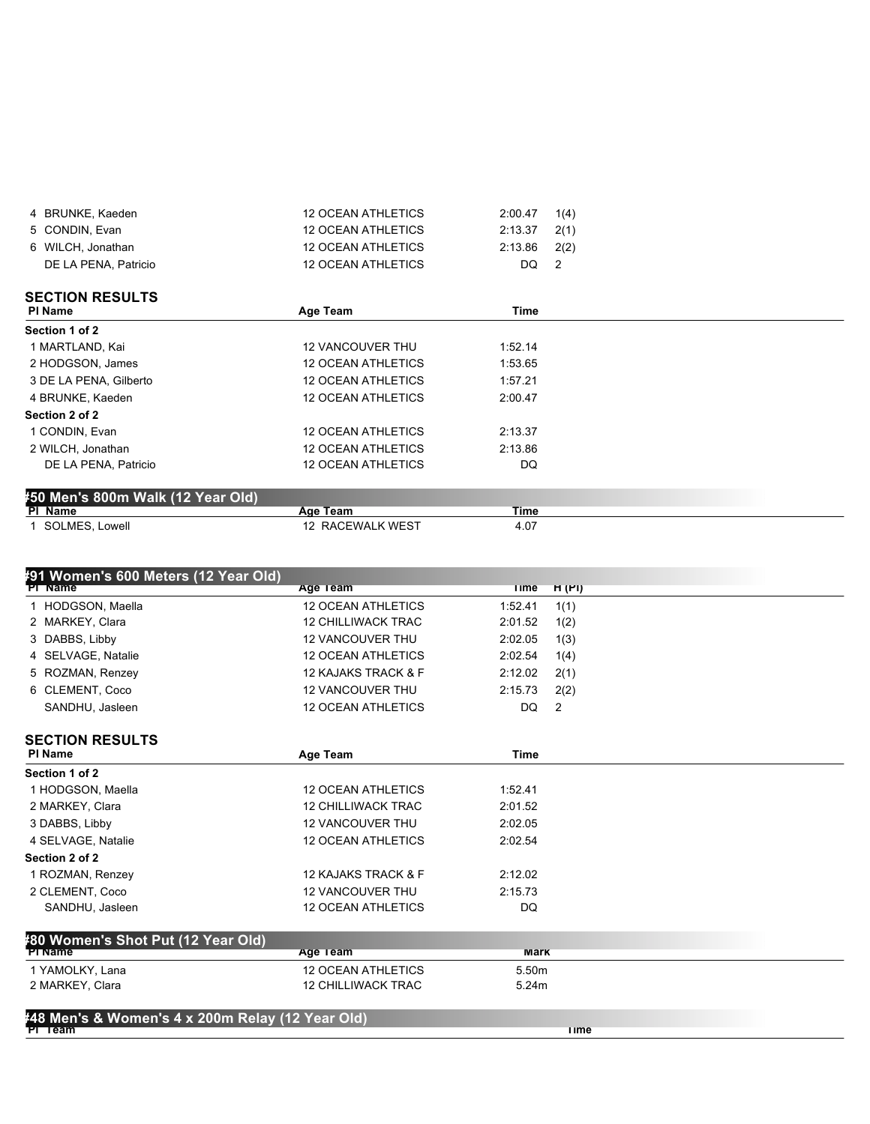| 4 BRUNKE, Kaeden       | <b>12 OCEAN ATHLETICS</b> | 2:00.47 | 1(4) |
|------------------------|---------------------------|---------|------|
| 5 CONDIN, Evan         | <b>12 OCEAN ATHLETICS</b> | 2:13.37 | 2(1) |
| 6 WILCH, Jonathan      | <b>12 OCEAN ATHLETICS</b> | 2:13.86 | 2(2) |
| DE LA PENA, Patricio   | <b>12 OCEAN ATHLETICS</b> | DQ      | - 2  |
| <b>SECTION RESULTS</b> |                           |         |      |
| <b>PI Name</b>         | Age Team                  | Time    |      |
| Section 1 of 2         |                           |         |      |
| 1 MARTLAND, Kai        | <b>12 VANCOUVER THU</b>   | 1:52.14 |      |
| 2 HODGSON, James       | <b>12 OCEAN ATHLETICS</b> | 1:53.65 |      |
| 3 DE LA PENA, Gilberto | <b>12 OCEAN ATHLETICS</b> | 1:57.21 |      |
| 4 BRUNKE, Kaeden       | <b>12 OCEAN ATHLETICS</b> | 2:00.47 |      |
| Section 2 of 2         |                           |         |      |
| 1 CONDIN, Evan         | <b>12 OCEAN ATHLETICS</b> | 2:13.37 |      |
| 2 WILCH, Jonathan      | <b>12 OCEAN ATHLETICS</b> | 2:13.86 |      |
| DE LA PENA, Patricio   | <b>12 OCEAN ATHLETICS</b> | DQ      |      |

| #50 Men's 800m Walk (12 Year Old) |                  |      |  |
|-----------------------------------|------------------|------|--|
| <b>PI Name</b>                    | Aae<br>Team      | Time |  |
| SOLMES, Lowell                    | 12 RACEWALK WEST | 4.07 |  |

| #91 Women's 600 Meters (12 Year Old)             |                           |             |                |
|--------------------------------------------------|---------------------------|-------------|----------------|
| PI Name                                          | Age Team                  | Time        | H(P)           |
| HODGSON, Maella                                  | <b>12 OCEAN ATHLETICS</b> | 1:52.41     | 1(1)           |
| 2 MARKEY, Clara                                  | <b>12 CHILLIWACK TRAC</b> | 2:01.52     | 1(2)           |
| 3 DABBS, Libby                                   | <b>12 VANCOUVER THU</b>   | 2:02.05     | 1(3)           |
| 4 SELVAGE, Natalie                               | <b>12 OCEAN ATHLETICS</b> | 2:02.54     | 1(4)           |
| 5 ROZMAN, Renzey                                 | 12 KAJAKS TRACK & F       | 2:12.02     | 2(1)           |
| 6 CLEMENT, Coco                                  | <b>12 VANCOUVER THU</b>   | 2:15.73     | 2(2)           |
| SANDHU, Jasleen                                  | <b>12 OCEAN ATHLETICS</b> | DQ          | $\overline{2}$ |
| <b>SECTION RESULTS</b>                           |                           |             |                |
| PI Name                                          | Age Team                  | <b>Time</b> |                |
| Section 1 of 2                                   |                           |             |                |
| 1 HODGSON, Maella                                | <b>12 OCEAN ATHLETICS</b> | 1:52.41     |                |
| 2 MARKEY, Clara                                  | <b>12 CHILLIWACK TRAC</b> | 2:01.52     |                |
| 3 DABBS, Libby                                   | <b>12 VANCOUVER THU</b>   | 2:02.05     |                |
| 4 SELVAGE, Natalie                               | <b>12 OCEAN ATHLETICS</b> | 2:02.54     |                |
| Section 2 of 2                                   |                           |             |                |
| 1 ROZMAN, Renzey                                 | 12 KAJAKS TRACK & F       | 2:12.02     |                |
| 2 CLEMENT, Coco                                  | <b>12 VANCOUVER THU</b>   | 2:15.73     |                |
| SANDHU, Jasleen                                  | <b>12 OCEAN ATHLETICS</b> | <b>DQ</b>   |                |
| #80 Women's Shot Put (12 Year Old)               |                           |             |                |
| <b>PI Name</b>                                   | Age Team                  | <b>Mark</b> |                |
| 1 YAMOLKY, Lana                                  | <b>12 OCEAN ATHLETICS</b> | 5.50m       |                |
| 2 MARKEY, Clara                                  | <b>12 CHILLIWACK TRAC</b> | 5.24m       |                |
| #48 Men's & Women's 4 x 200m Relay (12 Year Old) |                           |             |                |
| PI Team                                          |                           |             | <b>Time</b>    |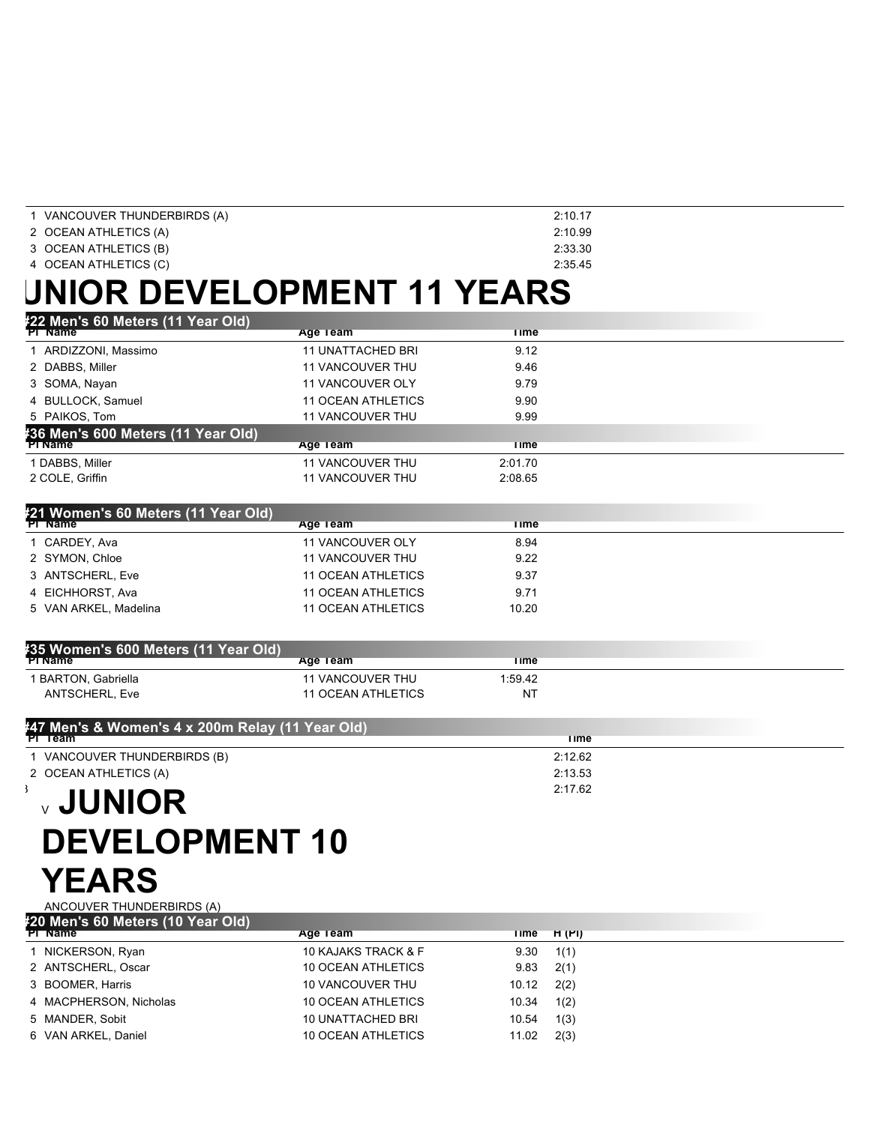| 1 VANCOUVER THUNDERBIRDS (A)                                   |                           | 2:10.17            |  |
|----------------------------------------------------------------|---------------------------|--------------------|--|
| 2 OCEAN ATHLETICS (A)                                          |                           | 2:10.99            |  |
| 3 OCEAN ATHLETICS (B)                                          |                           | 2:33.30            |  |
| 4 OCEAN ATHLETICS (C)                                          |                           | 2:35.45            |  |
| <b>INIOR DEVELOPMENT 11 YEARS</b>                              |                           |                    |  |
| #22 Men's 60 Meters (11 Year Old)<br>PI Name                   | Age Team                  | Time               |  |
| 1 ARDIZZONI, Massimo                                           | <b>11 UNATTACHED BRI</b>  | 9.12               |  |
| 2 DABBS, Miller                                                | <b>11 VANCOUVER THU</b>   | 9.46               |  |
| 3 SOMA, Nayan                                                  | 11 VANCOUVER OLY          | 9.79               |  |
| 4 BULLOCK, Samuel                                              | <b>11 OCEAN ATHLETICS</b> | 9.90               |  |
| 5 PAIKOS, Tom                                                  | <b>11 VANCOUVER THU</b>   | 9.99               |  |
| #36 Men's 600 Meters (11 Year Old)<br><b>PI Name</b>           | Age Team                  | <b>Time</b>        |  |
| 1 DABBS, Miller                                                | <b>11 VANCOUVER THU</b>   | 2:01.70            |  |
| 2 COLE, Griffin                                                | <b>11 VANCOUVER THU</b>   | 2:08.65            |  |
|                                                                |                           |                    |  |
| 21 Women's 60 Meters (11 Year Old)<br>PI Name                  | Age leam                  | <b>Time</b>        |  |
| 1 CARDEY, Ava                                                  | 11 VANCOUVER OLY          | 8.94               |  |
| 2 SYMON, Chloe                                                 | <b>11 VANCOUVER THU</b>   | 9.22               |  |
| 3 ANTSCHERL, Eve                                               | <b>11 OCEAN ATHLETICS</b> | 9.37               |  |
| 4 EICHHORST, Ava                                               | 11 OCEAN ATHLETICS        | 9.71               |  |
| 5 VAN ARKEL, Madelina                                          | <b>11 OCEAN ATHLETICS</b> | 10.20              |  |
|                                                                |                           |                    |  |
| #35 Women's 600 Meters (11 Year Old)<br>PI Name                | Age Team                  | Time               |  |
| 1 BARTON, Gabriella                                            | 11 VANCOUVER THU          | 1:59.42            |  |
| ANTSCHERL, Eve                                                 | 11 OCEAN ATHLETICS        | ΝT                 |  |
| #47 Men's & Women's 4 x 200m Relay (11 Year Old)               |                           |                    |  |
| PI Team                                                        |                           | Time               |  |
| 1 VANCOUVER THUNDERBIRDS (B)                                   |                           | 2:12.62            |  |
| 2 OCEAN ATHLETICS (A)                                          |                           | 2:13.53<br>2:17.62 |  |
| 3<br><b>v JUNIOR</b>                                           |                           |                    |  |
|                                                                |                           |                    |  |
| <b>DEVELOPMENT 10</b>                                          |                           |                    |  |
|                                                                |                           |                    |  |
| <b>YEARS</b>                                                   |                           |                    |  |
| ANCOUVER THUNDERBIRDS (A)<br>#20 Men's 60 Meters (10 Year Old) |                           |                    |  |
| PI Name                                                        | Age Team                  | Time<br>H(PI)      |  |
| 1 NICKERSON, Ryan                                              | 10 KAJAKS TRACK & F       | 9.30<br>1(1)       |  |
| 2 ANTSCHERL, Oscar                                             | 10 OCEAN ATHLETICS        | 9.83<br>2(1)       |  |
| 3 BOOMER, Harris                                               | 10 VANCOUVER THU          | 10.12<br>2(2)      |  |
| 4 MACPHERSON, Nicholas                                         | <b>10 OCEAN ATHLETICS</b> | 10.34<br>1(2)      |  |
| 5 MANDER, Sobit                                                | <b>10 UNATTACHED BRI</b>  | 10.54<br>1(3)      |  |
| 6 VAN ARKEL, Daniel                                            | 10 OCEAN ATHLETICS        | 11.02<br>2(3)      |  |
|                                                                |                           |                    |  |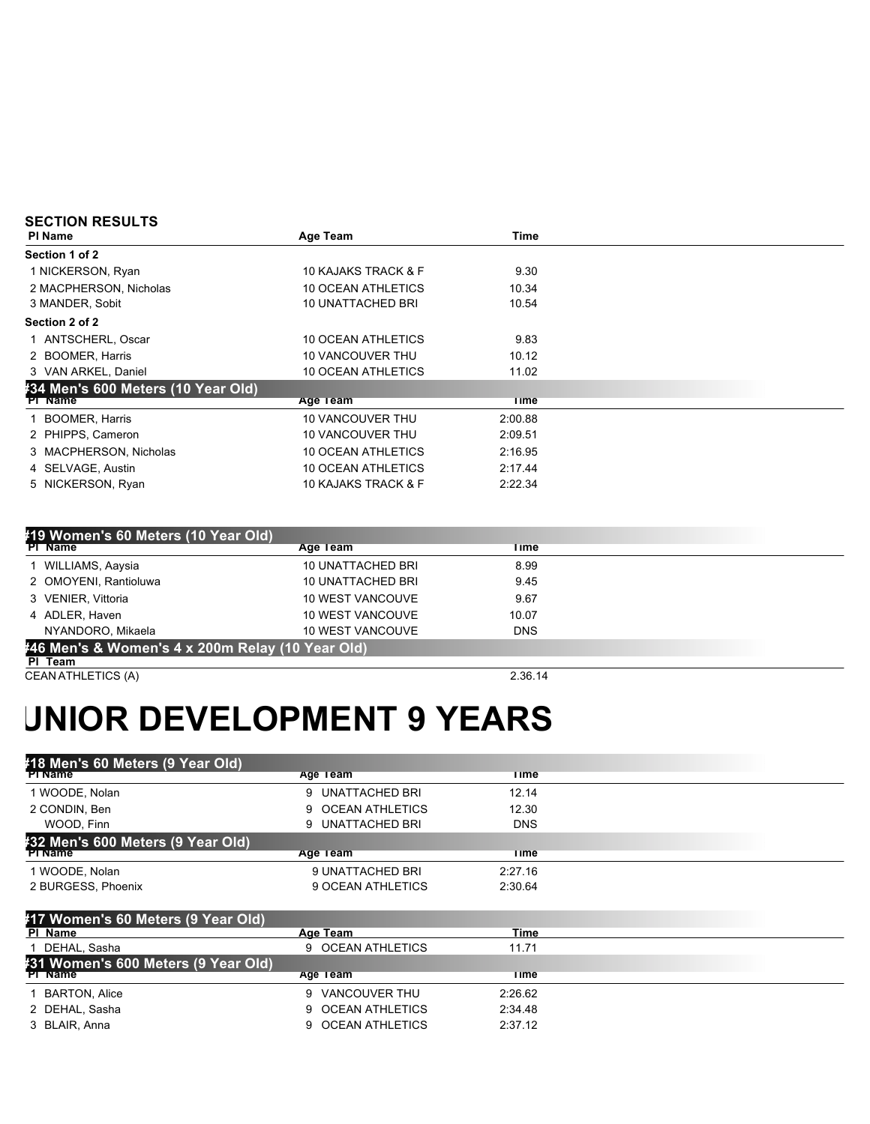| <b>PI Name</b>                     | Age Team                 | Time    |  |
|------------------------------------|--------------------------|---------|--|
| Section 1 of 2                     |                          |         |  |
| 1 NICKERSON, Ryan                  | 10 KAJAKS TRACK & F      | 9.30    |  |
| 2 MACPHERSON, Nicholas             | 10 OCEAN ATHLETICS       | 10.34   |  |
| 3 MANDER, Sobit                    | <b>10 UNATTACHED BRI</b> | 10.54   |  |
| Section 2 of 2                     |                          |         |  |
| 1 ANTSCHERL, Oscar                 | 10 OCEAN ATHLETICS       | 9.83    |  |
| 2 BOOMER, Harris                   | <b>10 VANCOUVER THU</b>  | 10.12   |  |
| 3 VAN ARKEL, Daniel                | 10 OCEAN ATHLETICS       | 11.02   |  |
| #34 Men's 600 Meters (10 Year Old) |                          |         |  |
| <b>PI Name</b>                     | Age Team                 | Time    |  |
| <b>BOOMER, Harris</b>              | <b>10 VANCOUVER THU</b>  | 2:00.88 |  |
| 2 PHIPPS, Cameron                  | <b>10 VANCOUVER THU</b>  | 2:09.51 |  |
| 3 MACPHERSON, Nicholas             | 10 OCEAN ATHLETICS       | 2:16.95 |  |
| 4 SELVAGE, Austin                  | 10 OCEAN ATHLETICS       | 2:17.44 |  |
| 5 NICKERSON, Ryan                  | 10 KAJAKS TRACK & F      | 2:22.34 |  |

| #19 Women's 60 Meters (10 Year Old)              |                          |            |  |
|--------------------------------------------------|--------------------------|------------|--|
| <b>PI Name</b>                                   | Age Team                 | i ime      |  |
| 1 WILLIAMS, Aaysia                               | 10 UNATTACHED BRI        | 8.99       |  |
| 2 OMOYENI, Rantioluwa                            | <b>10 UNATTACHED BRI</b> | 9.45       |  |
| 3 VENIER, Vittoria                               | <b>10 WEST VANCOUVE</b>  | 9.67       |  |
| 4 ADLER, Haven                                   | <b>10 WEST VANCOUVE</b>  | 10.07      |  |
| NYANDORO, Mikaela                                | <b>10 WEST VANCOUVE</b>  | <b>DNS</b> |  |
| #46 Men's & Women's 4 x 200m Relay (10 Year Old) |                          |            |  |
| PI Team                                          |                          |            |  |

**CEAN ATHLETICS (A)** 2.36.14

# **JUNIOR DEVELOPMENT 9 YEARS**

| #18 Men's 60 Meters (9 Year Old)    |                             |            |  |
|-------------------------------------|-----------------------------|------------|--|
| <b>PI Name</b>                      | Age Team                    | Time       |  |
| 1 WOODE, Nolan                      | UNATTACHED BRI<br>9         | 12.14      |  |
| 2 CONDIN, Ben                       | <b>OCEAN ATHLETICS</b>      | 12.30      |  |
| WOOD, Finn                          | UNATTACHED BRI              | <b>DNS</b> |  |
| #32 Men's 600 Meters (9 Year Old)   |                             |            |  |
| <b>PI Name</b>                      | Age Team                    | Time       |  |
| 1 WOODE, Nolan                      | 9 UNATTACHED BRI            | 2:27.16    |  |
| 2 BURGESS, Phoenix                  | 9 OCEAN ATHLETICS           | 2:30.64    |  |
|                                     |                             |            |  |
| #17 Women's 60 Meters (9 Year Old)  |                             |            |  |
| PI Name                             | Age Team                    | Time       |  |
| 1 DEHAL, Sasha                      | 9 OCEAN ATHLETICS           | 11.71      |  |
| #31 Women's 600 Meters (9 Year Old) |                             |            |  |
| <b>PI Name</b>                      | Age Team                    | Time       |  |
| BARTON, Alice                       | <b>VANCOUVER THU</b><br>9   | 2:26.62    |  |
| 2 DEHAL, Sasha                      | <b>OCEAN ATHLETICS</b><br>9 | 2:34.48    |  |
| 3 BLAIR, Anna                       | <b>OCEAN ATHLETICS</b>      | 2:37.12    |  |
|                                     |                             |            |  |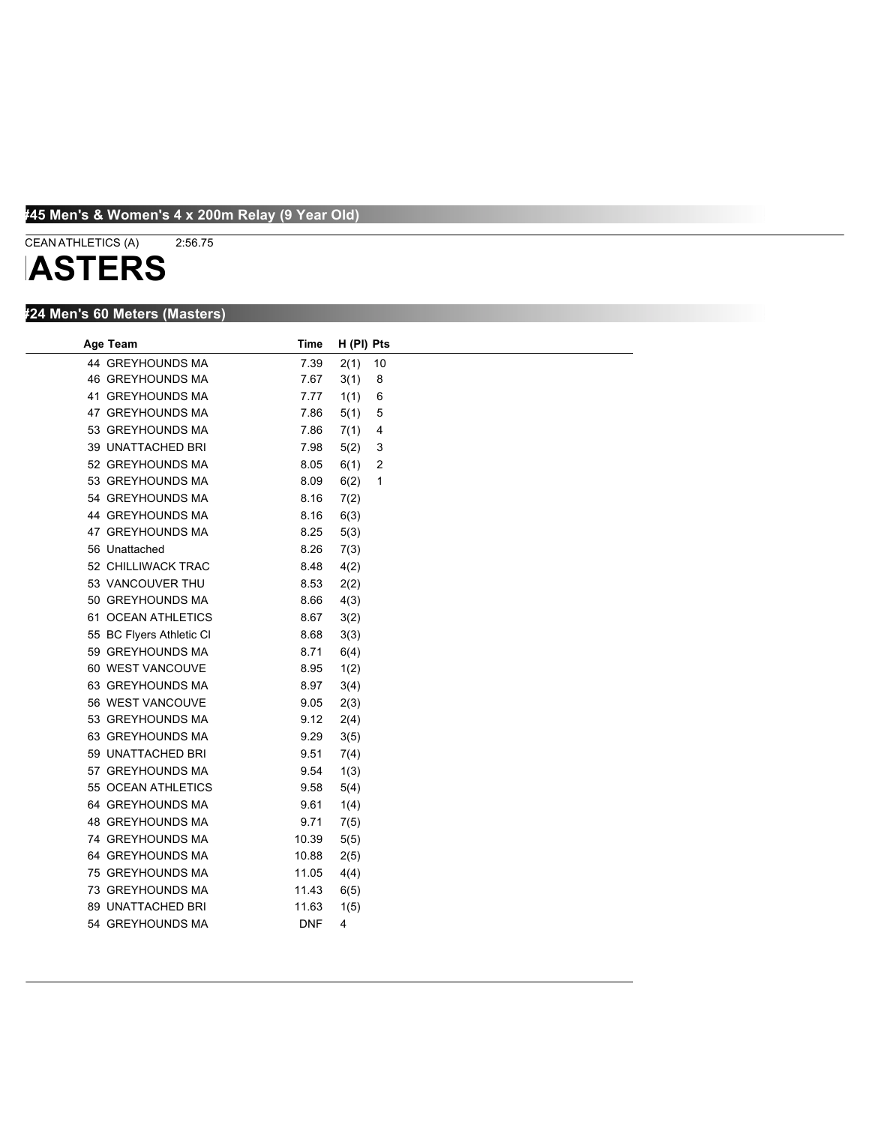### **#45 Men's & Women's 4 x 200m Relay (9 Year Old)**

# CEAN ATHLETICS (A) 2:56.75

**IASTERS** 

# **#24 Men's 60 Meters (Masters)**

| Age Team                 | Time       | H (PI) Pts |    |  |
|--------------------------|------------|------------|----|--|
| 44 GREYHOUNDS MA         | 7.39       | 2(1)       | 10 |  |
| 46 GREYHOUNDS MA         | 7.67       | 3(1)       | 8  |  |
| 41 GREYHOUNDS MA         | 7.77       | 1(1)       | 6  |  |
| 47 GREYHOUNDS MA         | 7.86       | 5(1)       | 5  |  |
| 53 GREYHOUNDS MA         | 7.86       | 7(1)       | 4  |  |
| <b>39 UNATTACHED BRI</b> | 7.98       | 5(2)       | 3  |  |
| 52 GREYHOUNDS MA         | 8.05       | 6(1)       | 2  |  |
| 53 GREYHOUNDS MA         | 8.09       | 6(2)       | 1  |  |
| 54 GREYHOUNDS MA         | 8.16       | 7(2)       |    |  |
| 44 GREYHOUNDS MA         | 8.16       | 6(3)       |    |  |
| 47 GREYHOUNDS MA         | 8.25       | 5(3)       |    |  |
| 56 Unattached            | 8.26       | 7(3)       |    |  |
| 52 CHILLIWACK TRAC       | 8.48       | 4(2)       |    |  |
| 53 VANCOUVER THU         | 8.53       | 2(2)       |    |  |
| 50 GREYHOUNDS MA         | 8.66       | 4(3)       |    |  |
| 61 OCEAN ATHLETICS       | 8.67       | 3(2)       |    |  |
| 55 BC Flyers Athletic CI | 8.68       | 3(3)       |    |  |
| 59 GREYHOUNDS MA         | 8.71       | 6(4)       |    |  |
| 60 WEST VANCOUVE         | 8.95       | 1(2)       |    |  |
| 63 GREYHOUNDS MA         | 8.97       | 3(4)       |    |  |
| 56 WEST VANCOUVE         | 9.05       | 2(3)       |    |  |
| 53 GREYHOUNDS MA         | 9.12       | 2(4)       |    |  |
| 63 GREYHOUNDS MA         | 9.29       | 3(5)       |    |  |
| 59 UNATTACHED BRI        | 9.51       | 7(4)       |    |  |
| 57 GREYHOUNDS MA         | 9.54       | 1(3)       |    |  |
| 55 OCEAN ATHLETICS       | 9.58       | 5(4)       |    |  |
| 64 GREYHOUNDS MA         | 9.61       | 1(4)       |    |  |
| 48 GREYHOUNDS MA         | 9.71       | 7(5)       |    |  |
| 74 GREYHOUNDS MA         | 10.39      | 5(5)       |    |  |
| 64 GREYHOUNDS MA         | 10.88      | 2(5)       |    |  |
| 75 GREYHOUNDS MA         | 11.05      | 4(4)       |    |  |
| 73 GREYHOUNDS MA         | 11.43      | 6(5)       |    |  |
| 89 UNATTACHED BRI        | 11.63      | 1(5)       |    |  |
| 54 GREYHOUNDS MA         | <b>DNF</b> | 4          |    |  |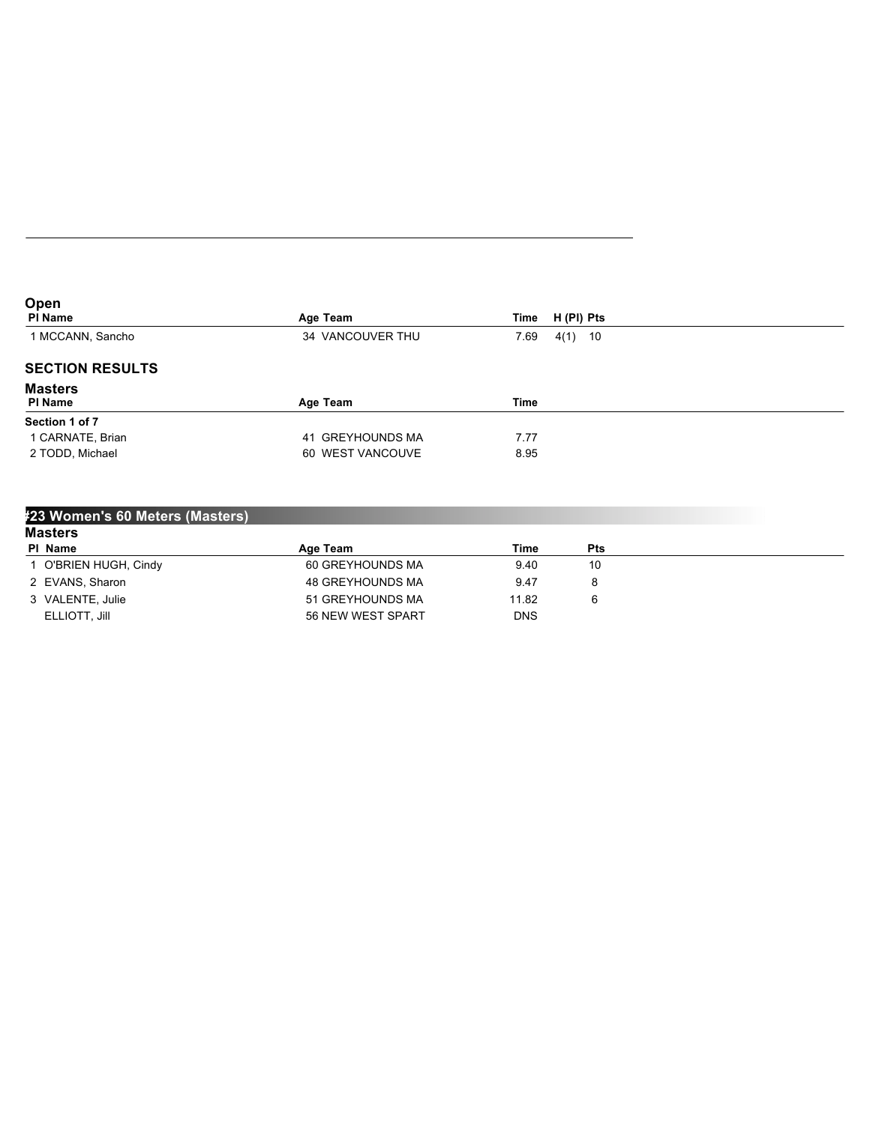| Open<br>PI Name        | Age Team<br>Time         | H (PI) Pts |
|------------------------|--------------------------|------------|
| 1 MCCANN, Sancho       | 7.69<br>34 VANCOUVER THU | $4(1)$ 10  |
| <b>SECTION RESULTS</b> |                          |            |
| <b>Masters</b>         |                          |            |
| PI Name                | Time<br>Age Team         |            |
| Section 1 of 7         |                          |            |
| 1 CARNATE, Brian       | 7.77<br>41 GREYHOUNDS MA |            |
| 2 TODD, Michael        | 60 WEST VANCOUVE<br>8.95 |            |

| #23 Women's 60 Meters (Masters), |                   |            |            |  |  |  |
|----------------------------------|-------------------|------------|------------|--|--|--|
| <b>Masters</b>                   |                   |            |            |  |  |  |
| PI Name                          | Age Team          | Time       | <b>Pts</b> |  |  |  |
| 1 O'BRIEN HUGH, Cindy            | 60 GREYHOUNDS MA  | 9.40       | 10         |  |  |  |
| 2 EVANS, Sharon                  | 48 GREYHOUNDS MA  | 9.47       | 8          |  |  |  |
| 3 VALENTE, Julie                 | 51 GREYHOUNDS MA  | 11.82      | 6          |  |  |  |
| ELLIOTT, Jill                    | 56 NEW WEST SPART | <b>DNS</b> |            |  |  |  |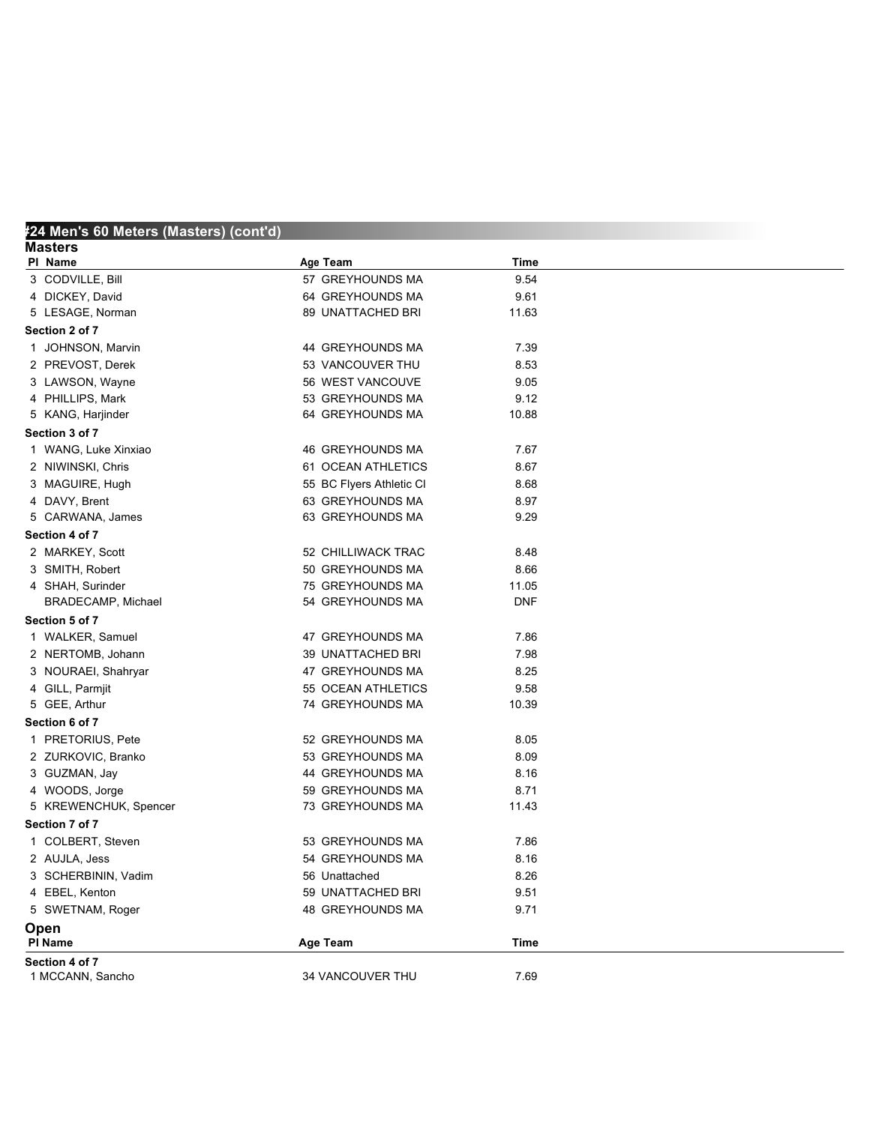| #24 Men's 60 Meters (Masters) (cont'd) |                          |            |  |
|----------------------------------------|--------------------------|------------|--|
| <b>Masters</b>                         | Age Team                 | Time       |  |
| PI Name<br>3 CODVILLE, Bill            | 57 GREYHOUNDS MA         | 9.54       |  |
| 4 DICKEY, David                        | 64 GREYHOUNDS MA         | 9.61       |  |
| 5 LESAGE, Norman                       | 89 UNATTACHED BRI        | 11.63      |  |
| Section 2 of 7                         |                          |            |  |
| 1 JOHNSON, Marvin                      | 44 GREYHOUNDS MA         | 7.39       |  |
| 2 PREVOST, Derek                       | 53 VANCOUVER THU         | 8.53       |  |
| 3 LAWSON, Wayne                        | 56 WEST VANCOUVE         | 9.05       |  |
| 4 PHILLIPS, Mark                       | 53 GREYHOUNDS MA         | 9.12       |  |
| 5 KANG, Harjinder                      | 64 GREYHOUNDS MA         | 10.88      |  |
| Section 3 of 7                         |                          |            |  |
| 1 WANG, Luke Xinxiao                   | 46 GREYHOUNDS MA         | 7.67       |  |
| 2 NIWINSKI, Chris                      | 61 OCEAN ATHLETICS       | 8.67       |  |
| 3 MAGUIRE, Hugh                        | 55 BC Flyers Athletic CI | 8.68       |  |
| 4 DAVY, Brent                          | 63 GREYHOUNDS MA         | 8.97       |  |
| 5 CARWANA, James                       | 63 GREYHOUNDS MA         | 9.29       |  |
| Section 4 of 7                         |                          |            |  |
| 2 MARKEY, Scott                        | 52 CHILLIWACK TRAC       | 8.48       |  |
| 3 SMITH, Robert                        | 50 GREYHOUNDS MA         | 8.66       |  |
| 4 SHAH, Surinder                       | 75 GREYHOUNDS MA         | 11.05      |  |
| BRADECAMP, Michael                     | 54 GREYHOUNDS MA         | <b>DNF</b> |  |
| Section 5 of 7                         |                          |            |  |
| 1 WALKER, Samuel                       | 47 GREYHOUNDS MA         | 7.86       |  |
| 2 NERTOMB, Johann                      | 39 UNATTACHED BRI        | 7.98       |  |
| 3 NOURAEI, Shahryar                    | 47 GREYHOUNDS MA         | 8.25       |  |
| 4 GILL, Parmjit                        | 55 OCEAN ATHLETICS       | 9.58       |  |
| 5 GEE, Arthur                          | 74 GREYHOUNDS MA         | 10.39      |  |
| Section 6 of 7                         |                          |            |  |
| 1 PRETORIUS, Pete                      | 52 GREYHOUNDS MA         | 8.05       |  |
| 2 ZURKOVIC, Branko                     | 53 GREYHOUNDS MA         | 8.09       |  |
| 3 GUZMAN, Jay                          | 44 GREYHOUNDS MA         | 8.16       |  |
| 4 WOODS, Jorge                         | 59 GREYHOUNDS MA         | 8.71       |  |
| 5 KREWENCHUK, Spencer                  | 73 GREYHOUNDS MA         | 11.43      |  |
| Section 7 of 7                         |                          |            |  |
| 1 COLBERT, Steven                      | 53 GREYHOUNDS MA         | 7.86       |  |
| 2 AUJLA, Jess                          | 54 GREYHOUNDS MA         | 8.16       |  |
| 3 SCHERBININ, Vadim                    | 56 Unattached            | 8.26       |  |
| 4 EBEL, Kenton                         | 59 UNATTACHED BRI        | 9.51       |  |
| 5 SWETNAM, Roger                       | 48 GREYHOUNDS MA         | 9.71       |  |
| <b>Open</b>                            |                          |            |  |
| PI Name                                | Age Team                 | Time       |  |
| Section 4 of 7                         |                          |            |  |
| 1 MCCANN, Sancho                       | 34 VANCOUVER THU         | 7.69       |  |